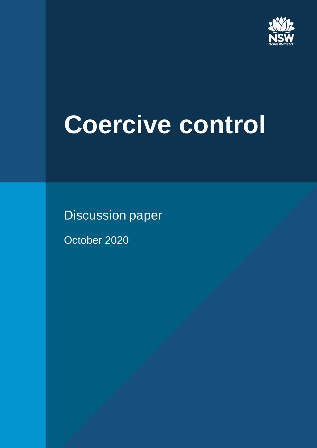

# **Coercive control**

Discussion paper

October 2020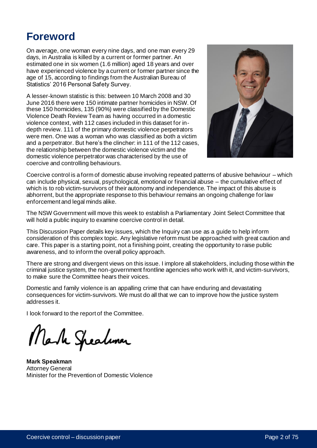# **Foreword**

On average, one woman every nine days, and one man every 29 days, in Australia is killed by a current or former partner. An estimated one in six women (1.6 million) aged 18 years and over have experienced violence by a current or former partner since the age of 15, according to findings from the Australian Bureau of Statistics' 2016 Personal Safety Survey.

A lesser-known statistic is this: between 10 March 2008 and 30 June 2016 there were 150 intimate partner homicides in NSW. Of these 150 homicides, 135 (90%) were classified by the Domestic Violence Death Review Team as having occurred in a domestic violence context, with 112 cases included in this dataset for indepth review. 111 of the primary domestic violence perpetrators were men. One was a woman who was classified as both a victim and a perpetrator. But here's the clincher: in 111 of the 112 cases, the relationship between the domestic violence victim and the domestic violence perpetrator was characterised by the use of coercive and controlling behaviours.



Coercive control is a form of domestic abuse involving repeated patterns of abusive behaviour – which can include physical, sexual, psychological, emotional or financial abuse – the cumulative effect of which is to rob victim-survivors of their autonomy and independence. The impact of this abuse is abhorrent, but the appropriate response to this behaviour remains an ongoing challenge for law enforcement and legal minds alike.

The NSW Government will move this week to establish a Parliamentary Joint Select Committee that will hold a public inquiry to examine coercive control in detail.

This Discussion Paper details key issues, which the Inquiry can use as a guide to help inform consideration of this complex topic. Any legislative reform must be approached with great caution and care. This paper is a starting point, not a finishing point, creating the opportunity to raise public awareness, and to inform the overall policy approach.

There are strong and divergent views on this issue. I implore all stakeholders, including those within the criminal justice system, the non-government frontline agencies who work with it, and victim-survivors, to make sure the Committee hears their voices.

Domestic and family violence is an appalling crime that can have enduring and devastating consequences for victim-survivors. We must do all that we can to improve how the justice system addresses it.

I look forward to the report of the Committee.

Mark Speakmer

**Mark Speakman** Attorney General Minister for the Prevention of Domestic Violence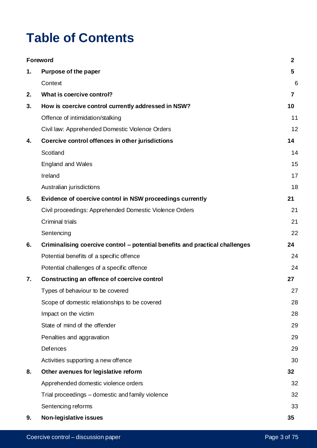# **Table of Contents**

|    | Foreword                                                                     | $\mathbf{2}$   |
|----|------------------------------------------------------------------------------|----------------|
| 1. | Purpose of the paper                                                         | 5              |
|    | Context                                                                      | 6              |
| 2. | What is coercive control?                                                    | $\overline{7}$ |
| 3. | How is coercive control currently addressed in NSW?                          | 10             |
|    | Offence of intimidation/stalking                                             | 11             |
|    | Civil law: Apprehended Domestic Violence Orders                              | 12             |
| 4. | Coercive control offences in other jurisdictions                             | 14             |
|    | Scotland                                                                     | 14             |
|    | <b>England and Wales</b>                                                     | 15             |
|    | Ireland                                                                      | 17             |
|    | Australian jurisdictions                                                     | 18             |
| 5. | Evidence of coercive control in NSW proceedings currently                    | 21             |
|    | Civil proceedings: Apprehended Domestic Violence Orders                      | 21             |
|    | <b>Criminal trials</b>                                                       | 21             |
|    | Sentencing                                                                   | 22             |
| 6. | Criminalising coercive control – potential benefits and practical challenges | 24             |
|    | Potential benefits of a specific offence                                     | 24             |
|    | Potential challenges of a specific offence                                   | 24             |
| 7. | Constructing an offence of coercive control                                  | 27             |
|    | Types of behaviour to be covered                                             | 27             |
|    | Scope of domestic relationships to be covered                                | 28             |
|    | Impact on the victim                                                         | 28             |
|    | State of mind of the offender                                                | 29             |
|    | Penalties and aggravation                                                    | 29             |
|    | Defences                                                                     | 29             |
|    | Activities supporting a new offence                                          | 30             |
| 8. | Other avenues for legislative reform                                         | 32             |
|    | Apprehended domestic violence orders                                         | 32             |
|    | Trial proceedings - domestic and family violence                             | 32             |
|    | Sentencing reforms                                                           | 33             |
| 9. | Non-legislative issues                                                       | 35             |
|    |                                                                              |                |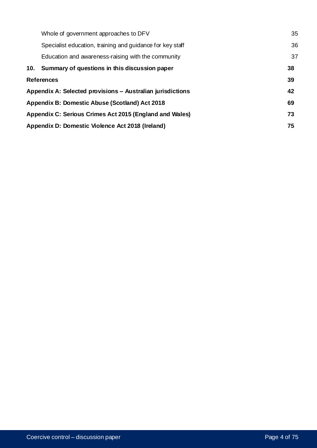|                                                            | Whole of government approaches to DFV                     | 35 |
|------------------------------------------------------------|-----------------------------------------------------------|----|
|                                                            | Specialist education, training and guidance for key staff | 36 |
|                                                            | Education and awareness-raising with the community        | 37 |
|                                                            | 10. Summary of questions in this discussion paper         | 38 |
| <b>References</b>                                          |                                                           | 39 |
| Appendix A: Selected provisions – Australian jurisdictions |                                                           | 42 |
|                                                            | Appendix B: Domestic Abuse (Scotland) Act 2018            |    |
|                                                            | Appendix C: Serious Crimes Act 2015 (England and Wales)   |    |
|                                                            | Appendix D: Domestic Violence Act 2018 (Ireland)          |    |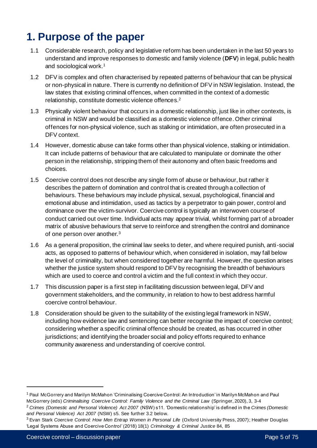# **1. Purpose of the paper**

- 1.1 Considerable research, policy and legislative reform has been undertaken in the last 50 years to understand and improve responses to domestic and family violence (**DFV**) in legal, public health and sociological work. 1
- 1.2 DFV is complex and often characterised by repeated patterns of behaviour that can be physical or non-physical in nature. There is currently no definition of DFV in NSW legislation. Instead, the law states that existing criminal offences, when committed in the context of a domestic relationship, constitute domestic violence offences. 2
- 1.3 Physically violent behaviour that occurs in a domestic relationship, just like in other contexts, is criminal in NSW and would be classified as a domestic violence offence. Other criminal offences for non-physical violence, such as stalking or intimidation, are often prosecuted in a DFV context.
- 1.4 However, domestic abuse can take forms other than physical violence, stalking or intimidation. It can include patterns of behaviour that are calculated to manipulate or dominate the other person in the relationship, stripping them of their autonomy and often basic freedoms and choices.
- 1.5 Coercive control does not describe any single form of abuse or behaviour, but rather it describes the pattern of domination and control that is created through a collection of behaviours. These behaviours may include physical, sexual, psychological, financial and emotional abuse and intimidation, used as tactics by a perpetrator to gain power, control and dominance over the victim-survivor. Coercive control is typically an interwoven course of conduct carried out over time. Individual acts may appear trivial, whilst forming part of a broader matrix of abusive behaviours that serve to reinforce and strengthen the control and dominance of one person over another.<sup>3</sup>
- 1.6 As a general proposition, the criminal law seeks to deter, and where required punish, anti-social acts, as opposed to patterns of behaviour which, when considered in isolation, may fall below the level of criminality, but when considered together are harmful. However, the question arises whether the justice system should respond to DFV by recognising the breadth of behaviours which are used to coerce and control a victim and the full context in which they occur.
- 1.7 This discussion paper is a first step in facilitating discussion between legal, DFV and government stakeholders, and the community, in relation to how to best address harmful coercive control behaviour.
- 1.8 Consideration should be given to the suitability of the existing legal framework in NSW, including how evidence law and sentencing can better recognise the impact of coercive control; considering whether a specific criminal offence should be created, as has occurred in other jurisdictions; and identifying the broader social and policy efforts required to enhance community awareness and understanding of coercive control.

<sup>1</sup> Paul McGorrery and Marilyn McMahon 'Criminalising Coercive Control: An Introduction' in Marilyn McMahon and Paul McGorrery (eds) *Criminalising Coercive Control: Family Violence and the Criminal Law* (Springer, 2020), 3, 3-4

<sup>2</sup> *Crimes (Domestic and Personal Violence) Act 2007* (NSW) s11. 'Domestic relationship' is defined in the *Crimes (Domestic and Personal Violence) Act 2007* (NSW) s5. See further 3.2 below.

<sup>3</sup> Evan Stark *Coercive Control: How Men Entrap Women in Personal Life* (Oxford University Press, 2007); Heather Douglas 'Legal Systems Abuse and Coercive Control' (2018) 18(1) *Criminology & Criminal Justice* 84, 85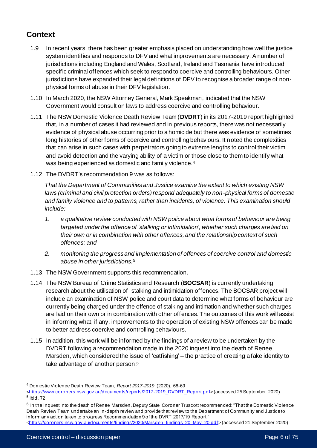# **Context**

- 1.9 In recent years, there has been greater emphasis placed on understanding how well the justice system identifies and responds to DFV and what improvements are necessary. A number of jurisdictions including England and Wales, Scotland, Ireland and Tasmania have introduced specific criminal offences which seek to respond to coercive and controlling behaviours. Other jurisdictions have expanded their legal definitions of DFV to recognise a broader range of nonphysical forms of abuse in their DFV legislation.
- 1.10 In March 2020, the NSW Attorney General, Mark Speakman, indicated that the NSW Government would consult on laws to address coercive and controlling behaviour.
- 1.11 The NSW Domestic Violence Death Review Team (**DVDRT**) in its 2017-2019 report highlighted that, in a number of cases it had reviewed and in previous reports, there was not necessarily evidence of physical abuse occurring prior to a homicide but there was evidence of sometimes long histories of other forms of coercive and controlling behaviours. It noted the complexities that can arise in such cases with perpetrators going to extreme lengths to control their victim and avoid detection and the varying ability of a victim or those close to them to identify what was being experienced as domestic and family violence.<sup>4</sup>
- 1.12 The DVDRT's recommendation 9 was as follows:

*That the Department of Communities and Justice examine the extent to which existing NSW laws (criminal and civil protection orders) respond adequately to non-physical forms of domestic and family violence and to patterns, rather than incidents, of violence. This examination should include:* 

- *1. a qualitative review conducted with NSW police about what forms of behaviour are being targeted under the offence of 'stalking or intimidation', whether such charges are laid on their own or in combination with other offences, and the relationship context of such offences; and*
- *2. monitoring the progress and implementation of offences of coercive control and domestic abuse in other jurisdictions.*<sup>5</sup>
- 1.13 The NSW Government supports this recommendation.
- 1.14 The NSW Bureau of Crime Statistics and Research (**BOCSAR**) is currently undertaking research about the utilisation of stalking and intimidation offences. The BOCSAR project will include an examination of NSW police and court data to determine what forms of behaviour are currently being charged under the offence of stalking and intimation and whether such charges are laid on their own or in combination with other offences. The outcomes of this work will assist in informing what, if any, improvements to the operation of existing NSW offences can be made to better address coercive and controlling behaviours.
- 1.15 In addition, this work will be informed by the findings of a review to be undertaken by the DVDRT following a recommendation made in the 2020 inquest into the death of Renee Marsden, which considered the issue of 'catfishing' – the practice of creating a fake identity to take advantage of another person. 6

<sup>4</sup> Domestic Violence Death Review Team, *Report 2017-2019* (2020), 68-69

[<sup>&</sup>lt;https://www.coroners.nsw.gov.au/documents/reports/2017-2019\\_DVDRT\\_Report.pdf>](https://www.coroners.nsw.gov.au/documents/reports/2017-2019_DVDRT_Report.pdf) (accessed 25 September 2020) 5 Ibid, 72

 $^6$  In the inquest into the death of Renee Marsden, Deputy State Coroner Truscott recommended: "That the Domestic Violence Death Review Team undertake an in-depth review and provide that review to the Department of Community and Justice to inform any action taken to progress Recommendation 9 of the DVRT 2017/19 Report."

[<sup>&</sup>lt;https://coroners.nsw.gov.au/documents/findings/2020/Marsden\\_findings\\_20\\_May\\_20.pdf](https://coroners.nsw.gov.au/documents/findings/2020/Marsden_findings_20_May_20.pdf)> (accessed 21 September 2020)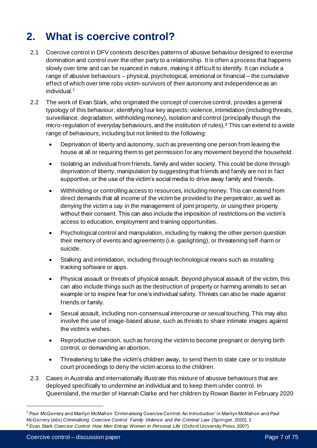# **2. What is coercive control?**

- 2.1 Coercive control in DFV contexts describes patterns of abusive behaviour designed to exercise domination and control over the other party to a relationship. It is often a process that happens slowly over time and can be nuanced in nature, making it difficult to identify. It can include a range of abusive behaviours – physical, psychological, emotional or financial – the cumulative effect of which over time robs victim-survivors of their autonomy and independence as an individual.<sup>7</sup>
- 2.2 The work of Evan Stark, who originated the concept of coercive control, provides a general typology of this behaviour, identifying four key aspects: violence, intimidation (including threats, surveillance, degradation, withholding money), isolation and control (principally though the micro-regulation of everyday behaviours, and the institution of rules). <sup>8</sup> This can extend to a wide range of behaviours, including but not limited to the following:
	- Deprivation of liberty and autonomy, such as preventing one person from leaving the house at all or requiring them to get permission for any movement beyond the household.
	- Isolating an individual from friends, family and wider society. This could be done through deprivation of liberty, manipulation by suggesting that friends and family are not in fact supportive, or the use of the victim's social media to drive away family and friends.
	- Withholding or controlling access to resources, including money. This can extend from direct demands that all income of the victim be provided to the perpetrator, as well as denying the victim a say in the management of joint property, or using their property without their consent. This can also include the imposition of restrictions on the victim's access to education, employment and training opportunities.
	- Psychological control and manipulation, including by making the other person question their memory of events and agreements (i.e. gaslighting), or threatening self -harm or suicide.
	- Stalking and intimidation, including through technological means such as installing tracking software or apps.
	- Physical assault or threats of physical assault. Beyond physical assault of the victim, this can also include things such as the destruction of property or harming animals to set an example or to inspire fear for one's individual safety. Threats can also be made against friends or family.
	- Sexual assault, including non-consensual intercourse or sexual touching. This may also involve the use of image-based abuse, such as threats to share intimate images against the victim's wishes.
	- Reproductive coercion, such as forcing the victim to become pregnant or denying birth control, or demanding an abortion.
	- Threatening to take the victim's children away, to send them to state care or to institute court proceedings to deny the victim access to the children.
- 2.3 Cases in Australia and internationally illustrate this mixture of abusive behaviours that are deployed specifically to undermine an individual and to keep them under control. In Queensland, the murder of Hannah Clarke and her children by Rowan Baxter in February 2020

<sup>7</sup> Paul McGorrery and Marilyn McMahon 'Criminalising Coercive Control: An Introduction' in Marilyn McMahon and Paul McGorrery (eds) *Criminalising Coercive Control: Family Violence and the Criminal Law* (Springer, 2020), 3 <sup>8</sup> Evan Stark *Coercive Control: How Men Entrap Women in Personal Life* (Oxford University Press, 2007)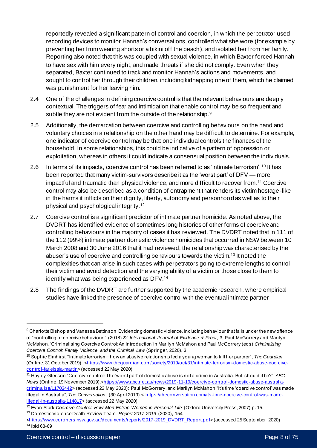reportedly revealed a significant pattern of control and coercion, in which the perpetrator used recording devices to monitor Hannah's conversations, controlled what she wore (for example by preventing her from wearing shorts or a bikini off the beach), and isolated her from her family. Reporting also noted that this was coupled with sexual violence, in which Baxter forced Hannah to have sex with him every night, and made threats if she did not comply. Even when they separated, Baxter continued to track and monitor Hannah's actions and movements, and sought to control her through their children, including kidnapping one of them, which he claimed was punishment for her leaving him.

- 2.4 One of the challenges in defining coercive control is that the relevant behaviours are deeply contextual. The triggers of fear and intimidation that enable control may be so frequent and subtle they are not evident from the outside of the relationship.<sup>9</sup>
- 2.5 Additionally, the demarcation between coercive and controlling behaviours on the hand and voluntary choices in a relationship on the other hand may be difficult to determine. For example, one indicator of coercive control may be that one individual controls the finances of the household. In some relationships, this could be indicative of a pattern of oppression or exploitation, whereas in others it could indicate a consensual position between the individuals.
- 2.6 In terms of its impacts, coercive control has been referred to as 'intimate terrorism'. <sup>10</sup> It has been reported that many victim-survivors describe it as the 'worst part' of DFV — more impactful and traumatic than physical violence, and more difficult to recover from. <sup>11</sup> Coercive control may also be described as a condition of entrapment that renders its victim hostage-like in the harms it inflicts on their dignity, liberty, autonomy and personhood as well as to their physical and psychological integrity.<sup>12</sup>
- 2.7 Coercive control is a significant predictor of intimate partner homicide. As noted above, the DVDRT has identified evidence of sometimes long histories of other forms of coercive and controlling behaviours in the majority of cases it has reviewed. The DVDRT noted that in 111 of the 112 (99%) intimate partner domestic violence homicides that occurred in NSW between 10 March 2008 and 30 June 2016 that it had reviewed, the relationship was characterised by the abuser's use of coercive and controlling behaviours towards the victim.<sup>13</sup> It noted the complexities that can arise in such cases with perpetrators going to extreme lengths to control their victim and avoid detection and the varying ability of a victim or those close to them to identify what was being experienced as DFV. 14
- 2.8 The findings of the DVDRT are further supported by the academic research, where empirical studies have linked the presence of coercive control with the eventual intimate partner

<sup>9</sup> Charlotte Bishop and Vanessa Bettinson 'Evidencing domestic violence, including behaviour that falls under the new offence of "controlling or coercive behaviour."' (2018) 22 *International Journal of Evidence & Proof*, 3; Paul McGorrery and Marilyn McMahon. 'Criminalising Coercive Control: An Introduction' in Marilyn McMahon and Paul McGorrery (eds) *Criminalising Coercive Control: Family Violence and the Criminal Law* (Springer, 2020), 3

<sup>10</sup> Sophie Elmhirst "'Intimate terrorism': how an abusive relationship led a young woman to kill her partner", *The Guardian*, (Online, 31 October 2019), [<https://www.theguardian.com/society/2019/oct/31/intimate-terrorism-domestic-abuse-coercive](https://www.theguardian.com/society/2019/oct/31/intimate-terrorism-domestic-abuse-coercive-control-farieissia-martin)[control-farieissia-martin](https://www.theguardian.com/society/2019/oct/31/intimate-terrorism-domestic-abuse-coercive-control-farieissia-martin)> (accessed 22 May 2020)

<sup>11</sup> Hayley Gleeson "Coercive control: The 'worst part' of domestic abuse is not a crime in Australia. But should it be?", *ABC News* (Online, 19 November 2019).[<https://www.abc.net.au/news/2019-11-19/coercive-control-domestic-abuse-australia](https://www.abc.net.au/news/2019-11-19/coercive-control-domestic-abuse-australia-criminalise/11703442)[criminalise/11703442>](https://www.abc.net.au/news/2019-11-19/coercive-control-domestic-abuse-australia-criminalise/11703442) (accessed 22 May 2020); Paul McGorrery, and Marilyn McMahon "It's time 'coercive control' was made illegal in Australia", The Conversation, (30 April 2019).< [https://theconversation.com/its-time-coercive-control-was-made](https://theconversation.com/its-time-coercive-control-was-made-illegal-in-australia-114817)[illegal-in-australia-114817>](https://theconversation.com/its-time-coercive-control-was-made-illegal-in-australia-114817) (accessed 22 May 2020)

<sup>12</sup> Evan Stark *Coercive Control: How Men Entrap Women in Personal Life* (Oxford University Press, 2007) p. 15.

<sup>13</sup> Domestic Violence Death Review Team, *Report 2017-2019* (2020), 154

[<sup>&</sup>lt;https://www.coroners.nsw.gov.au/documents/reports/2017-2019\\_DVDRT\\_Report.pdf>](https://www.coroners.nsw.gov.au/documents/reports/2017-2019_DVDRT_Report.pdf) (accessed 25 September 2020) <sup>14</sup> Ibid 68-69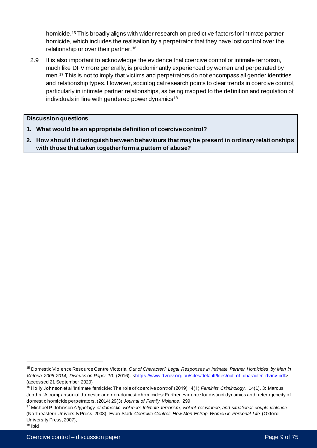homicide. <sup>15</sup> This broadly aligns with wider research on predictive factors for intimate partner homicide, which includes the realisation by a perpetrator that they have lost control over the relationship or over their partner.<sup>16</sup>

2.9 It is also important to acknowledge the evidence that coercive control or intimate terrorism, much like DFV more generally, is predominantly experienced by women and perpetrated by men.<sup>17</sup> This is not to imply that victims and perpetrators do not encompass all gender identities and relationship types. However, sociological research points to clear trends in coercive control, particularly in intimate partner relationships, as being mapped to the definition and regulation of individuals in line with gendered power dynamics<sup>18</sup>

#### **Discussion questions**

- **1. What would be an appropriate definition of coercive control?**
- **2. How should it distinguish between behaviours that may be present in ordinary relationships with those that taken together form a pattern of abuse?**

<sup>15</sup> Domestic Violence Resource Centre Victoria. *Out of Character? Legal Responses in Intimate Partner Homicides by Men in*  Victoria 2005-2014, Discussion Paper 10. (2016). [<https://www.dvrcv.org.au/sites/default/files/out\\_of\\_character\\_dvrcv.pdf](https://www.dvrcv.org.au/sites/default/files/out_of_character_dvrcv.pdf)> (accessed 21 September 2020)

<sup>16</sup> Holly Johnson et al 'Intimate femicide: The role of coercive control' (2019) 14(1) *Feminist Criminology,* 14(1), 3; Marcus Juodis. 'A comparison of domestic and non-domestic homicides: Further evidence for distinct dynamics and heterogeneity of domestic homicide perpetrators. (2014) 29(3) *Journal of Family Violence*, 299

<sup>17</sup> Michael P Johnson *A typology of domestic violence: Intimate terrorism, violent resistance, and situational couple violence* (Northeastern University Press, 2008), Evan Stark *Coercive Control: How Men Entrap Women in Personal Life* (Oxford University Press, 2007),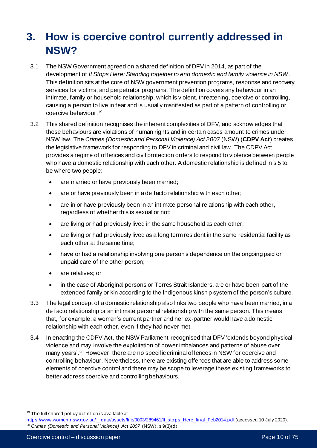# **3. How is coercive control currently addressed in NSW?**

- 3.1 The NSW Government agreed on a shared definition of DFV in 2014, as part of the development of *It Stops Here: Standing together to end domestic and family violence in NSW*. This definition sits at the core of NSW government prevention programs, response and recovery services for victims, and perpetrator programs. The definition covers any behaviour in an intimate, family or household relationship, which is violent, threatening, coercive or controlling, causing a person to live in fear and is usually manifested as part of a pattern of controlling or coercive behaviour.<sup>19</sup>
- 3.2 This shared definition recognises the inherent complexities of DFV, and acknowledges that these behaviours are violations of human rights and in certain cases amount to crimes under NSW law. The *Crimes (Domestic and Personal Violence) Act 2007* (NSW) (**CDPV Act**) creates the legislative framework for responding to DFV in criminal and civil law. The CDPV Act provides a regime of offences and civil protection orders to respond to violence between people who have a domestic relationship with each other. A domestic relationship is defined in s 5 to be where two people:
	- are married or have previously been married;
	- are or have previously been in a de facto relationship with each other;
	- are in or have previously been in an intimate personal relationship with each other, regardless of whether this is sexual or not;
	- are living or had previously lived in the same household as each other;
	- are living or had previously lived as a long term resident in the same residential facility as each other at the same time;
	- have or had a relationship involving one person's dependence on the ongoing paid or unpaid care of the other person;
	- are relatives; or
	- in the case of Aboriginal persons or Torres Strait Islanders, are or have been part of the extended family or kin according to the Indigenous kinship system of the person's culture.
- 3.3 The legal concept of a domestic relationship also links two people who have been married, in a de facto relationship or an intimate personal relationship with the same person. This means that, for example, a woman's current partner and her ex-partner would have a domestic relationship with each other, even if they had never met.
- 3.4 In enacting the CDPV Act, the NSW Parliament recognised that DFV 'extends beyond physical violence and may involve the exploitation of power imbalances and patterns of abuse over many years'.<sup>20</sup> However, there are no specific criminal offences in NSW for coercive and controlling behaviour. Nevertheless, there are existing offences that are able to address some elements of coercive control and there may be scope to leverage these existing frameworks to better address coercive and controlling behaviours.

<sup>&</sup>lt;sup>19</sup> The full shared policy definition is available at

https://www.women.nsw.gov.au/\_\_data/assets/file/0003/289461/lt\_sto ps\_Here\_final\_Feb2014.pdf (accessed 10 July 2020). <sup>20</sup> *Crimes (Domestic and Personal Violence) Act 2007* (NSW), s 9(3)(d).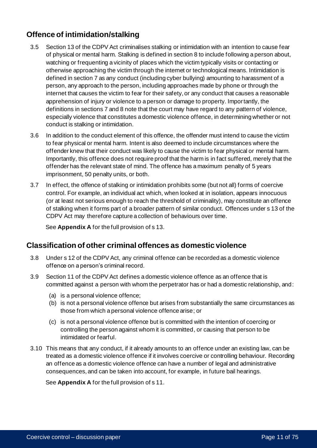# **Offence of intimidation/stalking**

- 3.5 Section 13 of the CDPV Act criminalises stalking or intimidation with an intention to cause fear of physical or mental harm. Stalking is defined in section 8 to include following a person about, watching or frequenting a vicinity of places which the victim typically visits or contacting or otherwise approaching the victim through the internet or technological means. Intimidation is defined in section 7 as any conduct (including cyber bullying) amounting to harassment of a person, any approach to the person, including approaches made by phone or through the internet that causes the victim to fear for their safety, or any conduct that causes a reasonable apprehension of injury or violence to a person or damage to property. Importantly, the definitions in sections 7 and 8 note that the court may have regard to any pattern of violence, especially violence that constitutes a domestic violence offence, in determining whether or not conduct is stalking or intimidation.
- 3.6 In addition to the conduct element of this offence, the offender must intend to cause the victim to fear physical or mental harm. Intent is also deemed to include circumstances where the offender knew that their conduct was likely to cause the victim to fear physical or mental harm. Importantly, this offence does not require proof that the harm is in fact suffered, merely that the offender has the relevant state of mind. The offence has a maximum penalty of 5 years imprisonment, 50 penalty units, or both.
- 3.7 In effect, the offence of stalking or intimidation prohibits some (but not all) forms of coercive control. For example, an individual act which, when looked at in isolation, appears innocuous (or at least not serious enough to reach the threshold of criminality), may constitute an offence of stalking when it forms part of a broader pattern of similar conduct. Offences under s 13 of the CDPV Act may therefore capture a collection of behaviours over time.

See **Appendix A** for the full provision of s 13.

## **Classification of other criminal offences as domestic violence**

- 3.8 Under s 12 of the CDPV Act, any criminal offence can be recorded as a domestic violence offence on a person's criminal record.
- 3.9 Section 11 of the CDPV Act defines a domestic violence offence as an offence that is committed against a person with whom the perpetrator has or had a domestic relationship, and:
	- (a) is a personal violence offence;
	- (b) is not a personal violence offence but arises from substantially the same circumstances as those from which a personal violence offence arise; or
	- (c) is not a personal violence offence but is committed with the intention of coercing or controlling the person against whom it is committed, or causing that person to be intimidated or fearful.
- 3.10 This means that any conduct, if it already amounts to an offence under an existing law, can be treated as a domestic violence offence if it involves coercive or controlling behaviour. Recording an offence as a domestic violence offence can have a number of legal and administrative consequences, and can be taken into account, for example, in future bail hearings.

See **Appendix A** for the full provision of s 11.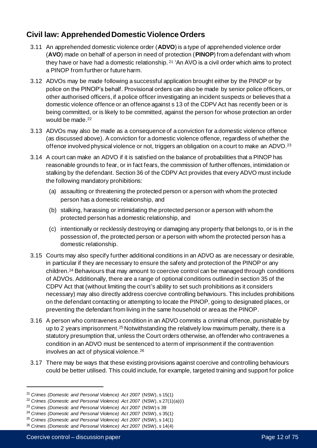# **Civil law: Apprehended Domestic Violence Orders**

- 3.11 An apprehended domestic violence order (**ADVO**) is a type of apprehended violence order (**AVO**) made on behalf of a person in need of protection (**PINOP**) from a defendant with whom they have or have had a domestic relationship. <sup>21</sup> 'An AVO is a civil order which aims to protect a PINOP from further or future harm.
- 3.12 ADVOs may be made following a successful application brought either by the PINOP or by police on the PINOP's behalf. Provisional orders can also be made by senior police officers, or other authorised officers, if a police officer investigating an incident suspects or believes that a domestic violence offence or an offence against s 13 of the CDPV Act has recently been or is being committed, or is likely to be committed, against the person for whose protection an order would be made. 22
- 3.13 ADVOs may also be made as a consequence of a conviction for a domestic violence offence (as discussed above). A conviction for a domestic violence offence, regardless of whether the offence involved physical violence or not, triggers an obligation on a court to make an ADVO.<sup>23</sup>
- 3.14 A court can make an ADVO if it is satisfied on the balance of probabilities that a PINOP has reasonable grounds to fear, or in fact fears, the commission of further offences, intimidation or stalking by the defendant. Section 36 of the CDPV Act provides that every ADVO must include the following mandatory prohibitions:
	- (a) assaulting or threatening the protected person or a person with whom the protected person has a domestic relationship, and
	- (b) stalking, harassing or intimidating the protected person or a person with whom the protected person has a domestic relationship, and
	- (c) intentionally or recklessly destroying or damaging any property that belongs to, or is in the possession of, the protected person or a person with whom the protected person has a domestic relationship.
- 3.15 Courts may also specify further additional conditions in an ADVO as are necessary or desirable, in particular if they are necessary to ensure the safety and protection of the PINOP or any children.<sup>24</sup> Behaviours that may amount to coercive control can be managed through conditions of ADVOs. Additionally, there are a range of optional conditions outlined in section 35 of the CDPV Act that (without limiting the court's ability to set such prohibitions as it considers necessary) may also directly address coercive controlling behaviours. This includes prohibitions on the defendant contacting or attempting to locate the PINOP, going to designated places, or preventing the defendant from living in the same household or area as the PINOP.
- 3.16 A person who contravenes a condition in an ADVO commits a criminal offence, punishable by up to 2 years imprisonment.<sup>25</sup> Notwithstanding the relatively low maximum penalty, there is a statutory presumption that, unless the Court orders otherwise, an offender who contravenes a condition in an ADVO must be sentenced to a term of imprisonment if the contravention involves an act of physical violence.<sup>26</sup>
- 3.17 There may be ways that these existing provisions against coercive and controlling behaviours could be better utilised. This could include, for example, targeted training and support for police

<sup>21</sup> *Crimes (Domestic and Personal Violence) Act 2007* (NSW), s 15(1)

<sup>22</sup> *Crimes (Domestic and Personal Violence) Act 2007* (NSW), s 27(1)(a)(i)

<sup>23</sup> *Crimes (Domestic and Personal Violence) Act 2007* (NSW) s 39

<sup>24</sup> *Crimes (Domestic and Personal Violence) Act 2007* (NSW), s 35(1)

<sup>25</sup> *Crimes (Domestic and Personal Violence) Act 2007* (NSW), s 14(1)

<sup>26</sup> *Crimes (Domestic and Personal Violence) Act 2007* (NSW), s 14(4)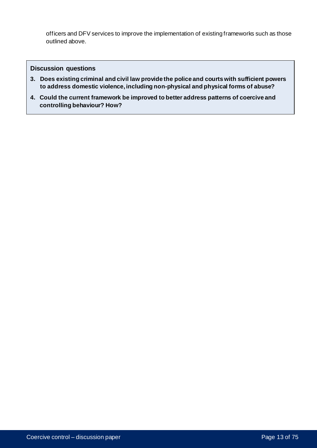officers and DFV services to improve the implementation of existing frameworks such as those outlined above.

#### **Discussion questions**

- **3. Does existing criminal and civil law provide the police and courts with sufficient powers to address domestic violence, including non-physical and physical forms of abuse?**
- **4. Could the current framework be improved to better address patterns of coercive and controlling behaviour? How?**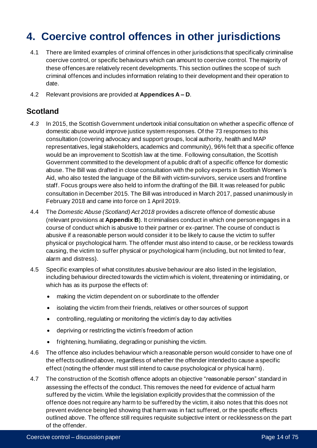# **4. Coercive control offences in other jurisdictions**

- 4.1 There are limited examples of criminal offences in other jurisdictions that specifically criminalise coercive control, or specific behaviours which can amount to coercive control. The majority of these offences are relatively recent developments. This section outlines the scope of such criminal offences and includes information relating to their development and their operation to date.
- 4.2 Relevant provisions are provided at **Appendices A – D**.

## **Scotland**

- *4.3* In 2015, the Scottish Government undertook initial consultation on whether a specific offence of domestic abuse would improve justice system responses. Of the 73 responses to this consultation (covering advocacy and support groups, local authority, health and MAP representatives, legal stakeholders, academics and community), 96% felt that a specific offence would be an improvement to Scottish law at the time. Following consultation, the Scottish Government committed to the development of a public draft of a specific offence for domestic abuse. The Bill was drafted in close consultation with the policy experts in Scottish Women's Aid, who also tested the language of the Bill with victim-survivors, service users and frontline staff. Focus groups were also held to inform the drafting of the Bill. It was released for public consultation in December 2015. The Bill was introduced in March 2017, passed unanimously in February 2018 and came into force on 1 April 2019.
- 4.4 The *Domestic Abuse (Scotland) Act 2018* provides a discrete offence of domestic abuse (relevant provisions at **Appendix B**). It criminalises conduct in which one person engages in a course of conduct which is abusive to their partner or ex-partner. The course of conduct is abusive if a reasonable person would consider it to be likely to cause the victim to suffer physical or psychological harm. The offender must also intend to cause, or be reckless towards causing, the victim to suffer physical or psychological harm (including, but not limited to fear, alarm and distress).
- 4.5 Specific examples of what constitutes abusive behaviour are also listed in the legislation, including behaviour directed towards the victim which is violent, threatening or intimidating, or which has as its purpose the effects of:
	- making the victim dependent on or subordinate to the offender
	- isolating the victim from their friends, relatives or other sources of support
	- controlling, regulating or monitoring the victim's day to day activities
	- depriving or restricting the victim's freedom of action
	- frightening, humiliating, degrading or punishing the victim.
- 4.6 The offence also includes behaviour which a reasonable person would consider to have one of the effects outlined above, regardless of whether the offender intended to cause a specific effect (noting the offender must still intend to cause psychological or physical harm).
- 4.7 The construction of the Scottish offence adopts an objective "reasonable person" standard in assessing the effects of the conduct. This removes the need for evidence of actual harm suffered by the victim. While the legislation explicitly provides that the commission of the offence does not require any harm to be suffered by the victim, it also notes that this does not prevent evidence being led showing that harm was in fact suffered, or the specific effects outlined above. The offence still requires requisite subjective intent or recklessness on the part of the offender.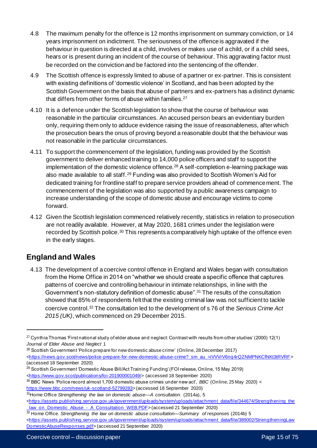- 4.8 The maximum penalty for the offence is 12 months imprisonment on summary conviction, or 14 years imprisonment on indictment. The seriousness of the offence is aggravated if the behaviour in question is directed at a child, involves or makes use of a child, or if a child sees, hears or is present during an incident of the course of behaviour. This aggravating factor must be recorded on the conviction and be factored into the sentencing of the offender.
- 4.9 The Scottish offence is expressly limited to abuse of a partner or ex-partner. This is consistent with existing definitions of 'domestic violence' in Scotland, and has been adopted by the Scottish Government on the basis that abuse of partners and ex-partners has a distinct dynamic that differs from other forms of abuse within families.<sup>27</sup>
- 4.10 It is a defence under the Scottish legislation to show that the course of behaviour was reasonable in the particular circumstances. An accused person bears an evidentiary burden only, requiring them only to adduce evidence raising the issue of reasonableness, after which the prosecution bears the onus of proving beyond a reasonable doubt that the behaviour was not reasonable in the particular circumstances.
- 4.11 To support the commencement of the legislation, funding was provided by the Scottish government to deliver enhanced training to 14,000 police officers and staff to support the implementation of the domestic violence offence.<sup>28</sup> A self-completion e-learning package was also made available to all staff.<sup>29</sup> Funding was also provided to Scottish Women's Aid for dedicated training for frontline staff to prepare service providers ahead of commence ment. The commencement of the legislation was also supported by a public awareness campaign to increase understanding of the scope of domestic abuse and encourage victims to come forward.
- 4.12 Given the Scottish legislation commenced relatively recently, statistics in relation to prosecution are not readily available. However, at May 2020, 1681 crimes under the legislation were recorded by Scottish police.<sup>30</sup> This represents a comparatively high uptake of the offence even in the early stages.

## **England and Wales**

4.13 The development of a coercive control offence in England and Wales began with consultation from the Home Office in 2014 on "whether we should create a specific offence that captures patterns of coercive and controlling behaviour in intimate relationships, in line with the Government's non-statutory definition of domestic abuse".<sup>31</sup> The results of the consultation showed that 85% of respondents felt that the existing criminal law was not sufficient to tackle coercive control.<sup>32</sup> The consultation led to the development of s 76 of the *Serious Crime Act 2015 (UK)*, which commenced on 29 December 2015.

 $27$  Cynthia Thomas 'First national study of elder abuse and neglect: Contrast with results from other studies' (2000) 12(1) *Journal of Elder Abuse and Neglect* 1

<sup>28</sup> Scottish Government 'Police prepare for new domestic abuse crime' (Online, 28 December 2017) <https://news.gov.scot/news/police-prepare-for-new-domestic-abuse-crime? sm\_au\_=iVVVrV6nq4rQZNMPNKCfNKt3tRVRF> (accessed 18 September 2020)

<sup>29</sup> Scottish Government 'Domestic Abuse Bill/Act Training Funding' (FOI release, Online, 15 May 2019) [<https://www.gov.scot/publications/foi-201900001049/>](https://www.gov.scot/publications/foi-201900001049/) (accessed 18 September 2020)

<sup>30</sup> BBC News 'Police record almost 1,700 domestic abuse crimes under new act', *BBC* (Online, 25 May 2020) < [https://www.bbc.com/news/uk-scotland-52799283>](https://www.bbc.com/news/uk-scotland-52799283) (accessed 18 September 2020)

<sup>31</sup>Home Office *Strengthening the law on domestic abuse—A consultation*. (2014a), 5 [<https://assets.publishing.service.gov.uk/government/uploads/system/uploads/attachment\\_data/file/344674/Strengthening\\_the](https://assets.publishing.service.gov.uk/government/uploads/system/uploads/attachment_data/file/344674/Strengthening_the_law_on_Domestic_Abuse_-_A_Consultation_WEB.PDF) law\_on\_Domestic\_Abuse\_-\_A\_Consultation\_WEB.PDF> (accessed 21 September 2020)

<sup>32</sup> Home Office. *Strengthening the law on domestic abuse consultation—Summary of responses* (2014b) 5

<sup>&</sup>lt;https://assets.publishing.service.gov.uk/government/up [loads/system/uploads/attachment\\_data/file/389002/StrengtheningLaw](https://assets.publishing.service.gov.uk/government/uploads/system/uploads/attachment_data/file/389002/StrengtheningLawDomesticAbuseResponses.pdf) [DomesticAbuseResponses.pdf](https://assets.publishing.service.gov.uk/government/uploads/system/uploads/attachment_data/file/389002/StrengtheningLawDomesticAbuseResponses.pdf)> (accessed 21 September 2020)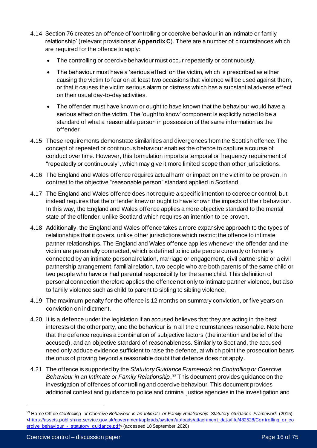- 4.14 Section 76 creates an offence of 'controlling or coercive behaviour in an intimate or family relationship' (relevant provisions at **Appendix C**). There are a number of circumstances which are required for the offence to apply:
	- The controlling or coercive behaviour must occur repeatedly or continuously.
	- The behaviour must have a 'serious effect' on the victim, which is prescribed as either causing the victim to fear on at least two occasions that violence will be used against them, or that it causes the victim serious alarm or distress which has a substantial adverse effect on their usual day-to-day activities.
	- The offender must have known or ought to have known that the behaviour would have a serious effect on the victim. The 'ought to know' component is explicitly noted to be a standard of what a reasonable person in possession of the same information as the offender.
- 4.15 These requirements demonstrate similarities and divergences from the Scottish offence. The concept of repeated or continuous behaviour enables the offence to capture a course of conduct over time. However, this formulation imports a temporal or frequency requirement of "repeatedly or continuously", which may give it more limited scope than other jurisdictions.
- 4.16 The England and Wales offence requires actual harm or impact on the victim to be proven, in contrast to the objective "reasonable person" standard applied in Scotland.
- 4.17 The England and Wales offence does not require a specific intention to coerce or control, but instead requires that the offender knew or ought to have known the impacts of their behaviour. In this way, the England and Wales offence applies a more objective standard to the mental state of the offender, unlike Scotland which requires an intention to be proven.
- 4.18 Additionally, the England and Wales offence takes a more expansive approach to the types of relationships that it covers, unlike other jurisdictions which restrict the offence to intimate partner relationships. The England and Wales offence applies whenever the offender and the victim are personally connected, which is defined to include people currently or formerly connected by an intimate personal relation, marriage or engagement, civil partnership or a civil partnership arrangement, familial relation, two people who are both parents of the same child or two people who have or had parental responsibility for the same child. This definition of personal connection therefore applies the offence not only to intimate partner violence, but also to family violence such as child to parent to sibling to sibling violence.
- 4.19 The maximum penalty for the offence is 12 months on summary conviction, or five years on conviction on indictment.
- 4.20 It is a defence under the legislation if an accused believes that they are acting in the best interests of the other party, and the behaviour is in all the circumstances reasonable. Note here that the defence requires a combination of subjective factors (the intention and belief of the accused), and an objective standard of reasonableness. Similarly to Scotland, the accused need only adduce evidence sufficient to raise the defence, at which point the prosecution bears the onus of proving beyond a reasonable doubt that defence does not apply.
- 4.21 The offence is supported by the *Statutory Guidance Framework on Controlling or Coercive Behaviour in an Intimate or Family Relationship*. <sup>33</sup> This document provides guidance on the investigation of offences of controlling and coercive behaviour. This document provides additional context and guidance to police and criminal justice agencies in the investigation and

<sup>33</sup> Home Office *Controlling or Coercive Behaviour in an Intimate or Family Relationship Statutory Guidance Framework* (2015) [<https://assets.publishing.service.gov.uk/government/uploads/system/uploads/attachment\\_data/file/482528/Controlling\\_or\\_co](https://assets.publishing.service.gov.uk/government/uploads/system/uploads/attachment_data/file/482528/Controlling_or_coercive_behaviour_-_statutory_guidance.pdf) ercive\_behaviour - statutory\_guidance.pdf> (accessed 18 September 2020)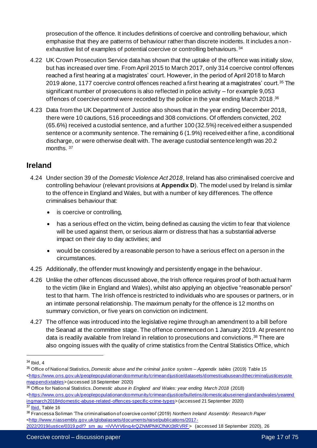prosecution of the offence. It includes definitions of coercive and controlling behaviour, which emphasise that they are patterns of behaviour rather than discrete incidents. It includes a nonexhaustive list of examples of potential coercive or controlling behaviours. <sup>34</sup>

- 4.22 UK Crown Prosecution Service data has shown that the uptake of the offence was initially slow, but has increased over time. From April 2015 to March 2017, only 314 coercive control offences reached a first hearing at a magistrates' court. However, in the period of April 2018 to March 2019 alone, 1177 coercive control offences reached a first hearing at a magistrates' court.<sup>35</sup> The significant number of prosecutions is also reflected in police activity – for example 9,053 offences of coercive control were recorded by the police in the year ending March 2018.<sup>36</sup>
- 4.23 Data from the UK Department of Justice also shows that in the year ending December 2018, there were 10 cautions, 516 proceedings and 308 convictions. Of offenders convicted, 202 (65.6%) received a custodial sentence, and a further 100 (32.5%) received either a suspended sentence or a community sentence. The remaining 6 (1.9%) received either a fine, a conditional discharge, or were otherwise dealt with. The average custodial sentence length was 20.2 months.<sup>37</sup>

## **Ireland**

- 4.24 Under section 39 of the *Domestic Violence Act 2018*, Ireland has also criminalised coercive and controlling behaviour (relevant provisions at **Appendix D**). The model used by Ireland is similar to the offence in England and Wales, but with a number of key differences. The offence criminalises behaviour that:
	- is coercive or controlling,
	- has a serious effect on the victim, being defined as causing the victim to fear that violence will be used against them, or serious alarm or distress that has a substantial adverse impact on their day to day activities; and
	- would be considered by a reasonable person to have a serious effect on a person in the circumstances.
- 4.25 Additionally, the offender must knowingly and persistently engage in the behaviour.
- 4.26 Unlike the other offences discussed above, the Irish offence requires proof of both actual harm to the victim (like in England and Wales), whilst also applying an objective "reasonable person" test to that harm. The Irish offence is restricted to individuals who are spouses or partners, or in an intimate personal relationship. The maximum penalty for the offence is 12 months on summary conviction, or five years on conviction on indictment.
- 4.27 The offence was introduced into the legislative regime through an amendment to a bill before the Seanad at the committee stage. The offence commenced on 1 January 2019. At present no data is readily available from Ireland in relation to prosecutions and convictions. <sup>38</sup> There are also ongoing issues with the quality of crime statistics from the Central Statistics Office, which

<sup>36</sup> Office for National Statistics. *Domestic abuse in England and Wales: year ending March 2018* (2018) [<https://www.ons.gov.uk/peoplepopulationandcommunity/crimeandjustice/bulletins/domesticabuseinenglandandwales/yearend](https://www.ons.gov.uk/peoplepopulationandcommunity/crimeandjustice/bulletins/domesticabuseinenglandandwales/yearendingmarch2018#domestic-abuse-related-offences-specific-crime-types) [ingmarch2018#domestic-abuse-related-offences-specific-crime-types](https://www.ons.gov.uk/peoplepopulationandcommunity/crimeandjustice/bulletins/domesticabuseinenglandandwales/yearendingmarch2018#domestic-abuse-related-offences-specific-crime-types)> (accessed 21 September 2020)

<sup>34</sup> Ibid, 4

<sup>35</sup> Office of National Statistics, *Domestic abuse and the criminal justice system – Appendix tables* (2019) Table 15 [<https://www.ons.gov.uk/peoplepopulationandcommunity/crimeandjustice/datasets/domesticabuseandthecriminaljusticesyste](https://www.ons.gov.uk/peoplepopulationandcommunity/crimeandjustice/datasets/domesticabuseandthecriminaljusticesystemappendixtables) [mappendixtables](https://www.ons.gov.uk/peoplepopulationandcommunity/crimeandjustice/datasets/domesticabuseandthecriminaljusticesystemappendixtables)> (accessed 18 September 2020)

[Ibid.](https://www.ons.gov.uk/peoplepopulationandcommunity/crimeandjustice/datasets/domesticabuseandthecriminaljusticesystemappendixtables) Table 16

<sup>38</sup> Francessa Soliman 'The criminalisation of coercive control' (2019) *Northern Ireland Assembly: Research Paper* [<http://www.niassembly.gov.uk/globalassets/documents/raise/publications/2017-](http://www.niassembly.gov.uk/globalassets/documents/raise/publications/2017-2022/2019/justice/0319.pdf?_sm_au_=iVVVrV6nq4rQZNMPNKCfNKt3tRVRF)

<sup>2022/2019/</sup>justice/0319.pdf? sm\_au\_=iVVVrV6nq4rQZNMPNKCfNKt3tRVRF> (accessed 18 September 2020), 26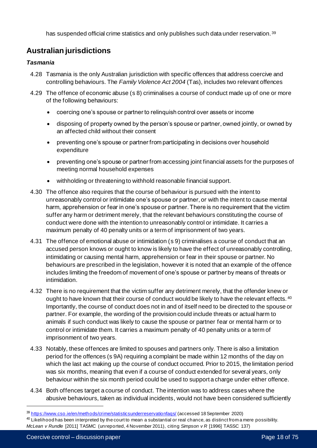has suspended official crime statistics and only publishes such data under reservation. 39

# **Australian jurisdictions**

#### *Tasmania*

- 4.28 Tasmania is the only Australian jurisdiction with specific offences that address coercive and controlling behaviours. The *Family Violence Act 2004* (Tas), includes two relevant offences
- 4.29 The offence of economic abuse (s 8) criminalises a course of conduct made up of one or more of the following behaviours:
	- coercing one's spouse or partner to relinquish control over assets or income
	- disposing of property owned by the person's spouse or partner, owned jointly, or owned by an affected child without their consent
	- preventing one's spouse or partner from participating in decisions over household expenditure
	- preventing one's spouse or partner from accessing joint financial assets for the purposes of meeting normal household expenses
	- withholding or threatening to withhold reasonable financial support.
- 4.30 The offence also requires that the course of behaviour is pursued with the intent to unreasonably control or intimidate one's spouse or partner, or with the intent to cause mental harm, apprehension or fear in one's spouse or partner. There is no requirement that the victim suffer any harm or detriment merely, that the relevant behaviours constituting the course of conduct were done with the intention to unreasonably control or intimidate. It carries a maximum penalty of 40 penalty units or a term of imprisonment of two years.
- 4.31 The offence of emotional abuse or intimidation (s 9) criminalises a course of conduct that an accused person knows or ought to know is likely to have the effect of unreasonably controlling, intimidating or causing mental harm, apprehension or fear in their spouse or partner. No behaviours are prescribed in the legislation, however it is noted that an example of the offence includes limiting the freedom of movement of one's spouse or partner by means of threats or intimidation.
- 4.32 There is no requirement that the victim suffer any detriment merely, that the offender knew or ought to have known that their course of conduct would be likely to have the relevant effects. 40 Importantly, the course of conduct does not in and of itself need to be directed to the spouse or partner. For example, the wording of the provision could include threats or actual harm to animals if such conduct was likely to cause the spouse or partner fear or mental harm or to control or intimidate them. It carries a maximum penalty of 40 penalty units or a term of imprisonment of two years.
- 4.33 Notably, these offences are limited to spouses and partners only. There is also a limitation period for the offences (s 9A) requiring a complaint be made within 12 months of the day on which the last act making up the course of conduct occurred. Prior to 2015, the limitation period was six months, meaning that even if a course of conduct extended for several years, only behaviour within the six month period could be used to support a charge under either offence.
- 4.34 Both offences target a course of conduct. The intention was to address cases where the abusive behaviours, taken as individual incidents, would not have been considered sufficiently

 $40$  Likelihood has been interpreted by the court to mean a substantial or real chance, as distinct from a mere possibility. *McLean v Rundle* [2011] TASMC (unreported, 4 November 2011), citing *Simpson v R* [1996] TASSC 137)

<sup>39</sup> <https://www.cso.ie/en/methods/crime/statisticsunderreservationfaqs/> (accessed 18 September 2020)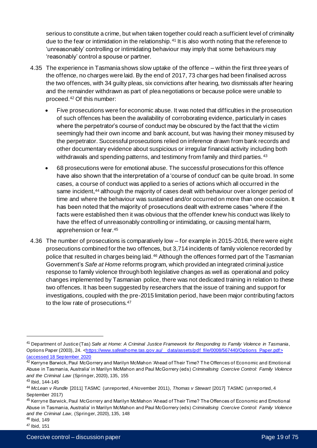serious to constitute a crime, but when taken together could reach a sufficient level of criminality due to the fear or intimidation in the relationship.<sup>41</sup> It is also worth noting that the reference to 'unreasonably' controlling or intimidating behaviour may imply that some behaviours may 'reasonably' control a spouse or partner.

- 4.35 The experience in Tasmania shows slow uptake of the offence within the first three years of the offence, no charges were laid. By the end of 2017, 73 charges had been finalised across the two offences, with 34 guilty pleas, six convictions after hearing, two dismissals after hearing and the remainder withdrawn as part of plea negotiations or because police were unable to proceed.<sup>42</sup> Of this number:
	- Five prosecutions were for economic abuse. It was noted that difficulties in the prosecution of such offences has been the availability of corroborating evidence, particularly in cases where the perpetrator's course of conduct may be obscured by the fact that the victim seemingly had their own income and bank account, but was having their money misused by the perpetrator. Successful prosecutions relied on inference drawn from bank records and other documentary evidence about suspicious or irregular financial activity including both withdrawals and spending patterns, and testimony from family and third parties. 43
	- 68 prosecutions were for emotional abuse. The successful prosecutions for this offence have also shown that the interpretation of a 'course of conduct' can be quite broad. In some cases, a course of conduct was applied to a series of actions which all occurred in the same incident,<sup>44</sup> although the majority of cases dealt with behaviour over a longer period of time and where the behaviour was sustained and/or occurred on more than one occasion. It has been noted that the majority of prosecutions dealt with extreme cases "where if the facts were established then it was obvious that the offender knew his conduct was likely to have the effect of unreasonably controlling or intimidating, or causing mental harm, apprehension or fear.<sup>45</sup>
- 4.36 The number of prosecutions is comparatively low for example in 2015-2016, there were eight prosecutions combined for the two offences, but 3,714 incidents of family violence recorded by police that resulted in charges being laid.<sup>46</sup> Although the offences formed part of the Tasmanian Government's *Safe at Home* reforms program, which provided an integrated criminal justice response to family violence through both legislative changes as well as operational and policy changes implemented by Tasmanian police, there was not dedicated training in relation to these two offences. It has been suggested by researchers that the issue of training and support for investigations, coupled with the pre-2015 limitation period, have been major contributing factors to the low rate of prosecutions.<sup>47</sup>

<sup>41</sup> Department of Justice (Tas) *Safe at Home: A Criminal Justice Framework for Responding to Family Violence in Tasmania*, Options Paper (2003), 24. <https://www.safeathome.tas.gov.au/ data/assets/pdf\_file/0008/567440/Options\_Paper.pdf> (accessed 18 September 2020

<sup>42</sup> Kerryne Barwick, Paul McGorrery and Marilyn McMahon 'Ahead of Their Time? The Offences of Economic and Emotional Abuse in Tasmania, Australia' in Marilyn McMahon and Paul McGorrery (eds) *Criminalising Coercive Control: Family Violence and the Criminal Law* (Springer, 2020), 135, 155

<sup>43</sup> Ibid, 144-145

<sup>44</sup> *McLean v Rundle* [2011] TASMC (unreported, 4 November 2011), *Thomas v Stewart* [2017] TASMC (unreported, 4 September 2017)

<sup>45</sup> Kerryne Barwick, Paul McGorrery and Marilyn McMahon 'Ahead of Their Time? The Offences of Economic and Emotional Abuse in Tasmania, Australia' in Marilyn McMahon and Paul McGorrery (eds) *Criminalising Coercive Control: Family Violence and the Criminal Law*, (Springer, 2020), 135, 148 <sup>46</sup> Ibid*,* 149

<sup>47</sup> Ibid*,* 151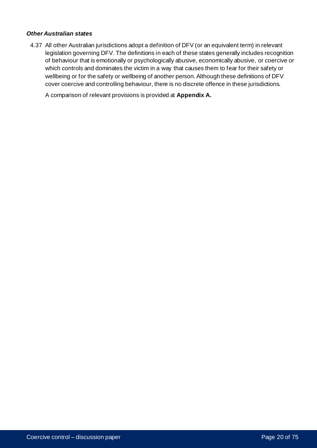#### *Other Australian states*

4.37 All other Australian jurisdictions adopt a definition of DFV (or an equivalent term) in relevant legislation governing DFV. The definitions in each of these states generally includes recognition of behaviour that is emotionally or psychologically abusive, economically abusive, or coercive or which controls and dominates the victim in a way that causes them to fear for their safety or wellbeing or for the safety or wellbeing of another person. Although these definitions of DFV cover coercive and controlling behaviour, there is no discrete offence in these jurisdictions.

A comparison of relevant provisions is provided at **Appendix A.**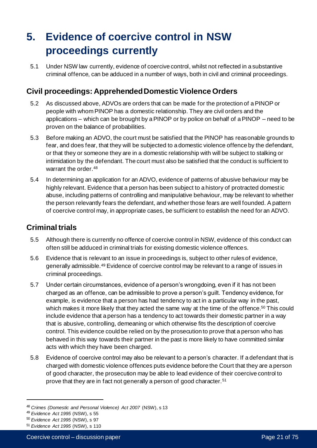# **5. Evidence of coercive control in NSW proceedings currently**

5.1 Under NSW law currently, evidence of coercive control, whilst not reflected in a substantive criminal offence, can be adduced in a number of ways, both in civil and criminal proceedings.

# **Civil proceedings: Apprehended Domestic Violence Orders**

- 5.2 As discussed above, ADVOs are orders that can be made for the protection of a PINOP or people with whom PINOP has a domestic relationship. They are civil orders and the applications – which can be brought by a PINOP or by police on behalf of a PINOP – need to be proven on the balance of probabilities.
- 5.3 Before making an ADVO, the court must be satisfied that the PINOP has reasonable grounds to fear, and does fear, that they will be subjected to a domestic violence offence by the defendant, or that they or someone they are in a domestic relationship with will be subject to stalking or intimidation by the defendant. The court must also be satisfied that the conduct is sufficient to warrant the order.<sup>48</sup>
- 5.4 In determining an application for an ADVO, evidence of patterns of abusive behaviour may be highly relevant. Evidence that a person has been subject to a history of protracted domestic abuse, including patterns of controlling and manipulative behaviour, may be relevant to whether the person relevantly fears the defendant, and whether those fears are well founded. A pattern of coercive control may, in appropriate cases, be sufficient to establish the need for an ADVO.

# **Criminal trials**

- 5.5 Although there is currently no offence of coercive control in NSW, evidence of this conduct can often still be adduced in criminal trials for existing domestic violence offences.
- 5.6 Evidence that is relevant to an issue in proceedings is, subject to other rules of evidence, generally admissible.<sup>49</sup> Evidence of coercive control may be relevant to a range of issues in criminal proceedings.
- 5.7 Under certain circumstances, evidence of a person's wrongdoing, even if it has not been charged as an offence, can be admissible to prove a person's guilt. Tendency evidence, for example, is evidence that a person has had tendency to act in a particular way in the past, which makes it more likely that they acted the same way at the time of the offence.<sup>50</sup> This could include evidence that a person has a tendency to act towards their domestic partner in a way that is abusive, controlling, demeaning or which otherwise fits the description of coercive control. This evidence could be relied on by the prosecution to prove that a person who has behaved in this way towards their partner in the past is more likely to have committed similar acts with which they have been charged.
- 5.8 Evidence of coercive control may also be relevant to a person's character. If a defendant that is charged with domestic violence offences puts evidence before the Court that they are a person of good character, the prosecution may be able to lead evidence of their coercive control to prove that they are in fact not generally a person of good character.<sup>51</sup>

<sup>48</sup> *Crimes (Domestic and Personal Violence) Act 2007* (NSW), s 13

<sup>49</sup> *Evidence Act 1995* (NSW), s 55

<sup>50</sup> *Evidence Act 1995* (NSW), s 97

<sup>51</sup> *Evidence Act 1995* (NSW), s 110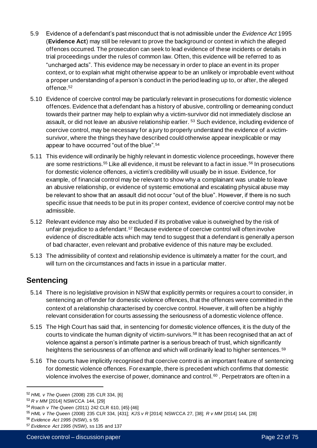- 5.9 Evidence of a defendant's past misconduct that is not admissible under the *Evidence Act* 1995 (**Evidence Act**) may still be relevant to prove the background or context in which the alleged offences occurred. The prosecution can seek to lead evidence of these incidents or details in trial proceedings under the rules of common law. Often, this evidence will be referred to as "uncharged acts". This evidence may be necessary in order to place an event in its proper context, or to explain what might otherwise appear to be an unlikely or improbable event without a proper understanding of a person's conduct in the period leading up to, or after, the alleged offence.<sup>52</sup>
- 5.10 Evidence of coercive control may be particularly relevant in prosecutions for domestic violence offences. Evidence that a defendant has a history of abusive, controlling or demeaning conduct towards their partner may help to explain why a victim-survivor did not immediately disclose an assault, or did not leave an abusive relationship earlier. <sup>53</sup> Such evidence, including evidence of coercive control, may be necessary for a jury to properly understand the evidence of a victimsurvivor, where the things they have described could otherwise appear inexplicable or may appear to have occurred "out of the blue".<sup>54</sup>
- 5.11 This evidence will ordinarily be highly relevant in domestic violence proceedings, however there are some restrictions.<sup>55</sup> Like all evidence, it must be relevant to a fact in issue.<sup>56</sup> In prosecutions for domestic violence offences, a victim's credibility will usually be in issue. Evidence, for example, of financial control may be relevant to show why a complainant was unable to leave an abusive relationship, or evidence of systemic emotional and escalating physical abuse may be relevant to show that an assault did not occur "out of the blue". However, if there is no such specific issue that needs to be put in its proper context, evidence of coercive control may not be admissible.
- 5.12 Relevant evidence may also be excluded if its probative value is outweighed by the risk of unfair prejudice to a defendant.<sup>57</sup> Because evidence of coercive control will often involve evidence of discreditable acts which may tend to suggest that a defendant is generally a person of bad character, even relevant and probative evidence of this nature may be excluded.
- 5.13 The admissibility of context and relationship evidence is ultimately a matter for the court, and will turn on the circumstances and facts in issue in a particular matter.

# **Sentencing**

- 5.14 There is no legislative provision in NSW that explicitly permits or requires a court to consider, in sentencing an offender for domestic violence offences, that the offences were committed in the context of a relationship characterised by coercive control. However, it will often be a highly relevant consideration for courts assessing the seriousness of a domestic violence offence.
- 5.15 The High Court has said that, in sentencing for domestic violence offences, it is the duty of the courts to vindicate the human dignity of victim-survivors.<sup>58</sup> It has been recognised that an act of violence against a person's intimate partner is a serious breach of trust, which significantly heightens the seriousness of an offence and which will ordinarily lead to higher sentences. <sup>59</sup>
- 5.16 The courts have implicitly recognised that coercive control is an important feature of sentencing for domestic violence offences. For example, there is precedent which confirms that domestic violence involves the exercise of power, dominance and control.<sup>60</sup> . Perpetrators are often in a

<sup>52</sup> *HML v The Queen* (2008) 235 CLR 334, [6]

<sup>53</sup> *R v MM* [2014] NSWCCA 144, [29]

<sup>54</sup> *Roach v The Queen* (2011) 242 CLR 610, [45]-[46]

<sup>55</sup> *HML v The Queen* (2008) 235 CLR 334*,* [431]; *KJS v R* [2014] NSWCCA 27, [38]; *R v MM* [2014] 144, [28]

<sup>56</sup> *Evidence Act 1995* (NSW), s 55

<sup>57</sup> *Evidence Act 1995* (NSW), ss 135 and 137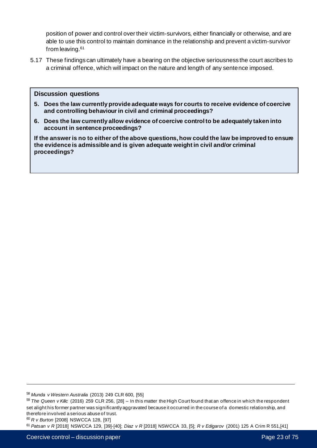position of power and control over their victim-survivors, either financially or otherwise, and are able to use this control to maintain dominance in the relationship and prevent a victim-survivor from leaving.<sup>61</sup>

5.17 These findings can ultimately have a bearing on the objective seriousness the court ascribes to a criminal offence, which will impact on the nature and length of any sentence imposed.

#### **Discussion questions**

- **5. Does the law currently provide adequate ways for courts to receive evidence of coercive and controlling behaviour in civil and criminal proceedings?**
- **6. Does the law currently allow evidence of coercive control to be adequately taken into account in sentence proceedings?**

**If the answer is no to either of the above questions, how could the law be improved to ensure the evidence is admissible and is given adequate weight in civil and/or criminal proceedings?**

<sup>58</sup> *Munda v Western Australia* (2013) 249 CLR 600, [55]

<sup>59</sup> *The Queen v Kilic* (2016) 259 CLR 256, [28] – In this matter the High Court found that an offence in which the respondent set alight his former partner was significantly aggravated because it occurred in the course of a domestic relationship, and therefore involved a serious abuse of trust.

<sup>60</sup> *R v Burton* [2008] NSWCCA 128, [97]

<sup>61</sup> *Patsan v R* [2018] NSWCCA 129, [39]-[40]; *Diaz v R* [2018] NSWCCA 33, [5]; *R v Edigarov* (2001) 125 A Crim R 551,[41]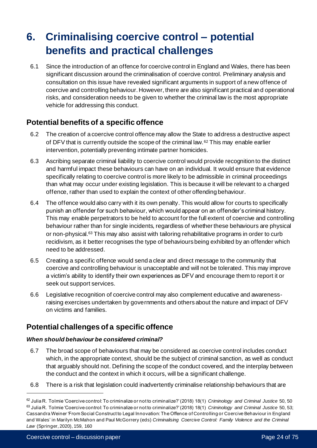# **6. Criminalising coercive control – potential benefits and practical challenges**

6.1 Since the introduction of an offence for coercive control in England and Wales, there has been significant discussion around the criminalisation of coercive control. Preliminary analysis and consultation on this issue have revealed significant arguments in support of a new offence of coercive and controlling behaviour. However, there are also significant practical and operational risks, and consideration needs to be given to whether the criminal law is the most appropriate vehicle for addressing this conduct.

# **Potential benefits of a specific offence**

- 6.2 The creation of a coercive control offence may allow the State to address a destructive aspect of DFV that is currently outside the scope of the criminal law.<sup>62</sup> This may enable earlier intervention, potentially preventing intimate partner homicides.
- 6.3 Ascribing separate criminal liability to coercive control would provide recognition to the distinct and harmful impact these behaviours can have on an individual. It would ensure that evidence specifically relating to coercive control is more likely to be admissible in criminal proceedings than what may occur under existing legislation. This is because it will be relevant to a charged offence, rather than used to explain the context of other offending behaviour.
- 6.4 The offence would also carry with it its own penalty. This would allow for courts to specifically punish an offender for such behaviour, which would appear on an offender's criminal history. This may enable perpetrators to be held to account for the full extent of coercive and controlling behaviour rather than for single incidents, regardless of whether these behaviours are physical or non-physical.<sup>63</sup> This may also assist with tailoring rehabilitative programs in order to curb recidivism, as it better recognises the type of behaviours being exhibited by an offender which need to be addressed.
- 6.5 Creating a specific offence would send a clear and direct message to the community that coercive and controlling behaviour is unacceptable and will not be tolerated. This may improve a victim's ability to identify their own experiences as DFV and encourage them to report it or seek out support services.
- 6.6 Legislative recognition of coercive control may also complement educative and awarenessraising exercises undertaken by governments and others about the nature and impact of DFV on victims and families.

# **Potential challenges of a specific offence**

#### *When should behaviour be considered criminal?*

- 6.7 The broad scope of behaviours that may be considered as coercive control includes conduct which, in the appropriate context, should be the subject of criminal sanction, as well as conduct that arguably should not. Defining the scope of the conduct covered, and the interplay between the conduct and the context in which it occurs, will be a significant challenge.
- 6.8 There is a risk that legislation could inadvertently criminalise relationship behaviours that are

<sup>62</sup> Julia R. Tolmie 'Coercive control: To criminalize or not to criminalize?' (2018) 18(1) *Criminology and Criminal Justice* 50, 50 <sup>63</sup> Julia R. Tolmie 'Coercive control: To criminalize or not to criminalize?' (2018) 18(1) *Criminology and Criminal Justice* 50, 53; Cassandra Weiner 'From Social Construct to Legal Innovation: The Offence of Controlling or Coercive Behaviour in England and Wales' in Marilyn McMahon and Paul McGorrery (eds) *Criminalising Coercive Control: Family Violence and the Criminal Law* (Springer, 2020), 159, 160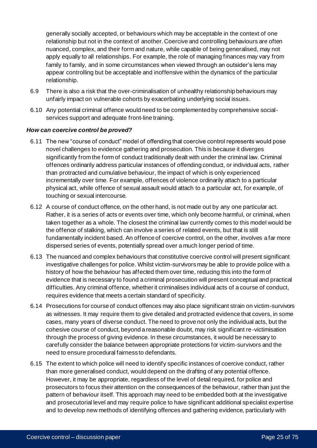generally socially accepted, or behaviours which may be acceptable in the context of one relationship but not in the context of another. Coercive and controlling behaviours are often nuanced, complex, and their form and nature, while capable of being generalised, may not apply equally to all relationships. For example, the role of managing finances may vary from family to family, and in some circumstances when viewed through an outsider's lens may appear controlling but be acceptable and inoffensive within the dynamics of the particular relationship.

- 6.9 There is also a risk that the over-criminalisation of unhealthy relationship behaviours may unfairly impact on vulnerable cohorts by exacerbating underlying social issues.
- 6.10 Any potential criminal offence would need to be complemented by comprehensive socialservices support and adequate front-line training.

#### *How can coercive control be proved?*

- 6.11 The new "course of conduct" model of offending that coercive control represents would pose novel challenges to evidence gathering and prosecution. This is because it diverges significantly from the form of conduct traditionally dealt with under the criminal law. Criminal offences ordinarily address particular instances of offending conduct, or individual acts, rather than protracted and cumulative behaviour, the impact of which is only experienced incrementally over time. For example, offences of violence ordinarily attach to a particular physical act, while offence of sexual assault would attach to a particular act, for example, of touching or sexual intercourse.
- 6.12 A course of conduct offence, on the other hand, is not made out by any one particular act. Rather, it is a series of acts or events over time, which only become harmful, or criminal, when taken together as a whole. The closest the criminal law currently comes to this model would be the offence of stalking, which can involve a series of related events, but that is still fundamentally incident based. An offence of coercive control, on the other, involves a far more dispersed series of events, potentially spread over a much longer period of time.
- 6.13 The nuanced and complex behaviours that constitutive coercive control will present significant investigative challenges for police. Whilst victim-survivors may be able to provide police with a history of how the behaviour has affected them over time, reducing this into the form of evidence that is necessary to found a criminal prosecution will present conceptual and practical difficulties. Any criminal offence, whether it criminalises individual acts of a course of conduct, requires evidence that meets a certain standard of specificity.
- 6.14 Prosecutions for course of conduct offences may also place significant strain on victim-survivors as witnesses. It may require them to give detailed and protracted evidence that covers, in some cases, many years of diverse conduct. The need to prove not only the individual acts, but the cohesive course of conduct, beyond a reasonable doubt, may risk significant re-victimisation through the process of giving evidence. In these circumstances, it would be necessary to carefully consider the balance between appropriate protections for victim-survivors and the need to ensure procedural fairness to defendants.
- 6.15 The extent to which police will need to identify specific instances of coercive conduct, rather than more generalised conduct, would depend on the drafting of any potential offence. However, it may be appropriate, regardless of the level of detail required, for police and prosecutors to focus their attention on the consequences of the behaviour, rather than just the pattern of behaviour itself. This approach may need to be embedded both at the investigative and prosecutorial level and may require police to have significant additional specialist expertise and to develop new methods of identifying offences and gathering evidence, particularly with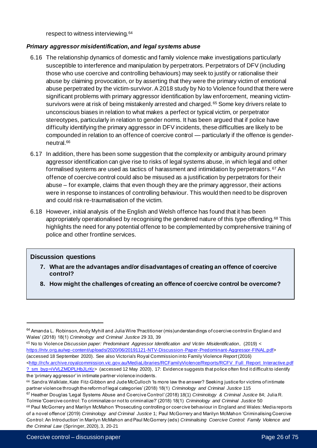respect to witness interviewing.<sup>64</sup>

#### *Primary aggressor misidentification, and legal systems abuse*

- 6.16 The relationship dynamics of domestic and family violence make investigations particularly susceptible to interference and manipulation by perpetrators. Perpetrators of DFV (including those who use coercive and controlling behaviours) may seek to justify or rationalise their abuse by claiming provocation, or by asserting that they were the primary victim of emotional abuse perpetrated by the victim-survivor. A 2018 study by No to Violence found that there were significant problems with primary aggressor identification by law enforcement, meaning victimsurvivors were at risk of being mistakenly arrested and charged.<sup>65</sup> Some key drivers relate to unconscious biases in relation to what makes a perfect or typical victim, or perpetrator stereotypes, particularly in relation to gender norms. It has been argued that if police have difficulty identifying the primary aggressor in DFV incidents, these difficulties are likely to be compounded in relation to an offence of coercive control — particularly if the offence is genderneutral.<sup>66</sup>
- 6.17 In addition, there has been some suggestion that the complexity or ambiguity around primary aggressor identification can give rise to risks of legal systems abuse, in which legal and other formalised systems are used as tactics of harassment and intimidation by perpetrators. <sup>67</sup> An offence of coercive control could also be misused as a justification by perpetrators for their abuse – for example, claims that even though they are the primary aggressor, their actions were in response to instances of controlling behaviour. This would then need to be disproven and could risk re-traumatisation of the victim.
- 6.18 However, initial analysis of the English and Welsh offence has found that it has been appropriately operationalised by recognising the gendered nature of this type offending.<sup>68</sup> This highlights the need for any potential offence to be complemented by comprehensive training of police and other frontline services.

#### **Discussion questions**

- **7. What are the advantages and/or disadvantages of creating an offence of coercive control?**
- **8. How might the challenges of creating an offence of coercive control be overcome?**

<sup>65</sup> No to Violence *Discussion paper: Predominant Aggressor Identification and Victim Misidentification*, (2019) < <https://ntv.org.au/wp-content/uploads/2020/06/20191121-NTV-Discussion-Paper-Predominant-Aggressor-FINAL.pdf>> (accessed 18 September 2020). See also Victoria's Royal Commission into Family Violence *Report* (2016) [<http://rcfv.archive.royalcommission.vic.gov.au/MediaLibraries/RCFamilyViolence/Reports/RCFV\\_Full\\_Report\\_Interactive.pdf](http://rcfv.archive.royalcommission.vic.gov.au/MediaLibraries/RCFamilyViolence/Reports/RCFV_Full_Report_Interactive.pdf?_sm_byp=iVVLZMDPLHbJLrKr) ? sm\_byp=iVVLZMDPLHbJLrKr> (accessed 12 May 2020), 17: Evidence suggests that police often find it difficult to identify the 'primary aggressor' in intimate partner violence incidents.

 $64$  Amanda L. Robinson, Andy Myhill and Julia Wire 'Practitioner (mis)understandings of coercive control in England and Wales' (2018) 18(1) *Criminology and Criminal Justice* 29 33, 39

<sup>66</sup> Sandra Walklate, Kate Fitz-Gibbon and Jude McCulloch 'Is more law the answer? Seeking justice for victims of intimate partner violence through the reform of legal categories' (2018) 18(1) *Criminology and Criminal Justice* 115

<sup>67</sup> Heather Douglas 'Legal Systems Abuse and Coercive Control' (2018) 18(1) *Criminology & Criminal Justice* 84; Julia R. Tolmie 'Coercive control: To criminalize or not to criminalize?' (2018) 18(1) *Criminology and Criminal Justice* 50

<sup>68</sup> Paul McGorrery and Marilyn McMahon 'Prosecuting controlling or coercive behaviour in England and Wales: Media reports of a novel offence' (2019) *Criminology and Criminal Justice* 1; Paul McGorrery and Marilyn McMahon 'Criminalising Coercive Control: An Introduction' in Marilyn McMahon and Paul McGorrery (eds) *Criminalising Coercive Control: Family Violence and the Criminal Law* (Springer, 2020), 3, 20-21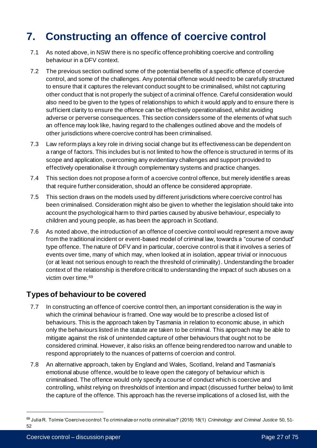# **7. Constructing an offence of coercive control**

- 7.1 As noted above, in NSW there is no specific offence prohibiting coercive and controlling behaviour in a DFV context.
- 7.2 The previous section outlined some of the potential benefits of a specific offence of coercive control, and some of the challenges. Any potential offence would need to be carefully structured to ensure that it captures the relevant conduct sought to be criminalised, whilst not capturing other conduct that is not properly the subject of a criminal offence. Careful consideration would also need to be given to the types of relationships to which it would apply and to ensure there is sufficient clarity to ensure the offence can be effectively operationalised, whilst avoiding adverse or perverse consequences. This section considers some of the elements of what such an offence may look like, having regard to the challenges outlined above and the models of other jurisdictions where coercive control has been criminalised.
- 7.3 Law reform plays a key role in driving social change but its effectiveness can be dependent on a range of factors. This includes but is not limited to how the offence is structured in terms of its scope and application, overcoming any evidentiary challenges and support provided to effectively operationalise it through complementary systems and practice changes.
- 7.4 This section does not propose a form of a coercive control offence, but merely identifies areas that require further consideration, should an offence be considered appropriate.
- 7.5 This section draws on the models used by different jurisdictions where coercive control has been criminalised. Consideration might also be given to whether the legislation should take into account the psychological harm to third parties caused by abusive behaviour, especially to children and young people, as has been the approach in Scotland.
- 7.6 As noted above, the introduction of an offence of coercive control would represent a move away from the traditional incident or event-based model of criminal law, towards a "course of conduct" type offence. The nature of DFV and in particular, coercive control is that it involves a series of events over time, many of which may, when looked at in isolation, appear trivial or innocuous (or at least not serious enough to reach the threshold of criminality). Understanding the broader context of the relationship is therefore critical to understanding the impact of such abuses on a victim over time.<sup>69</sup>

## **Types of behaviour to be covered**

- 7.7 In constructing an offence of coercive control then, an important consideration is the way in which the criminal behaviour is framed. One way would be to prescribe a closed list of behaviours. This is the approach taken by Tasmania in relation to economic abuse, in which only the behaviours listed in the statute are taken to be criminal. This approach may be able to mitigate against the risk of unintended capture of other behaviours that ought not to be considered criminal. However, it also risks an offence being rendered too narrow and unable to respond appropriately to the nuances of patterns of coercion and control.
- 7.8 An alternative approach, taken by England and Wales, Scotland, Ireland and Tasmania's emotional abuse offence, would be to leave open the category of behaviour which is criminalised. The offence would only specify a course of conduct which is coercive and controlling, whilst relying on thresholds of intention and impact (discussed further below) to limit the capture of the offence. This approach has the reverse implications of a closed list, with the

<sup>69</sup> Julia R. Tolmie 'Coercive control: To criminalize or not to criminalize?' (2018) 18(1) *Criminology and Criminal Justice* 50, 51- 52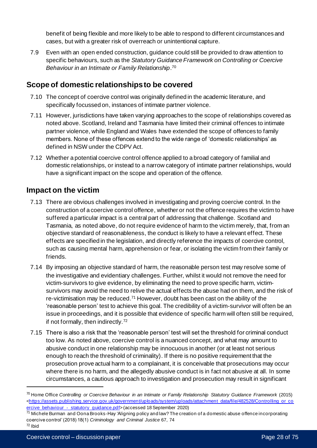benefit of being flexible and more likely to be able to respond to different circumstances and cases, but with a greater risk of overreach or unintentional capture.

7.9 Even with an open ended construction, guidance could still be provided to draw attention to specific behaviours, such as the *Statutory Guidance Framework on Controlling or Coercive Behaviour in an Intimate or Family Relationship*. 70

## **Scope of domestic relationships to be covered**

- 7.10 The concept of coercive control was originally defined in the academic literature, and specifically focussed on, instances of intimate partner violence.
- 7.11 However, jurisdictions have taken varying approaches to the scope of relationships covered as noted above. Scotland, Ireland and Tasmania have limited their criminal offences to intimate partner violence, while England and Wales have extended the scope of offences to family members. None of these offences extend to the wide range of 'domestic relationships' as defined in NSW under the CDPV Act.
- 7.12 Whether a potential coercive control offence applied to a broad category of familial and domestic relationships, or instead to a narrow category of intimate partner relationships, would have a significant impact on the scope and operation of the offence.

## **Impact on the victim**

- 7.13 There are obvious challenges involved in investigating and proving coercive control. In the construction of a coercive control offence, whether or not the offence requires the victim to have suffered a particular impact is a central part of addressing that challenge. Scotland and Tasmania, as noted above, do not require evidence of harm to the victim merely, that, from an objective standard of reasonableness, the conduct is likely to have a relevant effect. These effects are specified in the legislation, and directly reference the impacts of coercive control, such as causing mental harm, apprehension or fear, or isolating the victim from their family or friends.
- 7.14 By imposing an objective standard of harm, the reasonable person test may resolve some of the investigative and evidentiary challenges. Further, whilst it would not remove the need for victim-survivors to give evidence, by eliminating the need to prove specific harm, victimsurvivors may avoid the need to relive the actual effects the abuse had on them, and the risk of re-victimisation may be reduced.<sup>71</sup> However, doubt has been cast on the ability of the 'reasonable person' test to achieve this goal. The credibility of a victim-survivor will often be an issue in proceedings, and it is possible that evidence of specific harm will often still be required, if not formally, then indirectly.<sup>72</sup>
- 7.15 There is also a risk that the 'reasonable person' test will set the threshold for criminal conduct too low. As noted above, coercive control is a nuanced concept, and what may amount to abusive conduct in one relationship may be innocuous in another (or at least not serious enough to reach the threshold of criminality). If there is no positive requirement that the prosecution prove actual harm to a complainant, it is conceivable that prosecutions may occur where there is no harm, and the allegedly abusive conduct is in fact not abusive at all. In some circumstances, a cautious approach to investigation and prosecution may result in significant

 $72$  Ibid

<sup>70</sup> Home Office *Controlling or Coercive Behaviour in an Intimate or Family Relationship Statutory Guidance Framework* (2015) [<https://assets.publishing.service.gov.uk/government/uploads/system/uploads/attachment\\_data/file/482528/Controlling\\_or\\_co](https://assets.publishing.service.gov.uk/government/uploads/system/uploads/attachment_data/file/482528/Controlling_or_coercive_behaviour_-_statutory_guidance.pdf) ercive\_behaviour - statutory\_quidance.pdf> (accessed 18 September 2020)

<sup>71</sup> Michele Burman and Oona Brooks-Hay 'Aligning policy and law? The creation of a domestic abuse offence incorporating coercive control' (2018) 18(1) *Criminology and Criminal Justice* 67, 74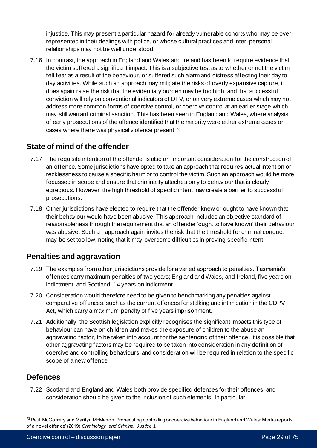injustice. This may present a particular hazard for already vulnerable cohorts who may be overrepresented in their dealings with police, or whose cultural practices and inter-personal relationships may not be well understood.

7.16 In contrast, the approach in England and Wales and Ireland has been to require evidence that the victim suffered a significant impact. This is a subjective test as to whether or not the victim felt fear as a result of the behaviour, or suffered such alarm and distress affecting their day to day activities. While such an approach may mitigate the risks of overly expansive capture, it does again raise the risk that the evidentiary burden may be too high, and that successful conviction will rely on conventional indicators of DFV, or on very extreme cases which may not address more common forms of coercive control, or coercive control at an earlier stage which may still warrant criminal sanction. This has been seen in England and Wales, where analysis of early prosecutions of the offence identified that the majority were either extreme cases or cases where there was physical violence present.<sup>73</sup>

# **State of mind of the offender**

- 7.17 The requisite intention of the offender is also an important consideration for the construction of an offence. Some jurisdictions have opted to take an approach that requires actual intention or recklessness to cause a specific harm or to control the victim. Such an approach would be more focussed in scope and ensure that criminality attaches only to behaviour that is clearly egregious. However, the high threshold of specific intent may create a barrier to successful prosecutions.
- 7.18 Other jurisdictions have elected to require that the offender knew or ought to have known that their behaviour would have been abusive. This approach includes an objective standard of reasonableness through the requirement that an offender 'ought to have known' their behaviour was abusive. Such an approach again invites the risk that the threshold for criminal conduct may be set too low, noting that it may overcome difficulties in proving specific intent.

# **Penalties and aggravation**

- 7.19 The examples from other jurisdictions provide for a varied approach to penalties. Tasmania's offences carry maximum penalties of two years; England and Wales, and Ireland, five years on indictment; and Scotland, 14 years on indictment.
- 7.20 Consideration would therefore need to be given to benchmarking any penalties against comparative offences, such as the current offences for stalking and intimidation in the CDPV Act, which carry a maximum penalty of five years imprisonment.
- 7.21 Additionally, the Scottish legislation explicitly recognises the significant impacts this type of behaviour can have on children and makes the exposure of children to the abuse an aggravating factor, to be taken into account for the sentencing of their offence. It is possible that other aggravating factors may be required to be taken into consideration in any definition of coercive and controlling behaviours, and consideration will be required in relation to the specific scope of a new offence.

### **Defences**

7.22 Scotland and England and Wales both provide specified defences for their offences, and consideration should be given to the inclusion of such elements. In particular:

<sup>&</sup>lt;sup>73</sup> Paul McGorrery and Marilyn McMahon 'Prosecuting controlling or coercive behaviour in England and Wales: Media reports of a novel offence' (2019) *Criminology and Criminal Justice* 1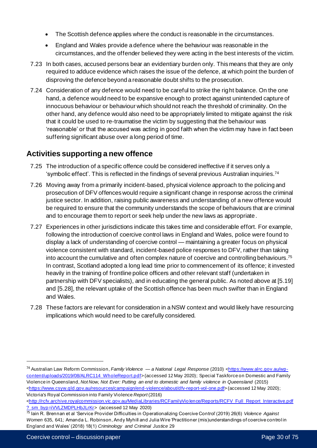- The Scottish defence applies where the conduct is reasonable in the circumstances.
- England and Wales provide a defence where the behaviour was reasonable in the circumstances, and the offender believed they were acting in the best interests of the victim.
- 7.23 In both cases, accused persons bear an evidentiary burden only. This means that they are only required to adduce evidence which raises the issue of the defence, at which point the burden of disproving the defence beyond a reasonable doubt shifts to the prosecution.
- 7.24 Consideration of any defence would need to be careful to strike the right balance. On the one hand, a defence would need to be expansive enough to protect against unintended capture of innocuous behaviour or behaviour which should not reach the threshold of criminality. On the other hand, any defence would also need to be appropriately limited to mitigate against the risk that it could be used to re-traumatise the victim by suggesting that the behaviour was 'reasonable' or that the accused was acting in good faith when the victim may have in fact been suffering significant abuse over a long period of time.

# **Activities supporting a new offence**

- 7.25 The introduction of a specific offence could be considered ineffective if it serves only a 'symbolic effect'. This is reflected in the findings of several previous Australian inquiries. 74
- 7.26 Moving away from a primarily incident-based, physical violence approach to the policing and prosecution of DFV offences would require a significant change in response across the criminal justice sector. In addition, raising public awareness and understanding of a new offence would be required to ensure that the community understands the scope of behaviours that are criminal and to encourage them to report or seek help under the new laws as appropriate.
- 7.27 Experiences in other jurisdictions indicate this takes time and considerable effort. For example, following the introduction of coercive control laws in England and Wales, police were found to display a lack of understanding of coercive control — maintaining a greater focus on physical violence consistent with standard, incident-based police responses to DFV, rather than taking into account the cumulative and often complex nature of coercive and controlling behaviours. 75 In contrast, Scotland adopted a long lead time prior to commencement of its offence; it invested heavily in the training of frontline police officers and other relevant staff (undertaken in partnership with DFV specialists), and in educating the general public. As noted above at [5.19] and [5.28], the relevant uptake of the Scottish offence has been much swifter than in England and Wales.
- 7.28 These factors are relevant for consideration in a NSW context and would likely have resourcing implications which would need to be carefully considered.

<sup>&</sup>lt;sup>74</sup> Australian Law Reform Commission, *Family Violence* — *a National Legal Response* (2010) [<https://www.alrc.gov.au/wp](https://www.alrc.gov.au/wp-content/uploads/2019/08/ALRC114_WholeReport.pdf)[content/uploads/2019/08/ALRC114\\_WholeReport.pdf](https://www.alrc.gov.au/wp-content/uploads/2019/08/ALRC114_WholeReport.pdf)> (accessed 12 May 2020); Special Taskforce on Domestic and Family Violence in Queensland, *Not Now, Not Ever: Putting an end to domestic and family violence in Queensland* (2015) [<https://www.csyw.qld.gov.au/resources/campaign/end-violence/about/dfv-report-vol-one.pdf](https://www.csyw.qld.gov.au/resources/campaign/end-violence/about/dfv-report-vol-one.pdf)> (accessed 12 May 2020); Victoria's Royal Commission into Family Violence *Report* (2016)

[<sup>&</sup>lt;http://rcfv.archive.royalcommission.vic.gov.au/MediaLibraries/RCFamilyVio](http://rcfv.archive.royalcommission.vic.gov.au/MediaLibraries/RCFamilyViolence/Reports/RCFV_Full_Report_Interactive.pdf?_sm_byp=iVVLZMDPLHbJLrKr) lence/Reports/RCFV\_Full\_Report\_Interactive.pdf ? sm\_byp=iVVLZMDPLHbJLrKr> (accessed 12 May 2020)

<sup>75</sup> Iain R. Brennan et al 'Service Provider Difficulties in Operationalizing Coercive Control' (2019) 26(6) *Violence Against Women* 635, 641; Amanda L. Robinson, Andy Myhill and Julia Wire 'Practitioner (mis)understandings of coercive control in England and Wales' (2018) 18(1) *Criminology and Criminal Justice* 29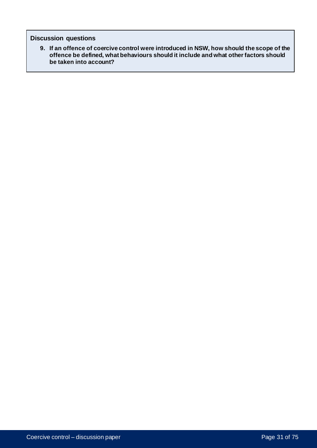#### **Discussion questions**

**9. If an offence of coercive control were introduced in NSW, how should the scope of the offence be defined, what behaviours should it include and what other factors should be taken into account?**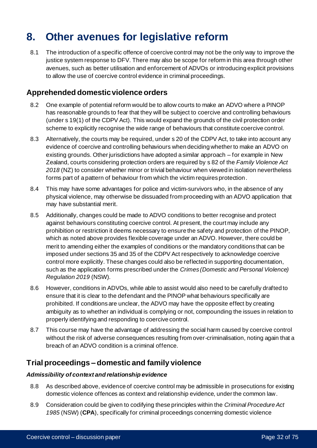# **8. Other avenues for legislative reform**

8.1 The introduction of a specific offence of coercive control may not be the only way to improve the justice system response to DFV. There may also be scope for reform in this area through other avenues, such as better utilisation and enforcement of ADVOs or introducing explicit provisions to allow the use of coercive control evidence in criminal proceedings.

### **Apprehended domestic violence orders**

- 8.2 One example of potential reform would be to allow courts to make an ADVO where a PINOP has reasonable grounds to fear that they will be subject to coercive and controlling behaviours (under s 19(1) of the CDPV Act). This would expand the grounds of the civil protection order scheme to explicitly recognise the wide range of behaviours that constitute coercive control.
- 8.3 Alternatively, the courts may be required, under s 20 of the CDPV Act, to take into account any evidence of coercive and controlling behaviours when deciding whether to make an ADVO on existing grounds. Other jurisdictions have adopted a similar approach – for example in New Zealand, courts considering protection orders are required by s 82 of the *Family Violence Act 2018* (NZ) to consider whether minor or trivial behaviour when viewed in isolation nevertheless forms part of a pattern of behaviour from which the victim requires protection.
- 8.4 This may have some advantages for police and victim-survivors who, in the absence of any physical violence, may otherwise be dissuaded from proceeding with an ADVO application that may have substantial merit.
- 8.5 Additionally, changes could be made to ADVO conditions to better recognise and protect against behaviours constituting coercive control. At present, the court may include any prohibition or restriction it deems necessary to ensure the safety and protection of the PINOP, which as noted above provides flexible coverage under an ADVO. However, there could be merit to amending either the examples of conditions or the mandatory conditions that can be imposed under sections 35 and 35 of the CDPV Act respectively to acknowledge coercive control more explicitly. These changes could also be reflected in supporting documentation, such as the application forms prescribed under the *Crimes (Domestic and Personal Violence) Regulation 2019* (NSW)*.*
- 8.6 However, conditions in ADVOs, while able to assist would also need to be carefully drafted to ensure that it is clear to the defendant and the PINOP what behaviours specifically are prohibited. If conditions are unclear, the ADVO may have the opposite effect by creating ambiguity as to whether an individual is complying or not, compounding the issues in relation to properly identifying and responding to coercive control.
- 8.7 This course may have the advantage of addressing the social harm caused by coercive control without the risk of adverse consequences resulting from over-criminalisation, noting again that a breach of an ADVO condition is a criminal offence.

## **Trial proceedings – domestic and family violence**

#### *Admissibility of context and relationship evidence*

- 8.8 As described above, evidence of coercive control may be admissible in prosecutions for existing domestic violence offences as context and relationship evidence, under the common law.
- 8.9 Consideration could be given to codifying these principles within the *Criminal Procedure Act 1985* (NSW) (**CPA**), specifically for criminal proceedings concerning domestic violence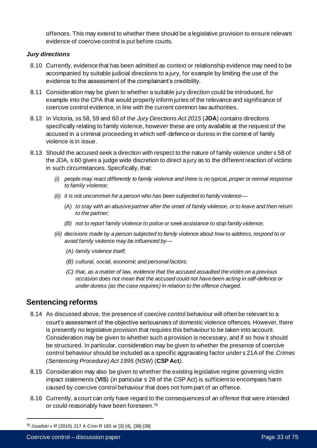offences. This may extend to whether there should be a legislative provision to ensure relevant evidence of coercive control is put before courts.

#### *Jury directions*

- 8.10 Currently, evidence that has been admitted as context or relationship evidence may need to be accompanied by suitable judicial directions to a jury, for example by limiting the use of the evidence to the assessment of the complainant's credibility.
- 8.11 Consideration may be given to whether a suitable jury direction could be introduced, for example into the CPA that would properly inform juries of the relevance and significance of coercive control evidence, in line with the current common law authorities.
- 8.12 In Victoria, ss 58, 59 and 60 of the *Jury Directions Act 2015* (**JDA**) contains directions specifically relating to family violence, however these are only available at the request of the accused in a criminal proceeding in which self-defence or duress in the context of family violence is in issue.
- 8.13 Should the accused seek a direction with respect to the nature of family violence under s 58 of the JDA, s 60 gives a judge wide discretion to direct a jury as to the different reaction of victims in such circumstances. Specifically, that:
	- *(i) people may react differently to family violence and there is no typical, proper or normal response to family violence;*
	- *(ii) it is not uncommon for a person who has been subjected to family violence—*
		- *(A) to stay with an abusive partner after the onset of family violence, or to leave and then return to the partner;*
		- *(B) not to report family violence to police or seek assistance to stop family violence;*
	- *(iii) decisions made by a person subjected to family violence about how to address, respond to or avoid family violence may be influenced by—*
		- *(A) family violence itself;*
		- *(B) cultural, social, economic and personal factors;*
		- *(C) that, as a matter of law, evidence that the accused assaulted the victim on a previous occasion does not mean that the accused could not have been acting in self-defence or under duress (as the case requires) in relation to the offence charged.*

## **Sentencing reforms**

- 8.14 As discussed above, the presence of coercive control behaviour will often be relevant to a court's assessment of the objective seriousness of domestic violence offences. However, there is presently no legislative provision that requires this behaviour to be taken into account. Consideration may be given to whether such a provision is necessary, and if so how it should be structured. In particular, consideration may be given to whether the presence of coercive control behaviour should be included as a specific aggravating factor under s 21A of the *Crimes (Sentencing Procedure) Act 1995* (NSW) (**CSP Act***)*.
- 8.15 Consideration may also be given to whether the existing legislative regime governing victim impact statements (**VIS**) (in particular s 28 of the CSP Act) is sufficient to encompass harm caused by coercive control behaviour that does not form part of an offence.
- 8.16 Currently, a court can only have regard to the consequences of an offence that were intended or could reasonably have been foreseen. 76

<sup>76</sup> *Josefski v R* (2010) 217 A Crim R 183 at [3]-[4], [38]-[39]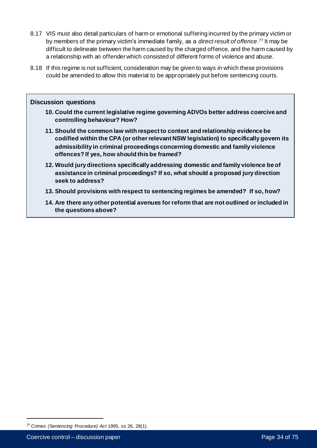- 8.17 VIS must also detail particulars of harm or emotional suffering incurred by the primary victim or by members of the primary victim's immediate family, as a *direct result of offence*. <sup>77</sup> It may be difficult to delineate between the harm caused by the charged offence, and the harm caused by a relationship with an offender which consisted of different forms of violence and abuse.
- 8.18 If this regime is not sufficient, consideration may be given to ways in which these provisions could be amended to allow this material to be appropriately put before sentencing courts.

#### **Discussion questions**

- **10. Could the current legislative regime governing ADVOs better address coercive and controlling behaviour? How?**
- **11. Should the common law with respect to context and relationship evidence be codified within the CPA (or other relevant NSW legislation) to specifically govern its admissibility in criminal proceedings concerning domestic and family violence offences? If yes, how should this be framed?**
- **12. Would jury directions specifically addressing domestic and family violence be of assistance in criminal proceedings? If so, what should a proposed jury direction seek to address?**
- **13. Should provisions with respect to sentencing regimes be amended? If so, how?**
- **14. Are there any other potential avenues for reform that are not outlined or included in the questions above?**

*<sup>77</sup> Crimes (Sentencing Procedure) Act* 1995, ss 26, 28(1).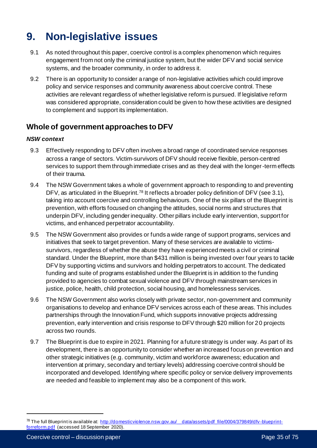# **9. Non-legislative issues**

- 9.1 As noted throughout this paper, coercive control is a complex phenomenon which requires engagement from not only the criminal justice system, but the wider DFV and social service systems, and the broader community, in order to address it.
- 9.2 There is an opportunity to consider a range of non-legislative activities which could improve policy and service responses and community awareness about coercive control. These activities are relevant regardless of whether legislative reform is pursued. If legislative reform was considered appropriate, consideration could be given to how these activities are designed to complement and support its implementation.

# **Whole of government approaches to DFV**

#### *NSW context*

- 9.3 Effectively responding to DFV often involves a broad range of coordinated service responses across a range of sectors. Victim-survivors of DFV should receive flexible, person-centred services to support them through immediate crises and as they deal with the longer-term effects of their trauma.
- 9.4 The NSW Government takes a whole of government approach to responding to and preventing DFV, as articulated in the Blueprint.<sup>78</sup> It reflects a broader policy definition of DFV (see 3.1), taking into account coercive and controlling behaviours. One of the six pillars of the Blueprint is prevention, with efforts focused on changing the attitudes, social norms and structures that underpin DFV, including gender inequality. Other pillars include early intervention, support for victims, and enhanced perpetrator accountability.
- 9.5 The NSW Government also provides or funds a wide range of support programs, services and initiatives that seek to target prevention. Many of these services are available to victimssurvivors, regardless of whether the abuse they have experienced meets a civil or criminal standard. Under the Blueprint, more than \$431 million is being invested over four years to tackle DFV by supporting victims and survivors and holding perpetrators to account. The dedicated funding and suite of programs established under the Blueprint is in addition to the funding provided to agencies to combat sexual violence and DFV through mainstream services in justice, police, health, child protection, social housing, and homelessness services.
- 9.6 The NSW Government also works closely with private sector, non-government and community organisations to develop and enhance DFV services across each of these areas. This includes partnerships through the Innovation Fund, which supports innovative projects addressing prevention, early intervention and crisis response to DFV through \$20 million for 20 projects across two rounds.
- 9.7 The Blueprint is due to expire in 2021. Planning for a future strategy is under way. As part of its development, there is an opportunity to consider whether an increased focus on prevention and other strategic initiatives (e.g. community, victim and workforce awareness; education and intervention at primary, secondary and tertiary levels) addressing coercive control should be incorporated and developed. Identifying where specific policy or service delivery improvements are needed and feasible to implement may also be a component of this work.

<sup>78</sup> The full Blueprint is available at: http://domesticviolence.nsw.gov.au/ data/assets/pdf\_file/0004/379849/dfv-blueprint[forreform.pdf](http://domesticviolence.nsw.gov.au/__data/assets/pdf_file/0004/379849/dfv-blueprint-forreform.pdf) (accessed 18 September 2020).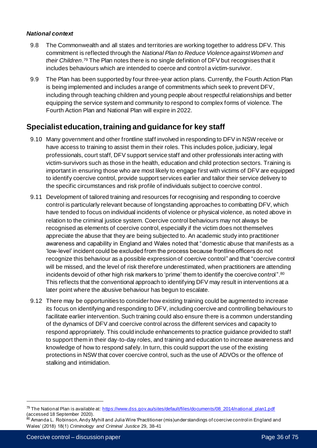#### *National context*

- 9.8 The Commonwealth and all states and territories are working together to address DFV. This commitment is reflected through the *National Plan to Reduce Violence against Women and their Children*. <sup>79</sup> The Plan notes there is no single definition of DFV but recognises that it includes behaviours which are intended to coerce and control a victim-survivor.
- 9.9 The Plan has been supported by four three-year action plans. Currently, the Fourth Action Plan is being implemented and includes a range of commitments which seek to prevent DFV, including through teaching children and young people about respectful relationships and better equipping the service system and community to respond to complex forms of violence. The Fourth Action Plan and National Plan will expire in 2022.

## **Specialist education, training and guidance for key staff**

- 9.10 Many government and other frontline staff involved in responding to DFV in NSW receive or have access to training to assist them in their roles. This includes police, judiciary, legal professionals, court staff, DFV support service staff and other professionals interacting with victim-survivors such as those in the health, education and child protection sectors. Training is important in ensuring those who are most likely to engage first with victims of DFV are equipped to identify coercive control, provide support services earlier and tailor their service delivery to the specific circumstances and risk profile of individuals subject to coercive control.
- 9.11 Development of tailored training and resources for recognising and responding to coercive control is particularly relevant because of longstanding approaches to combatting DFV, which have tended to focus on individual incidents of violence or physical violence, as noted above in relation to the criminal justice system. Coercive control behaviours may not always be recognised as elements of coercive control, especially if the victim does not themselves appreciate the abuse that they are being subjected to. An academic study into practitioner awareness and capability in England and Wales noted that "domestic abuse that manifests as a 'low-level' incident could be excluded from the process because frontline officers do not recognize this behaviour as a possible expression of coercive control" and that "coercive control will be missed, and the level of risk therefore underestimated, when practitioners are attending incidents devoid of other high risk markers to 'prime' them to identify the coercive control".<sup>80</sup> This reflects that the conventional approach to identifying DFV may result in interventions at a later point where the abusive behaviour has begun to escalate.
- 9.12 There may be opportunities to consider how existing training could be augmented to increase its focus on identifying and responding to DFV, including coercive and controlling behaviours to facilitate earlier intervention. Such training could also ensure there is a common understanding of the dynamics of DFV and coercive control across the different services and capacity to respond appropriately. This could include enhancements to practice guidance provided to staff to support them in their day-to-day roles, and training and education to increase awareness and knowledge of how to respond safely. In turn, this could support the use of the existing protections in NSW that cover coercive control, such as the use of ADVOs or the offence of stalking and intimidation.

<sup>&</sup>lt;sup>79</sup> The National Plan is available at: [https://www.dss.gov.au/sites/default/files/documents/08\\_2014/national\\_plan1.pdf](https://www.dss.gov.au/sites/default/files/documents/08_2014/national_plan1.pdf) (accessed 18 September 2020).

 $^{80}$  Amanda L. Robinson, Andy Myhill and Julia Wire 'Practitioner (mis)understandings of coercive control in England and Wales' (2018) 18(1) *Criminology and Criminal Justice* 29, 38-41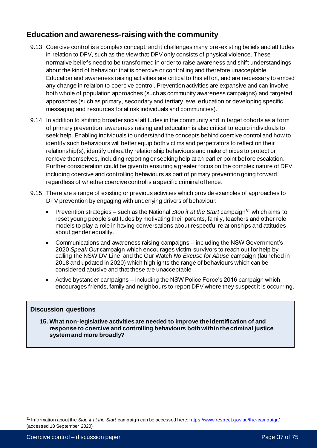# **Education and awareness-raising with the community**

- 9.13 Coercive control is a complex concept, and it challenges many pre-existing beliefs and attitudes in relation to DFV, such as the view that DFV only consists of physical violence. These normative beliefs need to be transformed in order to raise awareness and shift understandings about the kind of behaviour that is coercive or controlling and therefore unacceptable. Education and awareness raising activities are critical to this effort, and are necessary to embed any change in relation to coercive control. Prevention activities are expansive and can involve both whole of population approaches (such as community awareness campaigns) and targeted approaches (such as primary, secondary and tertiary level education or developing specific messaging and resources for at risk individuals and communities).
- 9.14 In addition to shifting broader social attitudes in the community and in target cohorts as a form of primary prevention, awareness raising and education is also critical to equip individuals to seek help. Enabling individuals to understand the concepts behind coercive control and how to identify such behaviours will better equip both victims and perpetrators to reflect on their relationship(s), identify unhealthy relationship behaviours and make choices to protect or remove themselves, including reporting or seeking help at an earlier point before escalation. Further consideration could be given to ensuring a greater focus on the complex nature of DFV including coercive and controlling behaviours as part of primary prevention going forward, regardless of whether coercive control is a specific criminal offence.
- 9.15 There are a range of existing or previous activities which provide examples of approaches to DFV prevention by engaging with underlying drivers of behaviour:
	- Prevention strategies such as the National *Stop it at the Start* campaign<sup>81</sup> which aims to reset young people's attitudes by motivating their parents, family, teachers and other role models to play a role in having conversations about respectful relationships and attitudes about gender equality.
	- Communications and awareness raising campaigns including the NSW Government's 2020 *Speak Out* campaign which encourages victim-survivors to reach out for help by calling the NSW DV Line; and the Our Watch *No Excuse for Abuse* campaign (launched in 2018 and updated in 2020) which highlights the range of behaviours which can be considered abusive and that these are unacceptable
	- Active bystander campaigns including the NSW Police Force's 2016 campaign which encourages friends, family and neighbours to report DFV where they suspect it is occurring.

# **Discussion questions**

**15. What non-legislative activities are needed to improve the identification of and response to coercive and controlling behaviours both within the criminal justice system and more broadly?**

<sup>81</sup> Information about the *Stop it at the Start* campaign can be accessed here[: https://www.respect.gov.au/the-campaign/](https://www.respect.gov.au/the-campaign/) (accessed 18 September 2020)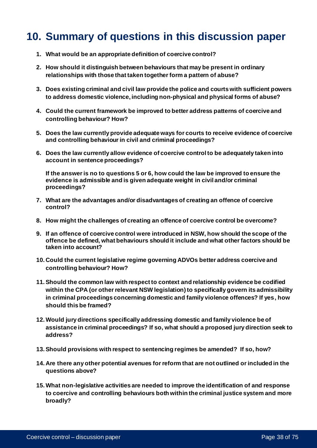# **10. Summary of questions in this discussion paper**

- **1. What would be an appropriate definition of coercive control?**
- **2. How should it distinguish between behaviours that may be present in ordinary relationships with those that taken together form a pattern of abuse?**
- **3. Does existing criminal and civil law provide the police and courts with sufficient powers to address domestic violence, including non-physical and physical forms of abuse?**
- **4. Could the current framework be improved to better address patterns of coercive and controlling behaviour? How?**
- **5. Does the law currently provide adequate ways for courts to receive evidence of coercive and controlling behaviour in civil and criminal proceedings?**
- **6. Does the law currently allow evidence of coercive control to be adequately taken into account in sentence proceedings?**

**If the answer is no to questions 5 or 6, how could the law be improved to ensure the evidence is admissible and is given adequate weight in civil and/or criminal proceedings?**

- **7. What are the advantages and/or disadvantages of creating an offence of coercive control?**
- **8. How might the challenges of creating an offence of coercive control be overcome?**
- **9. If an offence of coercive control were introduced in NSW, how should the scope of the offence be defined, what behaviours should it include and what other factors should be taken into account?**
- **10. Could the current legislative regime governing ADVOs better address coercive and controlling behaviour? How?**
- **11.Should the common law with respect to context and relationship evidence be codified within the CPA (or other relevant NSW legislation) to specifically govern its admissibility in criminal proceedings concerning domestic and family violence offences? If yes, how should this be framed?**
- **12.Would jury directions specifically addressing domestic and family violence be of assistance in criminal proceedings? If so, what should a proposed jury direction seek to address?**
- **13.Should provisions with respect to sentencing regimes be amended? If so, how?**
- **14. Are there any other potential avenues for reform that are not outlined or included in the questions above?**
- **15.What non-legislative activities are needed to improve the identification of and response to coercive and controlling behaviours both within the criminal justice system and more broadly?**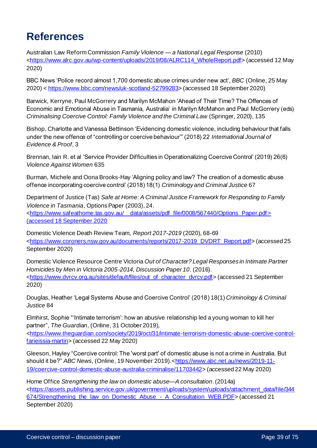# **References**

Australian Law Reform Commission *Family Violence — a National Legal Response* (2010) [<https://www.alrc.gov.au/wp-content/uploads/2019/08/ALRC114\\_WholeReport.pdf](https://www.alrc.gov.au/wp-content/uploads/2019/08/ALRC114_WholeReport.pdf)> (accessed 12 May 2020)

BBC News 'Police record almost 1,700 domestic abuse crimes under new act', *BBC* (Online, 25 May 2020) [< https://www.bbc.com/news/uk-scotland-52799283>](https://www.bbc.com/news/uk-scotland-52799283) (accessed 18 September 2020)

Barwick, Kerryne, Paul McGorrery and Marilyn McMahon 'Ahead of Their Time? The Offences of Economic and Emotional Abuse in Tasmania, Australia' in Marilyn McMahon and Paul McGorrery (eds) *Criminalising Coercive Control: Family Violence and the Criminal Law* (Springer, 2020), 135

Bishop, Charlotte and Vanessa Bettinson 'Evidencing domestic violence, including behaviour that falls under the new offence of "controlling or coercive behaviour"' (2018) 22 *International Journal of Evidence & Proof*, 3

Brennan, Iain R. et al 'Service Provider Difficulties in Operationalizing Coercive Control' (2019) 26(6) *Violence Against Women* 635

Burman, Michele and Oona Brooks-Hay 'Aligning policy and law? The creation of a domestic abuse offence incorporating coercive control' (2018) 18(1) *Criminology and Criminal Justice* 67

Department of Justice (Tas) *Safe at Home: A Criminal Justice Framework for Responding to Family Violence in Tasmania*, Options Paper (2003), 24. [<https://www.safeathome.tas.gov.au/\\_\\_data/assets/pdf\\_file/0008/567440/Options\\_Paper.pdf](https://www.safeathome.tas.gov.au/__data/assets/pdf_file/0008/567440/Options_Paper.pdf)>

(accessed 18 September 2020

Domestic Violence Death Review Team, *Report 2017-2019* (2020), 68-69 [<https://www.coroners.nsw.gov.au/documents/reports/2017-2019\\_DVDRT\\_Report.pdf](https://www.coroners.nsw.gov.au/documents/reports/2017-2019_DVDRT_Report.pdf)> (accessed 25 September 2020)

Domestic Violence Resource Centre Victoria *Out of Character? Legal Responses in Intimate Partner Homicides by Men in Victoria 2005*‐*2014, Discussion Paper 10*. (2016). [<https://www.dvrcv.org.au/sites/default/files/out\\_of\\_character\\_dvrcv.pdf](https://www.dvrcv.org.au/sites/default/files/out_of_character_dvrcv.pdf)> (accessed 21 September 2020)

Douglas, Heather 'Legal Systems Abuse and Coercive Control' (2018) 18(1) *Criminology & Criminal Justice* 84

Elmhirst, Sophie "'Intimate terrorism': how an abusive relationship led a young woman to kill her partner", *The Guardian*, (Online, 31 October 2019),

[<https://www.theguardian.com/society/2019/oct/31/intimate-terrorism-domestic-abuse-coercive-control](https://www.theguardian.com/society/2019/oct/31/intimate-terrorism-domestic-abuse-coercive-control-farieissia-martin)[farieissia-martin>](https://www.theguardian.com/society/2019/oct/31/intimate-terrorism-domestic-abuse-coercive-control-farieissia-martin) (accessed 22 May 2020)

Gleeson, Hayley "Coercive control: The 'worst part' of domestic abuse is not a crime in Australia. But should it be?" *ABC News*, (Online, 19 November 2019).[<https://www.abc.net.au/news/2019-11-](https://www.abc.net.au/news/2019-11-19/coercive-control-domestic-abuse-australia-criminalise/11703442) [19/coercive-control-domestic-abuse-australia-criminalise/11703442](https://www.abc.net.au/news/2019-11-19/coercive-control-domestic-abuse-australia-criminalise/11703442)> (accessed 22 May 2020)

Home Office *Strengthening the law on domestic abuse—A consultation*. (2014a) [<https://assets.publishing.service.gov.uk/government/uploads/system/uploads/attachment\\_data/file/344](https://assets.publishing.service.gov.uk/government/uploads/system/uploads/attachment_data/file/344674/Strengthening_the_law_on_Domestic_Abuse_-_A_Consultation_WEB.PDF) [674/Strengthening\\_the\\_law\\_on\\_Domestic\\_Abuse\\_-\\_A\\_Consultation\\_WEB.PDF](https://assets.publishing.service.gov.uk/government/uploads/system/uploads/attachment_data/file/344674/Strengthening_the_law_on_Domestic_Abuse_-_A_Consultation_WEB.PDF)> (accessed 21 September 2020)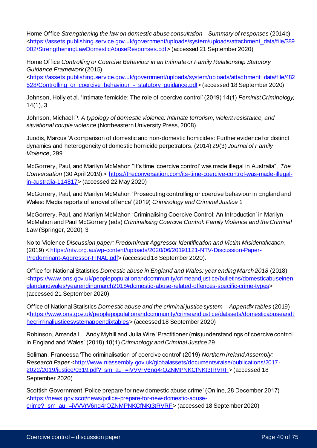Home Office *Strengthening the law on domestic abuse consultation—Summary of responses* (2014b) [<https://assets.publishing.service.gov.uk/government/uploads/system/uploads/attachment\\_data/file/389](https://assets.publishing.service.gov.uk/government/uploads/system/uploads/attachment_data/file/389002/StrengtheningLawDomesticAbuseResponses.pdf) [002/StrengtheningLawDomesticAbuseResponses.pdf](https://assets.publishing.service.gov.uk/government/uploads/system/uploads/attachment_data/file/389002/StrengtheningLawDomesticAbuseResponses.pdf)> (accessed 21 September 2020)

Home Office *Controlling or Coercive Behaviour in an Intimate or Family Relationship Statutory Guidance Framework* (2015)

[<https://assets.publishing.service.gov.uk/government/uploads/system/uploads/attachment\\_data/file/482](https://assets.publishing.service.gov.uk/government/uploads/system/uploads/attachment_data/file/482528/Controlling_or_coercive_behaviour_-_statutory_guidance.pdf) 528/Controlling or coercive behaviour - statutory quidance.pdf> (accessed 18 September 2020)

Johnson, Holly et al. 'Intimate femicide: The role of coercive control' (2019) 14(1) *Feminist Criminology,* 14(1), 3

Johnson, Michael P. *A typology of domestic violence: Intimate terrorism, violent resistance, and situational couple violence* (Northeastern University Press, 2008)

Juodis, Marcus 'A comparison of domestic and non-domestic homicides: Further evidence for distinct dynamics and heterogeneity of domestic homicide perpetrators. (2014) 29(3) *Journal of Family Violence*, 299

McGorrery, Paul, and Marilyn McMahon "It's time 'coercive control' was made illegal in Australia", *The Conversation* (30 April 2019).[< https://theconversation.com/its-time-coercive-control-was-made-illegal](https://theconversation.com/its-time-coercive-control-was-made-illegal-in-australia-114817)[in-australia-114817>](https://theconversation.com/its-time-coercive-control-was-made-illegal-in-australia-114817) (accessed 22 May 2020)

McGorrery, Paul, and Marilyn McMahon 'Prosecuting controlling or coercive behaviour in England and Wales: Media reports of a novel offence' (2019) *Criminology and Criminal Justice* 1

McGorrery, Paul, and Marilyn McMahon 'Criminalising Coercive Control: An Introduction' in Marilyn McMahon and Paul McGorrery (eds) *Criminalising Coercive Control: Family Violence and the Criminal Law* (Springer, 2020), 3

No to Violence *Discussion paper: Predominant Aggressor Identification and Victim Misidentification*, (2019) [< https://ntv.org.au/wp-content/uploads/2020/06/20191121-NTV-Discussion-Paper-](https://ntv.org.au/wp-content/uploads/2020/06/20191121-NTV-Discussion-Paper-Predominant-Aggressor-FINAL.pdf)[Predominant-Aggressor-FINAL.pdf](https://ntv.org.au/wp-content/uploads/2020/06/20191121-NTV-Discussion-Paper-Predominant-Aggressor-FINAL.pdf)> (accessed 18 September 2020).

Office for National Statistics *Domestic abuse in England and Wales: year ending March 2018* (2018) [<https://www.ons.gov.uk/peoplepopulationandcommunity/crimeandjustice/bulletins/domesticabuseinen](https://www.ons.gov.uk/peoplepopulationandcommunity/crimeandjustice/bulletins/domesticabuseinenglandandwales/yearendingmarch2018#domestic-abuse-related-offences-specific-crime-types) [glandandwales/yearendingmarch2018#domestic-abuse-related-offences-specific-crime-types](https://www.ons.gov.uk/peoplepopulationandcommunity/crimeandjustice/bulletins/domesticabuseinenglandandwales/yearendingmarch2018#domestic-abuse-related-offences-specific-crime-types)> (accessed 21 September 2020)

Office of National Statistics *Domestic abuse and the criminal justice system – Appendix tables* (2019) [<https://www.ons.gov.uk/peoplepopulationandcommunity/crimeandjustice/datasets/domesticabuseandt](https://www.ons.gov.uk/peoplepopulationandcommunity/crimeandjustice/datasets/domesticabuseandthecriminaljusticesystemappendixtables) [hecriminaljusticesystemappendixtables](https://www.ons.gov.uk/peoplepopulationandcommunity/crimeandjustice/datasets/domesticabuseandthecriminaljusticesystemappendixtables)> (accessed 18 September 2020)

Robinson, Amanda L., Andy Myhill and Julia Wire 'Practitioner (mis)understandings of coercive control in England and Wales' (2018) 18(1) *Criminology and Criminal Justice* 29

Soliman, Francessa 'The criminalisation of coercive control' (2019) *Northern Ireland Assembly:*  Research Paper [<http://www.niassembly.gov.uk/globalassets/documents/raise/publications/2017-](http://www.niassembly.gov.uk/globalassets/documents/raise/publications/2017-2022/2019/justice/0319.pdf?_sm_au_=iVVVrV6nq4rQZNMPNKCfNKt3tRVRF) [2022/2019/justice/0319.pdf?\\_sm\\_au\\_=iVVVrV6nq4rQZNMPNKCfNKt3tRVRF](http://www.niassembly.gov.uk/globalassets/documents/raise/publications/2017-2022/2019/justice/0319.pdf?_sm_au_=iVVVrV6nq4rQZNMPNKCfNKt3tRVRF)> (accessed 18 September 2020)

Scottish Government 'Police prepare for new domestic abuse crime' (Online, 28 December 2017) [<https://news.gov.scot/news/police-prepare-for-new-domestic-abuse](https://news.gov.scot/news/police-prepare-for-new-domestic-abuse-crime?_sm_au_=iVVVrV6nq4rQZNMPNKCfNKt3tRVRF)crime? sm\_au\_=iVVVrV6nq4rQZNMPNKCfNKt3tRVRF> (accessed 18 September 2020)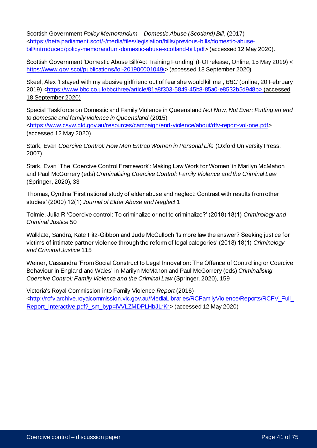Scottish Government *Policy Memorandum – Domestic Abuse (Scotland) Bill*, (2017) [<https://beta.parliament.scot/-/media/files/legislation/bills/previous-bills/domestic-abuse](https://beta.parliament.scot/-/media/files/legislation/bills/previous-bills/domestic-abuse-bill/introduced/policy-memorandum-domestic-abuse-scotland-bill.pdf)[bill/introduced/policy-memorandum-domestic-abuse-scotland-bill.pdf](https://beta.parliament.scot/-/media/files/legislation/bills/previous-bills/domestic-abuse-bill/introduced/policy-memorandum-domestic-abuse-scotland-bill.pdf)> (accessed 12 May 2020).

Scottish Government 'Domestic Abuse Bill/Act Training Funding' (FOI release, Online, 15 May 2019) < <https://www.gov.scot/publications/foi-201900001049/>> (accessed 18 September 2020)

Skeel, Alex 'I stayed with my abusive girlfriend out of fear she would kill me', *BBC* (online, 20 February 2019) [<https://www.bbc.co.uk/bbcthree/article/81a8f303-5849-45b8-85a0-e8532b5d948b](https://www.bbc.co.uk/bbcthree/article/81a8f303-5849-45b8-85a0-e8532b5d948b)> (accessed 18 September 2020)

Special Taskforce on Domestic and Family Violence in Queensland *Not Now, Not Ever: Putting an end to domestic and family violence in Queensland* (2015)

[<https://www.csyw.qld.gov.au/resources/campaign/end-violence/about/dfv-report-vol-one.pdf](https://www.csyw.qld.gov.au/resources/campaign/end-violence/about/dfv-report-vol-one.pdf)> (accessed 12 May 2020)

Stark, Evan *Coercive Control: How Men Entrap Women in Personal Life* (Oxford University Press, 2007).

Stark, Evan 'The 'Coercive Control Framework': Making Law Work for Women' in Marilyn McMahon and Paul McGorrery (eds) *Criminalising Coercive Control: Family Violence and the Criminal Law* (Springer, 2020), 33

Thomas, Cynthia 'First national study of elder abuse and neglect: Contrast with results from other studies' (2000) 12(1) *Journal of Elder Abuse and Neglect* 1

Tolmie, Julia R 'Coercive control: To criminalize or not to criminalize?' (2018) 18(1) *Criminology and Criminal Justice* 50

Walklate, Sandra, Kate Fitz-Gibbon and Jude McCulloch 'Is more law the answer? Seeking justice for victims of intimate partner violence through the reform of legal categories' (2018) 18(1) *Criminology and Criminal Justice* 115

Weiner, Cassandra 'From Social Construct to Legal Innovation: The Offence of Controlling or Coercive Behaviour in England and Wales' in Marilyn McMahon and Paul McGorrery (eds) *Criminalising Coercive Control: Family Violence and the Criminal Law* (Springer, 2020), 159

Victoria's Royal Commission into Family Violence *Report* (2016) [<http://rcfv.archive.royalcommission.vic.gov.au/MediaLibraries/RCFamilyViolence/Reports/RCFV\\_Full\\_](http://rcfv.archive.royalcommission.vic.gov.au/MediaLibraries/RCFamilyViolence/Reports/RCFV_Full_Report_Interactive.pdf?_sm_byp=iVVLZMDPLHbJLrKr) [Report\\_Interactive.pdf?\\_sm\\_byp=iVVLZMDPLHbJLrKr](http://rcfv.archive.royalcommission.vic.gov.au/MediaLibraries/RCFamilyViolence/Reports/RCFV_Full_Report_Interactive.pdf?_sm_byp=iVVLZMDPLHbJLrKr)> (accessed 12 May 2020)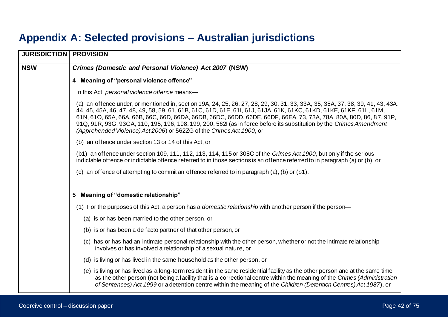# **Appendix A: Selected provisions – Australian jurisdictions**

| <b>JURISDICTION   PROVISION</b> |                                                                                                                                                                                                                                                                                                                                                                                                                                                                                                                                                                            |
|---------------------------------|----------------------------------------------------------------------------------------------------------------------------------------------------------------------------------------------------------------------------------------------------------------------------------------------------------------------------------------------------------------------------------------------------------------------------------------------------------------------------------------------------------------------------------------------------------------------------|
| <b>NSW</b>                      | Crimes (Domestic and Personal Violence) Act 2007 (NSW)                                                                                                                                                                                                                                                                                                                                                                                                                                                                                                                     |
|                                 | 4 Meaning of "personal violence offence"                                                                                                                                                                                                                                                                                                                                                                                                                                                                                                                                   |
|                                 | In this Act, personal violence offence means-                                                                                                                                                                                                                                                                                                                                                                                                                                                                                                                              |
|                                 | (a) an offence under, or mentioned in, section 19A, 24, 25, 26, 27, 28, 29, 30, 31, 33, 33A, 35, 35A, 37, 38, 39, 41, 43, 43A,<br>44, 45, 45A, 46, 47, 48, 49, 58, 59, 61, 61B, 61C, 61D, 61E, 61I, 61J, 61JA, 61K, 61KC, 61KD, 61KE, 61KF, 61L, 61M,<br>61N, 61O, 65A, 66A, 66B, 66C, 66D, 66DA, 66DB, 66DC, 66DD, 66DE, 66DF, 66EA, 73, 73A, 78A, 80A, 80D, 86, 87, 91P,<br>91Q, 91R, 93G, 93GA, 110, 195, 196, 198, 199, 200, 562l (as in force before its substitution by the Crimes Amendment<br>(Apprehended Violence) Act 2006) or 562ZG of the Crimes Act 1900, or |
|                                 | (b) an offence under section 13 or 14 of this Act, or                                                                                                                                                                                                                                                                                                                                                                                                                                                                                                                      |
|                                 | (b1) an offence under section 109, 111, 112, 113, 114, 115 or 308C of the Crimes Act 1900, but only if the serious<br>indictable offence or indictable offence referred to in those sections is an offence referred to in paragraph (a) or (b), or                                                                                                                                                                                                                                                                                                                         |
|                                 | (c) an offence of attempting to commit an offence referred to in paragraph (a), (b) or (b1).                                                                                                                                                                                                                                                                                                                                                                                                                                                                               |
|                                 | 5 Meaning of "domestic relationship"                                                                                                                                                                                                                                                                                                                                                                                                                                                                                                                                       |
|                                 | (1) For the purposes of this Act, a person has a <i>domestic relationship</i> with another person if the person—                                                                                                                                                                                                                                                                                                                                                                                                                                                           |
|                                 | (a) is or has been married to the other person, or                                                                                                                                                                                                                                                                                                                                                                                                                                                                                                                         |
|                                 | (b) is or has been a de facto partner of that other person, or                                                                                                                                                                                                                                                                                                                                                                                                                                                                                                             |
|                                 | (c) has or has had an intimate personal relationship with the other person, whether or not the intimate relationship<br>involves or has involved a relationship of a sexual nature, or                                                                                                                                                                                                                                                                                                                                                                                     |
|                                 | (d) is living or has lived in the same household as the other person, or                                                                                                                                                                                                                                                                                                                                                                                                                                                                                                   |
|                                 | (e) is living or has lived as a long-term resident in the same residential facility as the other person and at the same time<br>as the other person (not being a facility that is a correctional centre within the meaning of the Crimes (Administration<br>of Sentences) Act 1999 or a detention centre within the meaning of the Children (Detention Centres) Act 1987), or                                                                                                                                                                                              |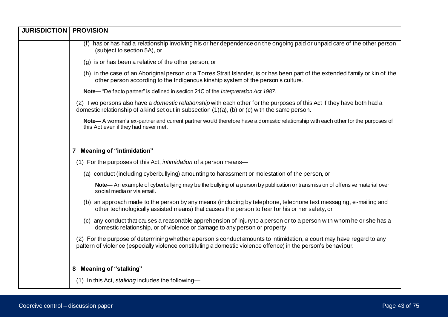| <b>JURISDICTION   PROVISION</b> |                                                                                                                                                                                                                                        |
|---------------------------------|----------------------------------------------------------------------------------------------------------------------------------------------------------------------------------------------------------------------------------------|
|                                 | (f) has or has had a relationship involving his or her dependence on the ongoing paid or unpaid care of the other person<br>(subject to section 5A), or                                                                                |
|                                 | (g) is or has been a relative of the other person, or                                                                                                                                                                                  |
|                                 | (h) in the case of an Aboriginal person or a Torres Strait Islander, is or has been part of the extended family or kin of the<br>other person according to the Indigenous kinship system of the person's culture.                      |
|                                 | Note— "De facto partner" is defined in section 21C of the Interpretation Act 1987.                                                                                                                                                     |
|                                 | (2) Two persons also have a domestic relationship with each other for the purposes of this Act if they have both had a<br>domestic relationship of a kind set out in subsection $(1)(a)$ , $(b)$ or $(c)$ with the same person.        |
|                                 | Note— A woman's ex-partner and current partner would therefore have a domestic relationship with each other for the purposes of<br>this Act even if they had never met.                                                                |
|                                 |                                                                                                                                                                                                                                        |
|                                 | 7 Meaning of "intimidation"                                                                                                                                                                                                            |
|                                 | (1) For the purposes of this Act, <i>intimidation</i> of a person means—                                                                                                                                                               |
|                                 | (a) conduct (including cyberbullying) amounting to harassment or molestation of the person, or                                                                                                                                         |
|                                 | Note— An example of cyberbullying may be the bullying of a person by publication or transmission of offensive material over<br>social media or via email.                                                                              |
|                                 | (b) an approach made to the person by any means (including by telephone, telephone text messaging, e-mailing and<br>other technologically assisted means) that causes the person to fear for his or her safety, or                     |
|                                 | (c) any conduct that causes a reasonable apprehension of injury to a person or to a person with whom he or she has a<br>domestic relationship, or of violence or damage to any person or property.                                     |
|                                 | (2) For the purpose of determining whether a person's conduct amounts to intimidation, a court may have regard to any<br>pattern of violence (especially violence constituting a domestic violence offence) in the person's behaviour. |
|                                 | 8 Meaning of "stalking"                                                                                                                                                                                                                |
|                                 | $(1)$ In this Act, stalking includes the following-                                                                                                                                                                                    |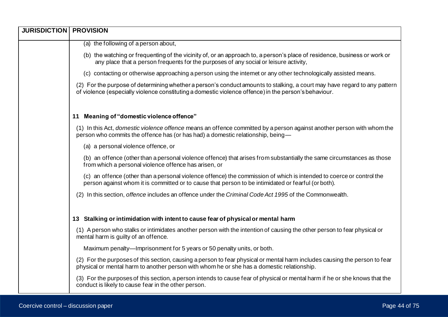| <b>JURISDICTION   PROVISION</b> |                                                                                                                                                                                                                                    |
|---------------------------------|------------------------------------------------------------------------------------------------------------------------------------------------------------------------------------------------------------------------------------|
|                                 | (a) the following of a person about,                                                                                                                                                                                               |
|                                 | (b) the watching or frequenting of the vicinity of, or an approach to, a person's place of residence, business or work or<br>any place that a person frequents for the purposes of any social or leisure activity,                 |
|                                 | (c) contacting or otherwise approaching a person using the internet or any other technologically assisted means.                                                                                                                   |
|                                 | (2) For the purpose of determining whether a person's conduct amounts to stalking, a court may have regard to any pattern<br>of violence (especially violence constituting a domestic violence offence) in the person's behaviour. |
|                                 | 11 Meaning of "domestic violence offence"                                                                                                                                                                                          |
|                                 | (1) In this Act, <i>domestic violence offence</i> means an offence committed by a person against another person with whom the<br>person who commits the offence has (or has had) a domestic relationship, being-                   |
|                                 | (a) a personal violence offence, or                                                                                                                                                                                                |
|                                 | (b) an offence (other than a personal violence offence) that arises from substantially the same circumstances as those<br>from which a personal violence offence has arisen, or                                                    |
|                                 | (c) an offence (other than a personal violence offence) the commission of which is intended to coerce or control the<br>person against whom it is committed or to cause that person to be intimidated or fearful (or both).        |
|                                 | (2) In this section, offence includes an offence under the Criminal Code Act 1995 of the Commonwealth.                                                                                                                             |
|                                 | 13 Stalking or intimidation with intent to cause fear of physical or mental harm                                                                                                                                                   |
|                                 | (1) A person who stalks or intimidates another person with the intention of causing the other person to fear physical or<br>mental harm is guilty of an offence.                                                                   |
|                                 | Maximum penalty—Imprisonment for 5 years or 50 penalty units, or both.                                                                                                                                                             |
|                                 | (2) For the purposes of this section, causing a person to fear physical or mental harm includes causing the person to fear<br>physical or mental harm to another person with whom he or she has a domestic relationship.           |
|                                 | (3) For the purposes of this section, a person intends to cause fear of physical or mental harm if he or she knows that the<br>conduct is likely to cause fear in the other person.                                                |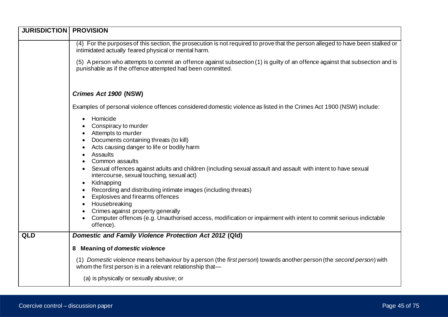| <b>JURISDICTION</b> | <b>PROVISION</b>                                                                                                                                                                                                                                                                                                                                                                                                                                                                                                                                                                                                                                                   |
|---------------------|--------------------------------------------------------------------------------------------------------------------------------------------------------------------------------------------------------------------------------------------------------------------------------------------------------------------------------------------------------------------------------------------------------------------------------------------------------------------------------------------------------------------------------------------------------------------------------------------------------------------------------------------------------------------|
|                     | (4) For the purposes of this section, the prosecution is not required to prove that the person alleged to have been stalked or<br>intimidated actually feared physical or mental harm.                                                                                                                                                                                                                                                                                                                                                                                                                                                                             |
|                     | (5) A person who attempts to commit an offence against subsection (1) is guilty of an offence against that subsection and is<br>punishable as if the offence attempted had been committed.                                                                                                                                                                                                                                                                                                                                                                                                                                                                         |
|                     | Crimes Act 1900 (NSW)                                                                                                                                                                                                                                                                                                                                                                                                                                                                                                                                                                                                                                              |
|                     | Examples of personal violence offences considered domestic violence as listed in the Crimes Act 1900 (NSW) include:                                                                                                                                                                                                                                                                                                                                                                                                                                                                                                                                                |
|                     | Homicide<br>Conspiracy to murder<br>Attempts to murder<br>Documents containing threats (to kill)<br>Acts causing danger to life or bodily harm<br>Assaults<br>Common assaults<br>Sexual offences against adults and children (including sexual assault and assault with intent to have sexual<br>intercourse, sexual touching, sexual act)<br>Kidnapping<br>$\bullet$<br>Recording and distributing intimate images (including threats)<br>Explosives and firearms offences<br>Housebreaking<br>Crimes against property generally<br>Computer offences (e.g. Unauthorised access, modification or impairment with intent to commit serious indictable<br>offence). |
| QLD                 | Domestic and Family Violence Protection Act 2012 (Qld)                                                                                                                                                                                                                                                                                                                                                                                                                                                                                                                                                                                                             |
|                     | 8 Meaning of domestic violence                                                                                                                                                                                                                                                                                                                                                                                                                                                                                                                                                                                                                                     |
|                     | (1) Domestic violence means behaviour by a person (the first person) towards another person (the second person) with<br>whom the first person is in a relevant relationship that-                                                                                                                                                                                                                                                                                                                                                                                                                                                                                  |
|                     | (a) is physically or sexually abusive; or                                                                                                                                                                                                                                                                                                                                                                                                                                                                                                                                                                                                                          |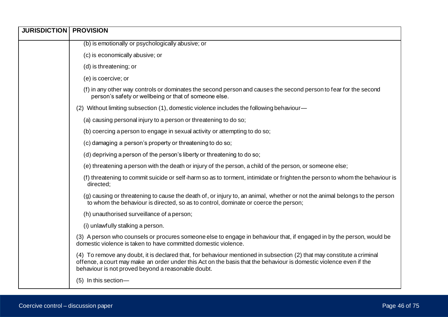| <b>JURISDICTION   PROVISION</b> |                                                                                                                                                                                                                                                                                                    |
|---------------------------------|----------------------------------------------------------------------------------------------------------------------------------------------------------------------------------------------------------------------------------------------------------------------------------------------------|
|                                 | (b) is emotionally or psychologically abusive; or                                                                                                                                                                                                                                                  |
|                                 | (c) is economically abusive; or                                                                                                                                                                                                                                                                    |
|                                 | (d) is threatening; or                                                                                                                                                                                                                                                                             |
|                                 | (e) is coercive; or                                                                                                                                                                                                                                                                                |
|                                 | (f) in any other way controls or dominates the second person and causes the second person to fear for the second<br>person's safety or wellbeing or that of someone else.                                                                                                                          |
|                                 | (2) Without limiting subsection (1), domestic violence includes the following behaviour—                                                                                                                                                                                                           |
|                                 | (a) causing personal injury to a person or threatening to do so;                                                                                                                                                                                                                                   |
|                                 | (b) coercing a person to engage in sexual activity or attempting to do so;                                                                                                                                                                                                                         |
|                                 | (c) damaging a person's property or threatening to do so;                                                                                                                                                                                                                                          |
|                                 | (d) depriving a person of the person's liberty or threatening to do so;                                                                                                                                                                                                                            |
|                                 | (e) threatening a person with the death or injury of the person, a child of the person, or someone else;                                                                                                                                                                                           |
|                                 | (f) threatening to commit suicide or self-harm so as to torment, intimidate or frighten the person to whom the behaviour is<br>directed;                                                                                                                                                           |
|                                 | (g) causing or threatening to cause the death of, or injury to, an animal, whether or not the animal belongs to the person<br>to whom the behaviour is directed, so as to control, dominate or coerce the person;                                                                                  |
|                                 | (h) unauthorised surveillance of a person;                                                                                                                                                                                                                                                         |
|                                 | (i) unlawfully stalking a person.                                                                                                                                                                                                                                                                  |
|                                 | (3) A person who counsels or procures someone else to engage in behaviour that, if engaged in by the person, would be<br>domestic violence is taken to have committed domestic violence.                                                                                                           |
|                                 | (4) To remove any doubt, it is declared that, for behaviour mentioned in subsection (2) that may constitute a criminal<br>offence, a court may make an order under this Act on the basis that the behaviour is domestic violence even if the<br>behaviour is not proved beyond a reasonable doubt. |
|                                 | (5) In this section-                                                                                                                                                                                                                                                                               |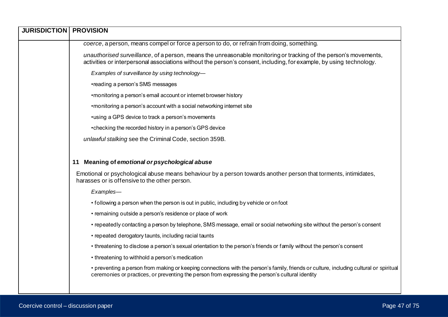| <b>JURISDICTION</b> | <b>PROVISION</b>                                                                                                                                                                                                                           |
|---------------------|--------------------------------------------------------------------------------------------------------------------------------------------------------------------------------------------------------------------------------------------|
|                     | coerce, a person, means compel or force a person to do, or refrain from doing, something.                                                                                                                                                  |
|                     | unauthorised surveillance, of a person, means the unreasonable monitoring or tracking of the person's movements,<br>activities or interpersonal associations without the person's consent, including, for example, by using technology.    |
|                     | Examples of surveillance by using technology-                                                                                                                                                                                              |
|                     | •reading a person's SMS messages                                                                                                                                                                                                           |
|                     | •monitoring a person's email account or internet browser history                                                                                                                                                                           |
|                     | • monitoring a person's account with a social networking internet site                                                                                                                                                                     |
|                     | •using a GPS device to track a person's movements                                                                                                                                                                                          |
|                     | •checking the recorded history in a person's GPS device                                                                                                                                                                                    |
|                     | unlawful stalking see the Criminal Code, section 359B.                                                                                                                                                                                     |
|                     |                                                                                                                                                                                                                                            |
|                     | Meaning of emotional or psychological abuse<br>11                                                                                                                                                                                          |
|                     | Emotional or psychological abuse means behaviour by a person towards another person that torments, intimidates,<br>harasses or is offensive to the other person.                                                                           |
|                     | Examples-                                                                                                                                                                                                                                  |
|                     | • following a person when the person is out in public, including by vehicle or on foot                                                                                                                                                     |
|                     | • remaining outside a person's residence or place of work                                                                                                                                                                                  |
|                     | • repeatedly contacting a person by telephone, SMS message, email or social networking site without the person's consent                                                                                                                   |
|                     | • repeated derogatory taunts, including racial taunts                                                                                                                                                                                      |
|                     | • threatening to disclose a person's sexual orientation to the person's friends or family without the person's consent                                                                                                                     |
|                     | • threatening to withhold a person's medication                                                                                                                                                                                            |
|                     | • preventing a person from making or keeping connections with the person's family, friends or culture, including cultural or spiritual<br>ceremonies or practices, or preventing the person from expressing the person's cultural identity |
|                     |                                                                                                                                                                                                                                            |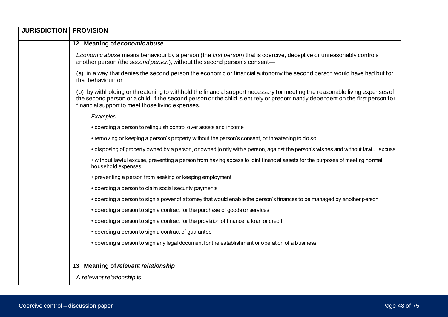| <b>JURISDICTION   PROVISION</b> |                                                                                                                                                                                                                                                                                                                   |
|---------------------------------|-------------------------------------------------------------------------------------------------------------------------------------------------------------------------------------------------------------------------------------------------------------------------------------------------------------------|
|                                 | 12 Meaning of economic abuse                                                                                                                                                                                                                                                                                      |
|                                 | Economic abuse means behaviour by a person (the first person) that is coercive, deceptive or unreasonably controls<br>another person (the second person), without the second person's consent-                                                                                                                    |
|                                 | (a) in a way that denies the second person the economic or financial autonomy the second person would have had but for<br>that behaviour; or                                                                                                                                                                      |
|                                 | (b) by withholding or threatening to withhold the financial support necessary for meeting the reasonable living expenses of<br>the second person or a child, if the second person or the child is entirely or predominantly dependent on the first person for<br>financial support to meet those living expenses. |
|                                 | Examples-                                                                                                                                                                                                                                                                                                         |
|                                 | • coercing a person to relinquish control over assets and income                                                                                                                                                                                                                                                  |
|                                 | • removing or keeping a person's property without the person's consent, or threatening to do so                                                                                                                                                                                                                   |
|                                 | • disposing of property owned by a person, or owned jointly with a person, against the person's wishes and without lawful excuse                                                                                                                                                                                  |
|                                 | • without lawful excuse, preventing a person from having access to joint financial assets for the purposes of meeting normal<br>household expenses                                                                                                                                                                |
|                                 | • preventing a person from seeking or keeping employment                                                                                                                                                                                                                                                          |
|                                 | • coercing a person to claim social security payments                                                                                                                                                                                                                                                             |
|                                 | • coercing a person to sign a power of attorney that would enable the person's finances to be managed by another person                                                                                                                                                                                           |
|                                 | • coercing a person to sign a contract for the purchase of goods or services                                                                                                                                                                                                                                      |
|                                 | • coercing a person to sign a contract for the provision of finance, a loan or credit                                                                                                                                                                                                                             |
|                                 | • coercing a person to sign a contract of guarantee                                                                                                                                                                                                                                                               |
|                                 | • coercing a person to sign any legal document for the establishment or operation of a business                                                                                                                                                                                                                   |
|                                 |                                                                                                                                                                                                                                                                                                                   |
|                                 | <b>Meaning of relevant relationship</b><br>13                                                                                                                                                                                                                                                                     |
|                                 | A relevant relationship is-                                                                                                                                                                                                                                                                                       |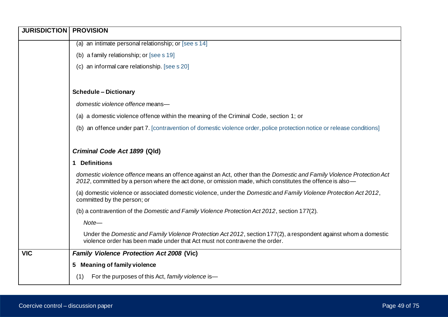| <b>JURISDICTION</b> | <b>PROVISION</b>                                                                                                                                                                                                                  |
|---------------------|-----------------------------------------------------------------------------------------------------------------------------------------------------------------------------------------------------------------------------------|
|                     | (a) an intimate personal relationship; or [see s 14]                                                                                                                                                                              |
|                     | (b) a family relationship; or [see s 19]                                                                                                                                                                                          |
|                     | (c) an informal care relationship. [see s 20]                                                                                                                                                                                     |
|                     |                                                                                                                                                                                                                                   |
|                     | <b>Schedule - Dictionary</b>                                                                                                                                                                                                      |
|                     | domestic violence offence means-                                                                                                                                                                                                  |
|                     | (a) a domestic violence offence within the meaning of the Criminal Code, section 1; or                                                                                                                                            |
|                     | (b) an offence under part 7. [contravention of domestic violence order, police protection notice or release conditions]                                                                                                           |
|                     |                                                                                                                                                                                                                                   |
|                     | Criminal Code Act 1899 (Qld)                                                                                                                                                                                                      |
|                     | 1 Definitions                                                                                                                                                                                                                     |
|                     | domestic violence offence means an offence against an Act, other than the Domestic and Family Violence Protection Act<br>2012, committed by a person where the act done, or omission made, which constitutes the offence is also- |
|                     | (a) domestic violence or associated domestic violence, under the Domestic and Family Violence Protection Act 2012,<br>committed by the person; or                                                                                 |
|                     | (b) a contravention of the Domestic and Family Violence Protection Act 2012, section 177(2).                                                                                                                                      |
|                     | Note-                                                                                                                                                                                                                             |
|                     | Under the Domestic and Family Violence Protection Act 2012, section 177(2), a respondent against whom a domestic<br>violence order has been made under that Act must not contravene the order.                                    |
| <b>VIC</b>          | <b>Family Violence Protection Act 2008 (Vic)</b>                                                                                                                                                                                  |
|                     | 5 Meaning of family violence                                                                                                                                                                                                      |
|                     | For the purposes of this Act, family violence is-<br>(1)                                                                                                                                                                          |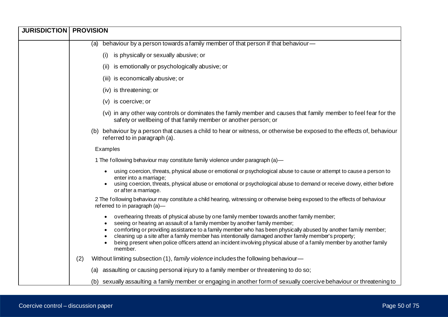| <b>JURISDICTION   PROVISION</b> |                                                                                                                                                                                                                                                                                                                                                                                                                                                                                                                                    |
|---------------------------------|------------------------------------------------------------------------------------------------------------------------------------------------------------------------------------------------------------------------------------------------------------------------------------------------------------------------------------------------------------------------------------------------------------------------------------------------------------------------------------------------------------------------------------|
|                                 | (a) behaviour by a person towards a family member of that person if that behaviour-                                                                                                                                                                                                                                                                                                                                                                                                                                                |
|                                 | is physically or sexually abusive; or<br>(i)                                                                                                                                                                                                                                                                                                                                                                                                                                                                                       |
|                                 | is emotionally or psychologically abusive; or<br>(ii)                                                                                                                                                                                                                                                                                                                                                                                                                                                                              |
|                                 | (iii) is economically abusive; or                                                                                                                                                                                                                                                                                                                                                                                                                                                                                                  |
|                                 | (iv) is threatening; or                                                                                                                                                                                                                                                                                                                                                                                                                                                                                                            |
|                                 | is coercive; or<br>(v)                                                                                                                                                                                                                                                                                                                                                                                                                                                                                                             |
|                                 | (vi) in any other way controls or dominates the family member and causes that family member to feel fear for the<br>safety or wellbeing of that family member or another person; or                                                                                                                                                                                                                                                                                                                                                |
|                                 | (b) behaviour by a person that causes a child to hear or witness, or otherwise be exposed to the effects of, behaviour<br>referred to in paragraph (a).                                                                                                                                                                                                                                                                                                                                                                            |
|                                 | Examples                                                                                                                                                                                                                                                                                                                                                                                                                                                                                                                           |
|                                 | 1 The following behaviour may constitute family violence under paragraph (a)-                                                                                                                                                                                                                                                                                                                                                                                                                                                      |
|                                 | using coercion, threats, physical abuse or emotional or psychological abuse to cause or attempt to cause a person to<br>enter into a marriage;                                                                                                                                                                                                                                                                                                                                                                                     |
|                                 | using coercion, threats, physical abuse or emotional or psychological abuse to demand or receive dowry, either before<br>or after a marriage.                                                                                                                                                                                                                                                                                                                                                                                      |
|                                 | 2 The following behaviour may constitute a child hearing, witnessing or otherwise being exposed to the effects of behaviour<br>referred to in paragraph (a)-                                                                                                                                                                                                                                                                                                                                                                       |
|                                 | overhearing threats of physical abuse by one family member towards another family member;<br>seeing or hearing an assault of a family member by another family member;<br>comforting or providing assistance to a family member who has been physically abused by another family member;<br>cleaning up a site after a family member has intentionally damaged another family member's property;<br>being present when police officers attend an incident involving physical abuse of a family member by another family<br>member. |
|                                 | (2)<br>Without limiting subsection (1), family violence includes the following behaviour—                                                                                                                                                                                                                                                                                                                                                                                                                                          |
|                                 | (a) assaulting or causing personal injury to a family member or threatening to do so;                                                                                                                                                                                                                                                                                                                                                                                                                                              |
|                                 | (b) sexually assaulting a family member or engaging in another form of sexually coercive behaviour or threatening to                                                                                                                                                                                                                                                                                                                                                                                                               |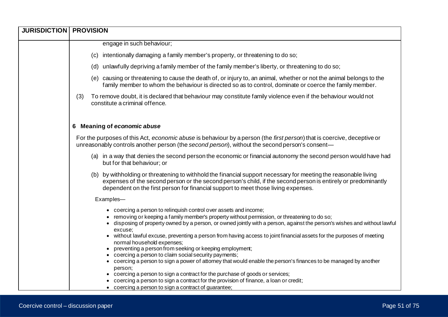| <b>JURISDICTION   PROVISION</b> |                                                                                                                                                                                                                                                                                                                                                                                                                                                                                                                                                                                                                                                                                                                                                                                                                                                                                                                                                      |
|---------------------------------|------------------------------------------------------------------------------------------------------------------------------------------------------------------------------------------------------------------------------------------------------------------------------------------------------------------------------------------------------------------------------------------------------------------------------------------------------------------------------------------------------------------------------------------------------------------------------------------------------------------------------------------------------------------------------------------------------------------------------------------------------------------------------------------------------------------------------------------------------------------------------------------------------------------------------------------------------|
|                                 | engage in such behaviour;                                                                                                                                                                                                                                                                                                                                                                                                                                                                                                                                                                                                                                                                                                                                                                                                                                                                                                                            |
|                                 | intentionally damaging a family member's property, or threatening to do so;<br>(C)                                                                                                                                                                                                                                                                                                                                                                                                                                                                                                                                                                                                                                                                                                                                                                                                                                                                   |
|                                 | (d) unlawfully depriving a family member of the family member's liberty, or threatening to do so;                                                                                                                                                                                                                                                                                                                                                                                                                                                                                                                                                                                                                                                                                                                                                                                                                                                    |
|                                 | (e) causing or threatening to cause the death of, or injury to, an animal, whether or not the animal belongs to the<br>family member to whom the behaviour is directed so as to control, dominate or coerce the family member.                                                                                                                                                                                                                                                                                                                                                                                                                                                                                                                                                                                                                                                                                                                       |
|                                 | To remove doubt, it is declared that behaviour may constitute family violence even if the behaviour would not<br>(3)<br>constitute a criminal offence.                                                                                                                                                                                                                                                                                                                                                                                                                                                                                                                                                                                                                                                                                                                                                                                               |
|                                 | 6 Meaning of economic abuse                                                                                                                                                                                                                                                                                                                                                                                                                                                                                                                                                                                                                                                                                                                                                                                                                                                                                                                          |
|                                 | For the purposes of this Act, economic abuse is behaviour by a person (the first person) that is coercive, deceptive or<br>unreasonably controls another person (the second person), without the second person's consent-                                                                                                                                                                                                                                                                                                                                                                                                                                                                                                                                                                                                                                                                                                                            |
|                                 | (a) in a way that denies the second person the economic or financial autonomy the second person would have had<br>but for that behaviour; or                                                                                                                                                                                                                                                                                                                                                                                                                                                                                                                                                                                                                                                                                                                                                                                                         |
|                                 | (b) by withholding or threatening to withhold the financial support necessary for meeting the reasonable living<br>expenses of the second person or the second person's child, if the second person is entirely or predominantly<br>dependent on the first person for financial support to meet those living expenses.                                                                                                                                                                                                                                                                                                                                                                                                                                                                                                                                                                                                                               |
|                                 | Examples-                                                                                                                                                                                                                                                                                                                                                                                                                                                                                                                                                                                                                                                                                                                                                                                                                                                                                                                                            |
|                                 | • coercing a person to relinquish control over assets and income;<br>• removing or keeping a family member's property without permission, or threatening to do so;<br>• disposing of property owned by a person, or owned jointly with a person, against the person's wishes and without lawful<br>excuse:<br>• without lawful excuse, preventing a person from having access to joint financial assets for the purposes of meeting<br>normal household expenses;<br>preventing a person from seeking or keeping employment;<br>coercing a person to claim social security payments;<br>• coercing a person to sign a power of attorney that would enable the person's finances to be managed by another<br>person;<br>• coercing a person to sign a contract for the purchase of goods or services;<br>coercing a person to sign a contract for the provision of finance, a loan or credit;<br>• coercing a person to sign a contract of guarantee; |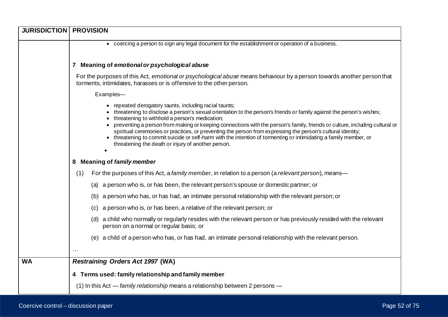| <b>JURISDICTION   PROVISION</b> |                                                                                                                                                                                                                                                                                                                                                                                                                                                                                                                                                                                                                                                                |
|---------------------------------|----------------------------------------------------------------------------------------------------------------------------------------------------------------------------------------------------------------------------------------------------------------------------------------------------------------------------------------------------------------------------------------------------------------------------------------------------------------------------------------------------------------------------------------------------------------------------------------------------------------------------------------------------------------|
|                                 | • coercing a person to sign any legal document for the establishment or operation of a business.                                                                                                                                                                                                                                                                                                                                                                                                                                                                                                                                                               |
|                                 |                                                                                                                                                                                                                                                                                                                                                                                                                                                                                                                                                                                                                                                                |
|                                 | 7 Meaning of emotional or psychological abuse                                                                                                                                                                                                                                                                                                                                                                                                                                                                                                                                                                                                                  |
|                                 | For the purposes of this Act, emotional or psychological abuse means behaviour by a person towards another person that<br>torments, intimidates, harasses or is offensive to the other person.                                                                                                                                                                                                                                                                                                                                                                                                                                                                 |
|                                 | Examples-                                                                                                                                                                                                                                                                                                                                                                                                                                                                                                                                                                                                                                                      |
|                                 | • repeated derogatory taunts, including racial taunts;<br>• threatening to disclose a person's sexual orientation to the person's friends or family against the person's wishes;<br>• threatening to withhold a person's medication;<br>• preventing a person from making or keeping connections with the person's family, friends or culture, including cultural or<br>spiritual ceremonies or practices, or preventing the person from expressing the person's cultural identity;<br>• threatening to commit suicide or self-harm with the intention of tormenting or intimidating a family member, or<br>threatening the death or injury of another person. |
|                                 | 8 Meaning of family member                                                                                                                                                                                                                                                                                                                                                                                                                                                                                                                                                                                                                                     |
|                                 | For the purposes of this Act, a family member, in relation to a person (a relevant person), means—<br>(1)                                                                                                                                                                                                                                                                                                                                                                                                                                                                                                                                                      |
|                                 | (a) a person who is, or has been, the relevant person's spouse or domestic partner; or                                                                                                                                                                                                                                                                                                                                                                                                                                                                                                                                                                         |
|                                 | (b) a person who has, or has had, an intimate personal relationship with the relevant person; or                                                                                                                                                                                                                                                                                                                                                                                                                                                                                                                                                               |
|                                 | (c) a person who is, or has been, a relative of the relevant person; or                                                                                                                                                                                                                                                                                                                                                                                                                                                                                                                                                                                        |
|                                 | (d) a child who normally or regularly resides with the relevant person or has previously resided with the relevant<br>person on a normal or regular basis; or                                                                                                                                                                                                                                                                                                                                                                                                                                                                                                  |
|                                 | (e) a child of a person who has, or has had, an intimate personal relationship with the relevant person.                                                                                                                                                                                                                                                                                                                                                                                                                                                                                                                                                       |
|                                 |                                                                                                                                                                                                                                                                                                                                                                                                                                                                                                                                                                                                                                                                |
| <b>WA</b>                       | <b>Restraining Orders Act 1997 (WA)</b>                                                                                                                                                                                                                                                                                                                                                                                                                                                                                                                                                                                                                        |
|                                 | 4 Terms used: family relationship and family member                                                                                                                                                                                                                                                                                                                                                                                                                                                                                                                                                                                                            |
|                                 | (1) In this Act - family relationship means a relationship between 2 persons -                                                                                                                                                                                                                                                                                                                                                                                                                                                                                                                                                                                 |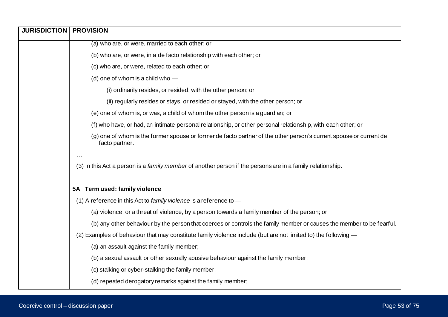| <b>JURISDICTION   PROVISION</b> |                                                                                                                                      |
|---------------------------------|--------------------------------------------------------------------------------------------------------------------------------------|
|                                 | (a) who are, or were, married to each other; or                                                                                      |
|                                 | (b) who are, or were, in a de facto relationship with each other; or                                                                 |
|                                 | (c) who are, or were, related to each other; or                                                                                      |
|                                 | (d) one of whom is a child who -                                                                                                     |
|                                 | (i) ordinarily resides, or resided, with the other person; or                                                                        |
|                                 | (ii) regularly resides or stays, or resided or stayed, with the other person; or                                                     |
|                                 | (e) one of whom is, or was, a child of whom the other person is a guardian; or                                                       |
|                                 | (f) who have, or had, an intimate personal relationship, or other personal relationship, with each other; or                         |
|                                 | (g) one of whom is the former spouse or former de facto partner of the other person's current spouse or current de<br>facto partner. |
|                                 |                                                                                                                                      |
|                                 | (3) In this Act a person is a family member of another person if the persons are in a family relationship.                           |
|                                 | 5A Term used: family violence                                                                                                        |
|                                 | (1) A reference in this Act to family violence is a reference to $-$                                                                 |
|                                 | (a) violence, or a threat of violence, by a person towards a family member of the person; or                                         |
|                                 | (b) any other behaviour by the person that coerces or controls the family member or causes the member to be fearful.                 |
|                                 | (2) Examples of behaviour that may constitute family violence include (but are not limited to) the following -                       |
|                                 | (a) an assault against the family member;                                                                                            |
|                                 | (b) a sexual assault or other sexually abusive behaviour against the family member;                                                  |
|                                 | (c) stalking or cyber-stalking the family member;                                                                                    |
|                                 | (d) repeated derogatory remarks against the family member;                                                                           |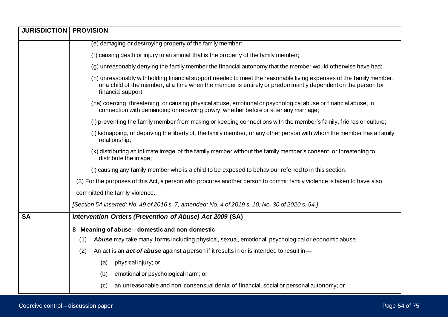| <b>JURISDICTION   PROVISION</b> |                                                                                                                                                                                                                                                          |
|---------------------------------|----------------------------------------------------------------------------------------------------------------------------------------------------------------------------------------------------------------------------------------------------------|
|                                 | (e) damaging or destroying property of the family member;                                                                                                                                                                                                |
|                                 | (f) causing death or injury to an animal that is the property of the family member;                                                                                                                                                                      |
|                                 | (g) unreasonably denying the family member the financial autonomy that the member would otherwise have had;                                                                                                                                              |
|                                 | (h) unreasonably withholding financial support needed to meet the reasonable living expenses of the family member,<br>or a child of the member, at a time when the member is entirely or predominantly dependent on the person for<br>financial support; |
|                                 | (ha) coercing, threatening, or causing physical abuse, emotional or psychological abuse or financial abuse, in<br>connection with demanding or receiving dowry, whether before or after any marriage;                                                    |
|                                 | (i) preventing the family member from making or keeping connections with the member's family, friends or culture;                                                                                                                                        |
|                                 | (j) kidnapping, or depriving the liberty of, the family member, or any other person with whom the member has a family<br>relationship;                                                                                                                   |
|                                 | (k) distributing an intimate image of the family member without the family member's consent, or threatening to<br>distribute the image;                                                                                                                  |
|                                 | (I) causing any family member who is a child to be exposed to behaviour referred to in this section.                                                                                                                                                     |
|                                 | (3) For the purposes of this Act, a person who procures another person to commit family violence is taken to have also                                                                                                                                   |
|                                 | committed the family violence.                                                                                                                                                                                                                           |
|                                 | [Section 5A inserted: No. 49 of 2016 s. 7; amended: No. 4 of 2019 s. 10; No. 30 of 2020 s. 54.]                                                                                                                                                          |
| <b>SA</b>                       | Intervention Orders (Prevention of Abuse) Act 2009 (SA)                                                                                                                                                                                                  |
|                                 | 8 Meaning of abuse-domestic and non-domestic                                                                                                                                                                                                             |
|                                 | Abuse may take many forms including physical, sexual, emotional, psychological or economic abuse.<br>(1)                                                                                                                                                 |
|                                 | An act is an <b>act of abuse</b> against a person if it results in or is intended to result in-<br>(2)                                                                                                                                                   |
|                                 | physical injury; or<br>(a)                                                                                                                                                                                                                               |
|                                 | emotional or psychological harm; or<br>(b)                                                                                                                                                                                                               |
|                                 | an unreasonable and non-consensual denial of financial, social or personal autonomy; or<br>(c)                                                                                                                                                           |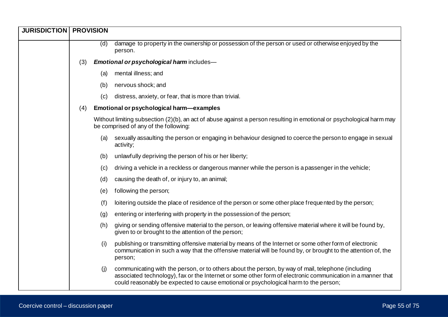| <b>JURISDICTION</b> | <b>PROVISION</b> |     |                                                                                                                                                                                                                                                                                                           |
|---------------------|------------------|-----|-----------------------------------------------------------------------------------------------------------------------------------------------------------------------------------------------------------------------------------------------------------------------------------------------------------|
|                     |                  | (d) | damage to property in the ownership or possession of the person or used or otherwise enjoyed by the<br>person.                                                                                                                                                                                            |
|                     | (3)              |     | Emotional or psychological harm includes-                                                                                                                                                                                                                                                                 |
|                     |                  | (a) | mental illness; and                                                                                                                                                                                                                                                                                       |
|                     |                  | (b) | nervous shock; and                                                                                                                                                                                                                                                                                        |
|                     |                  | (c) | distress, anxiety, or fear, that is more than trivial.                                                                                                                                                                                                                                                    |
|                     | (4)              |     | Emotional or psychological harm-examples                                                                                                                                                                                                                                                                  |
|                     |                  |     | Without limiting subsection (2)(b), an act of abuse against a person resulting in emotional or psychological harm may<br>be comprised of any of the following:                                                                                                                                            |
|                     |                  | (a) | sexually assaulting the person or engaging in behaviour designed to coerce the person to engage in sexual<br>activity;                                                                                                                                                                                    |
|                     |                  | (b) | unlawfully depriving the person of his or her liberty;                                                                                                                                                                                                                                                    |
|                     |                  | (c) | driving a vehicle in a reckless or dangerous manner while the person is a passenger in the vehicle;                                                                                                                                                                                                       |
|                     |                  | (d) | causing the death of, or injury to, an animal;                                                                                                                                                                                                                                                            |
|                     |                  | (e) | following the person;                                                                                                                                                                                                                                                                                     |
|                     |                  | (f) | loitering outside the place of residence of the person or some other place frequented by the person;                                                                                                                                                                                                      |
|                     |                  | (g) | entering or interfering with property in the possession of the person;                                                                                                                                                                                                                                    |
|                     |                  | (h) | giving or sending offensive material to the person, or leaving offensive material where it will be found by,<br>given to or brought to the attention of the person;                                                                                                                                       |
|                     |                  | (i) | publishing or transmitting offensive material by means of the Internet or some other form of electronic<br>communication in such a way that the offensive material will be found by, or brought to the attention of, the<br>person;                                                                       |
|                     |                  | (j) | communicating with the person, or to others about the person, by way of mail, telephone (including<br>associated technology), fax or the Internet or some other form of electronic communication in a manner that<br>could reasonably be expected to cause emotional or psychological harm to the person; |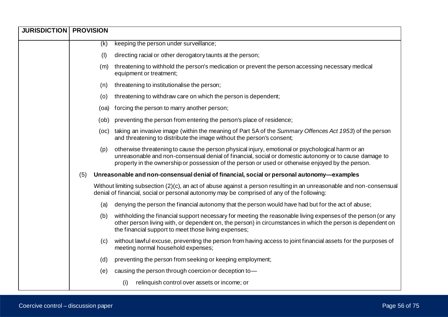| <b>JURISDICTION</b> | <b>PROVISION</b> |      |                                                                                                                                                                                                                                                                                                                 |
|---------------------|------------------|------|-----------------------------------------------------------------------------------------------------------------------------------------------------------------------------------------------------------------------------------------------------------------------------------------------------------------|
|                     |                  | (k)  | keeping the person under surveillance;                                                                                                                                                                                                                                                                          |
|                     |                  | (1)  | directing racial or other derogatory taunts at the person;                                                                                                                                                                                                                                                      |
|                     |                  | (m)  | threatening to withhold the person's medication or prevent the person accessing necessary medical<br>equipment or treatment;                                                                                                                                                                                    |
|                     |                  | (n)  | threatening to institutionalise the person;                                                                                                                                                                                                                                                                     |
|                     |                  | (o)  | threatening to withdraw care on which the person is dependent;                                                                                                                                                                                                                                                  |
|                     |                  | (oa) | forcing the person to marry another person;                                                                                                                                                                                                                                                                     |
|                     |                  | (ob) | preventing the person from entering the person's place of residence;                                                                                                                                                                                                                                            |
|                     |                  | (OC) | taking an invasive image (within the meaning of Part 5A of the Summary Offences Act 1953) of the person<br>and threatening to distribute the image without the person's consent;                                                                                                                                |
|                     |                  | (p)  | otherwise threatening to cause the person physical injury, emotional or psychological harm or an<br>unreasonable and non-consensual denial of financial, social or domestic autonomy or to cause damage to<br>property in the ownership or possession of the person or used or otherwise enjoyed by the person. |
|                     | (5)              |      | Unreasonable and non-consensual denial of financial, social or personal autonomy-examples                                                                                                                                                                                                                       |
|                     |                  |      | Without limiting subsection (2)(c), an act of abuse against a person resulting in an unreasonable and non-consensual<br>denial of financial, social or personal autonomy may be comprised of any of the following:                                                                                              |
|                     |                  | (a)  | denying the person the financial autonomy that the person would have had but for the act of abuse;                                                                                                                                                                                                              |
|                     |                  | (b)  | withholding the financial support necessary for meeting the reasonable living expenses of the person (or any<br>other person living with, or dependent on, the person) in circumstances in which the person is dependent on<br>the financial support to meet those living expenses;                             |
|                     |                  | (c)  | without lawful excuse, preventing the person from having access to joint financial assets for the purposes of<br>meeting normal household expenses;                                                                                                                                                             |
|                     |                  | (d)  | preventing the person from seeking or keeping employment;                                                                                                                                                                                                                                                       |
|                     |                  | (e)  | causing the person through coercion or deception to-                                                                                                                                                                                                                                                            |
|                     |                  |      | relinquish control over assets or income; or<br>(i)                                                                                                                                                                                                                                                             |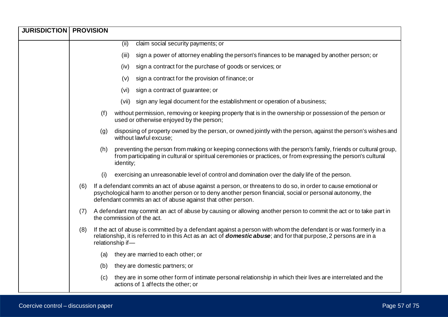| <b>JURISDICTION   PROVISION</b> |     |     |                  |                                                                                                                                                                                                                                                                                              |
|---------------------------------|-----|-----|------------------|----------------------------------------------------------------------------------------------------------------------------------------------------------------------------------------------------------------------------------------------------------------------------------------------|
|                                 |     |     | (ii)             | claim social security payments; or                                                                                                                                                                                                                                                           |
|                                 |     |     | (iii)            | sign a power of attorney enabling the person's finances to be managed by another person; or                                                                                                                                                                                                  |
|                                 |     |     | (iv)             | sign a contract for the purchase of goods or services; or                                                                                                                                                                                                                                    |
|                                 |     |     | (v)              | sign a contract for the provision of finance; or                                                                                                                                                                                                                                             |
|                                 |     |     | (vi)             | sign a contract of guarantee; or                                                                                                                                                                                                                                                             |
|                                 |     |     | (vii)            | sign any legal document for the establishment or operation of a business;                                                                                                                                                                                                                    |
|                                 |     | (f) |                  | without permission, removing or keeping property that is in the ownership or possession of the person or<br>used or otherwise enjoyed by the person;                                                                                                                                         |
|                                 |     | (g) |                  | disposing of property owned by the person, or owned jointly with the person, against the person's wishes and<br>without lawful excuse;                                                                                                                                                       |
|                                 |     | (h) | identity;        | preventing the person from making or keeping connections with the person's family, friends or cultural group,<br>from participating in cultural or spiritual ceremonies or practices, or from expressing the person's cultural                                                               |
|                                 |     | (i) |                  | exercising an unreasonable level of control and domination over the daily life of the person.                                                                                                                                                                                                |
|                                 | (6) |     |                  | If a defendant commits an act of abuse against a person, or threatens to do so, in order to cause emotional or<br>psychological harm to another person or to deny another person financial, social or personal autonomy, the<br>defendant commits an act of abuse against that other person. |
|                                 | (7) |     |                  | A defendant may commit an act of abuse by causing or allowing another person to commit the act or to take part in<br>the commission of the act.                                                                                                                                              |
|                                 | (8) |     | relationship if- | If the act of abuse is committed by a defendant against a person with whom the defendant is or was formerly in a<br>relationship, it is referred to in this Act as an act of <b>domestic abuse</b> ; and for that purpose, 2 persons are in a                                                |
|                                 |     | (a) |                  | they are married to each other; or                                                                                                                                                                                                                                                           |
|                                 |     | (b) |                  | they are domestic partners; or                                                                                                                                                                                                                                                               |
|                                 |     | (c) |                  | they are in some other form of intimate personal relationship in which their lives are interrelated and the<br>actions of 1 affects the other; or                                                                                                                                            |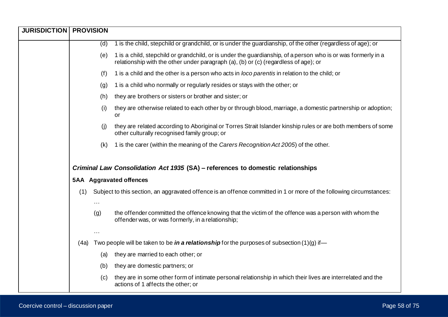| <b>JURISDICTION   PROVISION</b> |      |                      |                                                                                                                                                                                                     |
|---------------------------------|------|----------------------|-----------------------------------------------------------------------------------------------------------------------------------------------------------------------------------------------------|
|                                 |      | (d)                  | 1 is the child, stepchild or grandchild, or is under the guardianship, of the other (regardless of age); or                                                                                         |
|                                 |      | (e)                  | 1 is a child, stepchild or grandchild, or is under the guardianship, of a person who is or was formerly in a<br>relationship with the other under paragraph (a), (b) or (c) (regardless of age); or |
|                                 |      | (f)                  | 1 is a child and the other is a person who acts in loco parentis in relation to the child; or                                                                                                       |
|                                 |      | (g)                  | 1 is a child who normally or regularly resides or stays with the other; or                                                                                                                          |
|                                 |      | (h)                  | they are brothers or sisters or brother and sister; or                                                                                                                                              |
|                                 |      | (i)                  | they are otherwise related to each other by or through blood, marriage, a domestic partnership or adoption;<br>or                                                                                   |
|                                 |      | (i)                  | they are related according to Aboriginal or Torres Strait Islander kinship rules or are both members of some<br>other culturally recognised family group; or                                        |
|                                 |      | (k)                  | 1 is the carer (within the meaning of the Carers Recognition Act 2005) of the other.                                                                                                                |
|                                 |      |                      | Criminal Law Consolidation Act 1935 (SA) - references to domestic relationships                                                                                                                     |
|                                 |      |                      | <b>5AA</b> Aggravated offences                                                                                                                                                                      |
|                                 | (1)  | .                    | Subject to this section, an aggravated offence is an offence committed in 1 or more of the following circumstances:                                                                                 |
|                                 |      | (g)                  | the offender committed the offence knowing that the victim of the offence was a person with whom the<br>offender was, or was formerly, in a relationship;                                           |
|                                 |      | $\sim$ $\sim$ $\sim$ |                                                                                                                                                                                                     |
|                                 | (4a) |                      | Two people will be taken to be in a relationship for the purposes of subsection $(1)(g)$ if —                                                                                                       |
|                                 |      | (a)                  | they are married to each other; or                                                                                                                                                                  |
|                                 |      | (b)                  | they are domestic partners; or                                                                                                                                                                      |
|                                 |      | (c)                  | they are in some other form of intimate personal relationship in which their lives are interrelated and the<br>actions of 1 affects the other; or                                                   |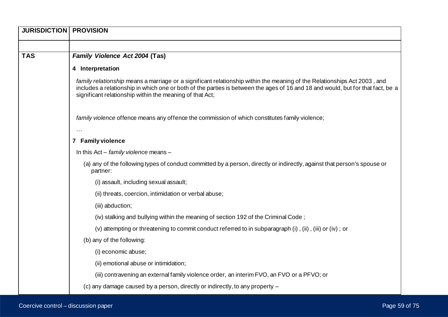| <b>JURISDICTION   PROVISION</b> |                                                                                                                                                                                                                                                                                                                         |  |  |  |
|---------------------------------|-------------------------------------------------------------------------------------------------------------------------------------------------------------------------------------------------------------------------------------------------------------------------------------------------------------------------|--|--|--|
|                                 |                                                                                                                                                                                                                                                                                                                         |  |  |  |
| <b>TAS</b>                      | Family Violence Act 2004 (Tas)                                                                                                                                                                                                                                                                                          |  |  |  |
|                                 | 4 Interpretation                                                                                                                                                                                                                                                                                                        |  |  |  |
|                                 | family relationship means a marriage or a significant relationship within the meaning of the Relationships Act 2003, and<br>includes a relationship in which one or both of the parties is between the ages of 16 and 18 and would, but for that fact, be a<br>significant relationship within the meaning of that Act; |  |  |  |
|                                 | family violence offence means any offence the commission of which constitutes family violence;                                                                                                                                                                                                                          |  |  |  |
|                                 | 7 Family violence                                                                                                                                                                                                                                                                                                       |  |  |  |
|                                 | In this $Act - family$ violence means $-$                                                                                                                                                                                                                                                                               |  |  |  |
|                                 | (a) any of the following types of conduct committed by a person, directly or indirectly, against that person's spouse or                                                                                                                                                                                                |  |  |  |
|                                 | partner:                                                                                                                                                                                                                                                                                                                |  |  |  |
|                                 | (i) assault, including sexual assault;                                                                                                                                                                                                                                                                                  |  |  |  |
|                                 | (ii) threats, coercion, intimidation or verbal abuse;                                                                                                                                                                                                                                                                   |  |  |  |
|                                 | (iii) abduction;                                                                                                                                                                                                                                                                                                        |  |  |  |
|                                 | (iv) stalking and bullying within the meaning of section 192 of the Criminal Code;                                                                                                                                                                                                                                      |  |  |  |
|                                 | (v) attempting or threatening to commit conduct referred to in subparagraph (i), (ii), (iii) or (iv); or                                                                                                                                                                                                                |  |  |  |
|                                 | (b) any of the following:                                                                                                                                                                                                                                                                                               |  |  |  |
|                                 | (i) economic abuse;                                                                                                                                                                                                                                                                                                     |  |  |  |
|                                 | (ii) emotional abuse or intimidation;                                                                                                                                                                                                                                                                                   |  |  |  |
|                                 | (iii) contravening an external family violence order, an interim FVO, an FVO or a PFVO; or                                                                                                                                                                                                                              |  |  |  |
|                                 | (c) any damage caused by a person, directly or indirectly, to any property –                                                                                                                                                                                                                                            |  |  |  |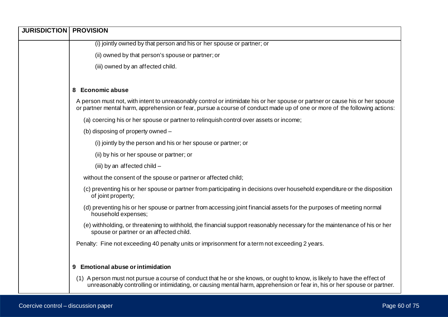| <b>JURISDICTION   PROVISION</b> |                                                                                                                                                                                                                                                           |
|---------------------------------|-----------------------------------------------------------------------------------------------------------------------------------------------------------------------------------------------------------------------------------------------------------|
|                                 | (i) jointly owned by that person and his or her spouse or partner; or                                                                                                                                                                                     |
|                                 | (ii) owned by that person's spouse or partner; or                                                                                                                                                                                                         |
|                                 | (iii) owned by an affected child.                                                                                                                                                                                                                         |
|                                 | 8 Economic abuse                                                                                                                                                                                                                                          |
|                                 | A person must not, with intent to unreasonably control or intimidate his or her spouse or partner or cause his or her spouse<br>or partner mental harm, apprehension or fear, pursue a course of conduct made up of one or more of the following actions: |
|                                 | (a) coercing his or her spouse or partner to relinguish control over assets or income;                                                                                                                                                                    |
|                                 | (b) disposing of property owned -                                                                                                                                                                                                                         |
|                                 | (i) jointly by the person and his or her spouse or partner; or                                                                                                                                                                                            |
|                                 | (ii) by his or her spouse or partner; or                                                                                                                                                                                                                  |
|                                 | (iii) by an affected child -                                                                                                                                                                                                                              |
|                                 | without the consent of the spouse or partner or affected child;                                                                                                                                                                                           |
|                                 | (c) preventing his or her spouse or partner from participating in decisions over household expenditure or the disposition<br>of joint property;                                                                                                           |
|                                 | (d) preventing his or her spouse or partner from accessing joint financial assets for the purposes of meeting normal<br>household expenses;                                                                                                               |
|                                 | (e) withholding, or threatening to withhold, the financial support reasonably necessary for the maintenance of his or her<br>spouse or partner or an affected child.                                                                                      |
|                                 | Penalty: Fine not exceeding 40 penalty units or imprisonment for a term not exceeding 2 years.                                                                                                                                                            |
|                                 |                                                                                                                                                                                                                                                           |
|                                 | 9 Emotional abuse or intimidation                                                                                                                                                                                                                         |
|                                 | (1) A person must not pursue a course of conduct that he or she knows, or ought to know, is likely to have the effect of<br>unreasonably controlling or intimidating, or causing mental harm, apprehension or fear in, his or her spouse or partner.      |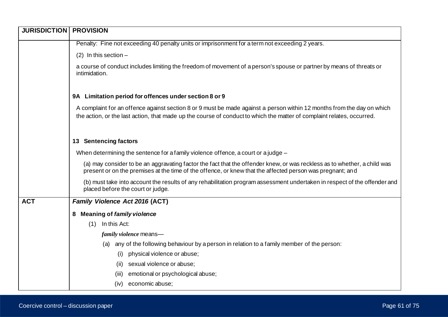| <b>JURISDICTION</b> | <b>PROVISION</b>                                                                                                                                                                                                                                 |  |  |  |  |  |
|---------------------|--------------------------------------------------------------------------------------------------------------------------------------------------------------------------------------------------------------------------------------------------|--|--|--|--|--|
|                     | Penalty: Fine not exceeding 40 penalty units or imprisonment for a term not exceeding 2 years.                                                                                                                                                   |  |  |  |  |  |
|                     | $(2)$ In this section -                                                                                                                                                                                                                          |  |  |  |  |  |
|                     | a course of conduct includes limiting the freedom of movement of a person's spouse or partner by means of threats or<br>intimidation.                                                                                                            |  |  |  |  |  |
|                     | 9A Limitation period for offences under section 8 or 9                                                                                                                                                                                           |  |  |  |  |  |
|                     | A complaint for an offence against section 8 or 9 must be made against a person within 12 months from the day on which<br>the action, or the last action, that made up the course of conduct to which the matter of complaint relates, occurred. |  |  |  |  |  |
|                     | 13 Sentencing factors                                                                                                                                                                                                                            |  |  |  |  |  |
|                     | When determining the sentence for a family violence offence, a court or a judge $-$                                                                                                                                                              |  |  |  |  |  |
|                     | (a) may consider to be an aggravating factor the fact that the offender knew, or was reckless as to whether, a child was<br>present or on the premises at the time of the offence, or knew that the affected person was pregnant; and            |  |  |  |  |  |
|                     | (b) must take into account the results of any rehabilitation program assessment undertaken in respect of the offender and<br>placed before the court or judge.                                                                                   |  |  |  |  |  |
| <b>ACT</b>          | Family Violence Act 2016 (ACT)                                                                                                                                                                                                                   |  |  |  |  |  |
|                     | 8 Meaning of family violence                                                                                                                                                                                                                     |  |  |  |  |  |
|                     | In this Act:<br>(1)                                                                                                                                                                                                                              |  |  |  |  |  |
|                     | family violence means-                                                                                                                                                                                                                           |  |  |  |  |  |
|                     | (a) any of the following behaviour by a person in relation to a family member of the person:                                                                                                                                                     |  |  |  |  |  |
|                     | physical violence or abuse;<br>(i)                                                                                                                                                                                                               |  |  |  |  |  |
|                     | sexual violence or abuse;<br>(ii)                                                                                                                                                                                                                |  |  |  |  |  |
|                     | emotional or psychological abuse;<br>(iii)                                                                                                                                                                                                       |  |  |  |  |  |
|                     | economic abuse;<br>(iv)                                                                                                                                                                                                                          |  |  |  |  |  |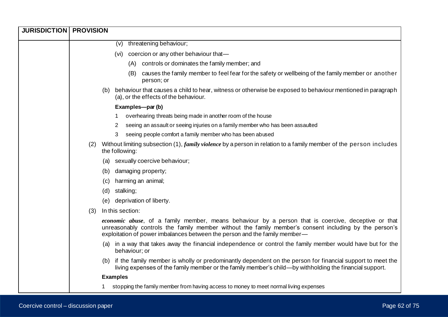| <b>JURISDICTION   PROVISION</b> |     |                                                                                                                                                                                                                                                                                            |
|---------------------------------|-----|--------------------------------------------------------------------------------------------------------------------------------------------------------------------------------------------------------------------------------------------------------------------------------------------|
|                                 |     | (v) threatening behaviour;                                                                                                                                                                                                                                                                 |
|                                 |     | (vi) coercion or any other behaviour that-                                                                                                                                                                                                                                                 |
|                                 |     | controls or dominates the family member; and<br>(A)                                                                                                                                                                                                                                        |
|                                 |     | causes the family member to feel fear for the safety or wellbeing of the family member or another<br>(B)<br>person; or                                                                                                                                                                     |
|                                 |     | behaviour that causes a child to hear, witness or otherwise be exposed to behaviour mentioned in paragraph<br>(b)<br>(a), or the effects of the behaviour.                                                                                                                                 |
|                                 |     | Examples-par (b)                                                                                                                                                                                                                                                                           |
|                                 |     | overhearing threats being made in another room of the house                                                                                                                                                                                                                                |
|                                 |     | seeing an assault or seeing injuries on a family member who has been assaulted<br>2                                                                                                                                                                                                        |
|                                 |     | seeing people comfort a family member who has been abused<br>3                                                                                                                                                                                                                             |
|                                 | (2) | Without limiting subsection (1), <i>family violence</i> by a person in relation to a family member of the person includes<br>the following:                                                                                                                                                |
|                                 |     | sexually coercive behaviour;<br>(a)                                                                                                                                                                                                                                                        |
|                                 |     | damaging property;<br>(b)                                                                                                                                                                                                                                                                  |
|                                 |     | harming an animal;<br>(c)                                                                                                                                                                                                                                                                  |
|                                 |     | stalking;<br>(d)                                                                                                                                                                                                                                                                           |
|                                 |     | deprivation of liberty.<br>(e)                                                                                                                                                                                                                                                             |
|                                 | (3) | In this section:                                                                                                                                                                                                                                                                           |
|                                 |     | economic abuse, of a family member, means behaviour by a person that is coercive, deceptive or that<br>unreasonably controls the family member without the family member's consent including by the person's<br>exploitation of power imbalances between the person and the family member- |
|                                 |     | (a) in a way that takes away the financial independence or control the family member would have but for the<br>behaviour; or                                                                                                                                                               |
|                                 |     | if the family member is wholly or predominantly dependent on the person for financial support to meet the<br>(b)<br>living expenses of the family member or the family member's child—by withholding the financial support.                                                                |
|                                 |     | <b>Examples</b>                                                                                                                                                                                                                                                                            |
|                                 |     | stopping the family member from having access to money to meet normal living expenses                                                                                                                                                                                                      |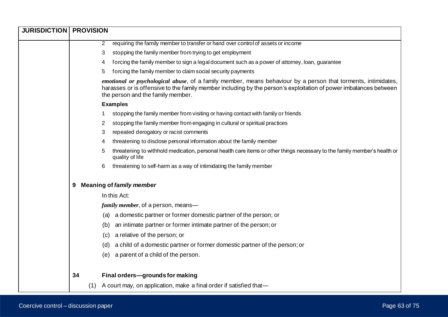| <b>JURISDICTION   PROVISION</b> |     |                                                                                                                                                                                                                                                                                |
|---------------------------------|-----|--------------------------------------------------------------------------------------------------------------------------------------------------------------------------------------------------------------------------------------------------------------------------------|
|                                 |     | requiring the family member to transfer or hand over control of assets or income<br>2                                                                                                                                                                                          |
|                                 |     | stopping the family member from trying to get employment<br>3                                                                                                                                                                                                                  |
|                                 |     | forcing the family member to sign a legal document such as a power of attorney, loan, guarantee<br>4                                                                                                                                                                           |
|                                 |     | forcing the family member to claim social security payments<br>5                                                                                                                                                                                                               |
|                                 |     | <i>emotional or psychological abuse</i> , of a family member, means behaviour by a person that torments, intimidates,<br>harasses or is offensive to the family member including by the person's exploitation of power imbalances between<br>the person and the family member. |
|                                 |     | <b>Examples</b>                                                                                                                                                                                                                                                                |
|                                 |     | stopping the family member from visiting or having contact with family or friends                                                                                                                                                                                              |
|                                 |     | stopping the family member from engaging in cultural or spiritual practices<br>2                                                                                                                                                                                               |
|                                 |     | repeated derogatory or racist comments<br>3                                                                                                                                                                                                                                    |
|                                 |     | threatening to disclose personal information about the family member<br>4                                                                                                                                                                                                      |
|                                 |     | threatening to withhold medication, personal health care items or other things necessary to the family member's health or<br>5<br>quality of life                                                                                                                              |
|                                 |     | threatening to self-harm as a way of intimidating the family member<br>6                                                                                                                                                                                                       |
|                                 | 9   | <b>Meaning of family member</b>                                                                                                                                                                                                                                                |
|                                 |     | In this Act:                                                                                                                                                                                                                                                                   |
|                                 |     | family member, of a person, means-                                                                                                                                                                                                                                             |
|                                 |     | a domestic partner or former domestic partner of the person; or<br>(a)                                                                                                                                                                                                         |
|                                 |     | an intimate partner or former intimate partner of the person; or<br>(b)                                                                                                                                                                                                        |
|                                 |     | a relative of the person; or<br>(c)                                                                                                                                                                                                                                            |
|                                 |     | a child of a domestic partner or former domestic partner of the person; or<br>(d)                                                                                                                                                                                              |
|                                 |     | a parent of a child of the person.<br>(e)                                                                                                                                                                                                                                      |
|                                 | 34  | Final orders-grounds for making                                                                                                                                                                                                                                                |
|                                 | (1) | A court may, on application, make a final order if satisfied that-                                                                                                                                                                                                             |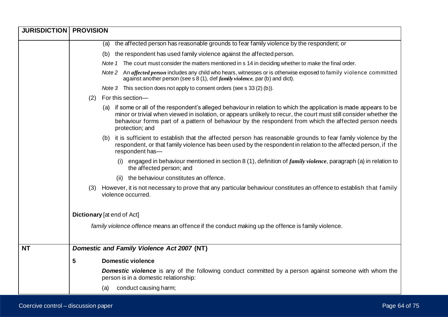| <b>JURISDICTION   PROVISION</b> |                                                                                                                                                                                                                                                                                                                                                                       |
|---------------------------------|-----------------------------------------------------------------------------------------------------------------------------------------------------------------------------------------------------------------------------------------------------------------------------------------------------------------------------------------------------------------------|
|                                 | the affected person has reasonable grounds to fear family violence by the respondent; or<br>(a)                                                                                                                                                                                                                                                                       |
|                                 | the respondent has used family violence against the affected person.<br>(b)                                                                                                                                                                                                                                                                                           |
|                                 | Note 1 The court must consider the matters mentioned in s 14 in deciding whether to make the final order.                                                                                                                                                                                                                                                             |
|                                 | Note 2 An affected person includes any child who hears, witnesses or is otherwise exposed to family violence committed<br>against another person (see s 8 (1), def <i>family violence</i> , par (b) and dict).                                                                                                                                                        |
|                                 | Note 3 This section does not apply to consent orders (see s 33 (2) (b)).                                                                                                                                                                                                                                                                                              |
|                                 | For this section-<br>(2)                                                                                                                                                                                                                                                                                                                                              |
|                                 | (a) if some or all of the respondent's alleged behaviour in relation to which the application is made appears to be<br>minor or trivial when viewed in isolation, or appears unlikely to recur, the court must still consider whether the<br>behaviour forms part of a pattern of behaviour by the respondent from which the affected person needs<br>protection; and |
|                                 | it is sufficient to establish that the affected person has reasonable grounds to fear family violence by the<br>(b)<br>respondent, or that family violence has been used by the respondent in relation to the affected person, if the<br>respondent has-                                                                                                              |
|                                 | engaged in behaviour mentioned in section 8 (1), definition of <i>family violence</i> , paragraph (a) in relation to<br>(i)<br>the affected person; and                                                                                                                                                                                                               |
|                                 | the behaviour constitutes an offence.<br>(ii)                                                                                                                                                                                                                                                                                                                         |
|                                 | However, it is not necessary to prove that any particular behaviour constitutes an offence to establish that family<br>(3)<br>violence occurred.                                                                                                                                                                                                                      |
|                                 | <b>Dictionary</b> [at end of Act]                                                                                                                                                                                                                                                                                                                                     |
|                                 | family violence offence means an offence if the conduct making up the offence is family violence.                                                                                                                                                                                                                                                                     |
| <b>NT</b>                       | Domestic and Family Violence Act 2007 (NT)                                                                                                                                                                                                                                                                                                                            |
|                                 | <b>Domestic violence</b><br>5                                                                                                                                                                                                                                                                                                                                         |
|                                 | <b>Domestic violence</b> is any of the following conduct committed by a person against someone with whom the<br>person is in a domestic relationship:                                                                                                                                                                                                                 |
|                                 | conduct causing harm;<br>(a)                                                                                                                                                                                                                                                                                                                                          |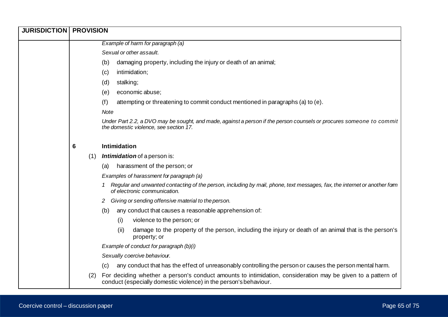| <b>JURISDICTION   PROVISION</b> |     |                                                                                                                                                                                  |
|---------------------------------|-----|----------------------------------------------------------------------------------------------------------------------------------------------------------------------------------|
|                                 |     | Example of harm for paragraph (a)                                                                                                                                                |
|                                 |     | Sexual or other assault.                                                                                                                                                         |
|                                 |     | damaging property, including the injury or death of an animal;<br>(b)                                                                                                            |
|                                 |     | intimidation;<br>(c)                                                                                                                                                             |
|                                 |     | stalking;<br>(d)                                                                                                                                                                 |
|                                 |     | economic abuse;<br>(e)                                                                                                                                                           |
|                                 |     | attempting or threatening to commit conduct mentioned in paragraphs (a) to (e).<br>(f)                                                                                           |
|                                 |     | <b>Note</b>                                                                                                                                                                      |
|                                 |     | Under Part 2.2, a DVO may be sought, and made, against a person if the person counsels or procures someone to commit<br>the domestic violence, see section 17.                   |
|                                 | 6   | <b>Intimidation</b>                                                                                                                                                              |
|                                 | (1) | Intimidation of a person is:                                                                                                                                                     |
|                                 |     | harassment of the person; or<br>(a)                                                                                                                                              |
|                                 |     | Examples of harassment for paragraph (a)                                                                                                                                         |
|                                 |     | Regular and unwanted contacting of the person, including by mail, phone, text messages, fax, the internet or another form<br>of electronic communication.                        |
|                                 |     | Giving or sending offensive material to the person.<br>2                                                                                                                         |
|                                 |     | any conduct that causes a reasonable apprehension of:<br>(b)                                                                                                                     |
|                                 |     | (i)<br>violence to the person; or                                                                                                                                                |
|                                 |     | damage to the property of the person, including the injury or death of an animal that is the person's<br>(ii)<br>property; or                                                    |
|                                 |     | Example of conduct for paragraph (b)(i)                                                                                                                                          |
|                                 |     | Sexually coercive behaviour.                                                                                                                                                     |
|                                 |     | any conduct that has the effect of unreasonably controlling the person or causes the person mental harm.<br>(c)                                                                  |
|                                 | (2) | For deciding whether a person's conduct amounts to intimidation, consideration may be given to a pattern of<br>conduct (especially domestic violence) in the person's behaviour. |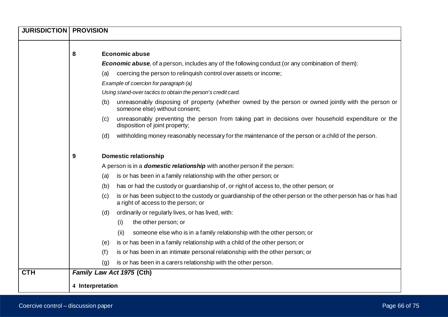| <b>JURISDICTION   PROVISION</b> |                  |                                                                                                                                                     |
|---------------------------------|------------------|-----------------------------------------------------------------------------------------------------------------------------------------------------|
|                                 |                  |                                                                                                                                                     |
|                                 | 8                | <b>Economic abuse</b>                                                                                                                               |
|                                 |                  | <b>Economic abuse</b> , of a person, includes any of the following conduct (or any combination of them):                                            |
|                                 | (a)              | coercing the person to relinquish control over assets or income;                                                                                    |
|                                 |                  | Example of coercion for paragraph (a)                                                                                                               |
|                                 |                  | Using stand-over tactics to obtain the person's credit card.                                                                                        |
|                                 | (b)              | unreasonably disposing of property (whether owned by the person or owned jointly with the person or<br>someone else) without consent;               |
|                                 | (c)              | unreasonably preventing the person from taking part in decisions over household expenditure or the<br>disposition of joint property;                |
|                                 | (d)              | withholding money reasonably necessary for the maintenance of the person or a child of the person.                                                  |
|                                 | 9                | <b>Domestic relationship</b>                                                                                                                        |
|                                 |                  | A person is in a <b>domestic relationship</b> with another person if the person:                                                                    |
|                                 | (a)              | is or has been in a family relationship with the other person; or                                                                                   |
|                                 | (b)              | has or had the custody or guardianship of, or right of access to, the other person; or                                                              |
|                                 | (c)              | is or has been subject to the custody or guardianship of the other person or the other person has or has had<br>a right of access to the person; or |
|                                 | (d)              | ordinarily or regularly lives, or has lived, with:                                                                                                  |
|                                 |                  | (i)<br>the other person; or                                                                                                                         |
|                                 |                  | someone else who is in a family relationship with the other person; or<br>(ii)                                                                      |
|                                 | (e)              | is or has been in a family relationship with a child of the other person; or                                                                        |
|                                 | (f)              | is or has been in an intimate personal relationship with the other person; or                                                                       |
|                                 | (q)              | is or has been in a carers relationship with the other person.                                                                                      |
| <b>CTH</b>                      |                  | Family Law Act 1975 (Cth)                                                                                                                           |
|                                 | 4 Interpretation |                                                                                                                                                     |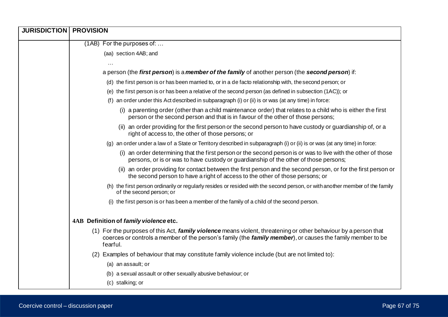| <b>JURISDICTION   PROVISION</b> |                                                                                                                                                                                                                                            |  |  |
|---------------------------------|--------------------------------------------------------------------------------------------------------------------------------------------------------------------------------------------------------------------------------------------|--|--|
|                                 | (1AB) For the purposes of:                                                                                                                                                                                                                 |  |  |
|                                 | (aa) section 4AB; and                                                                                                                                                                                                                      |  |  |
|                                 |                                                                                                                                                                                                                                            |  |  |
|                                 | a person (the first person) is a member of the family of another person (the second person) if:                                                                                                                                            |  |  |
|                                 | (d) the first person is or has been married to, or in a de facto relationship with, the second person; or                                                                                                                                  |  |  |
|                                 | (e) the first person is or has been a relative of the second person (as defined in subsection (1AC)); or                                                                                                                                   |  |  |
|                                 | an order under this Act described in subparagraph (i) or (ii) is or was (at any time) in force:                                                                                                                                            |  |  |
|                                 | (i) a parenting order (other than a child maintenance order) that relates to a child who is either the first<br>person or the second person and that is in favour of the other of those persons;                                           |  |  |
|                                 | (ii) an order providing for the first person or the second person to have custody or guardianship of, or a<br>right of access to, the other of those persons; or                                                                           |  |  |
|                                 | (g) an order under a law of a State or Territory described in subparagraph (i) or (ii) is or was (at any time) in force:                                                                                                                   |  |  |
|                                 | (i) an order determining that the first person or the second person is or was to live with the other of those<br>persons, or is or was to have custody or guardianship of the other of those persons;                                      |  |  |
|                                 | (ii) an order providing for contact between the first person and the second person, or for the first person or<br>the second person to have a right of access to the other of those persons; or                                            |  |  |
|                                 | (h) the first person ordinarily or regularly resides or resided with the second person, or with another member of the family<br>of the second person; or                                                                                   |  |  |
|                                 | (i) the first person is or has been a member of the family of a child of the second person.                                                                                                                                                |  |  |
|                                 | 4AB Definition of family violence etc.                                                                                                                                                                                                     |  |  |
|                                 | (1) For the purposes of this Act, family violence means violent, threatening or other behaviour by a person that<br>coerces or controls a member of the person's family (the family member), or causes the family member to be<br>fearful. |  |  |
|                                 | (2) Examples of behaviour that may constitute family violence include (but are not limited to):                                                                                                                                            |  |  |
|                                 | (a) an assault; or                                                                                                                                                                                                                         |  |  |
|                                 | (b) a sexual assault or other sexually abusive behaviour; or                                                                                                                                                                               |  |  |
|                                 | (c) stalking; or                                                                                                                                                                                                                           |  |  |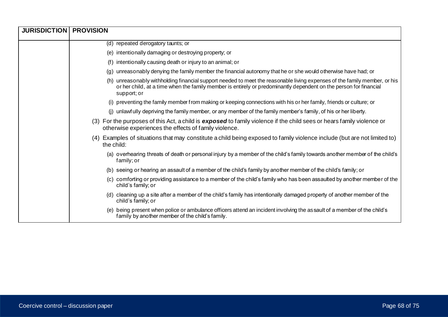| <b>JURISDICTION   PROVISION</b> |                                                                                                                                                                                                                                                               |
|---------------------------------|---------------------------------------------------------------------------------------------------------------------------------------------------------------------------------------------------------------------------------------------------------------|
|                                 | (d) repeated derogatory taunts; or                                                                                                                                                                                                                            |
|                                 | (e) intentionally damaging or destroying property; or                                                                                                                                                                                                         |
|                                 | intentionally causing death or injury to an animal; or<br>(f)                                                                                                                                                                                                 |
|                                 | unreasonably denying the family member the financial autonomy that he or she would otherwise have had; or<br>(a)                                                                                                                                              |
|                                 | (h) unreasonably withholding financial support needed to meet the reasonable living expenses of the family member, or his<br>or her child, at a time when the family member is entirely or predominantly dependent on the person for financial<br>support; or |
|                                 | (i) preventing the family member from making or keeping connections with his or her family, friends or culture; or                                                                                                                                            |
|                                 | (j) unlawfully depriving the family member, or any member of the family member's family, of his or her liberty.                                                                                                                                               |
|                                 | (3) For the purposes of this Act, a child is exposed to family violence if the child sees or hears family violence or<br>otherwise experiences the effects of family violence.                                                                                |
|                                 | (4) Examples of situations that may constitute a child being exposed to family violence include (but are not limited to)<br>the child:                                                                                                                        |
|                                 | (a) overhearing threats of death or personal injury by a member of the child's family towards another member of the child's<br>family; or                                                                                                                     |
|                                 | (b) seeing or hearing an assault of a member of the child's family by another member of the child's family; or                                                                                                                                                |
|                                 | (c) comforting or providing assistance to a member of the child's family who has been assaulted by another member of the<br>child's family; or                                                                                                                |
|                                 | (d) cleaning up a site after a member of the child's family has intentionally damaged property of another member of the<br>child's family; or                                                                                                                 |
|                                 | (e) being present when police or ambulance officers attend an incident involving the assault of a member of the child's<br>family by another member of the child's family.                                                                                    |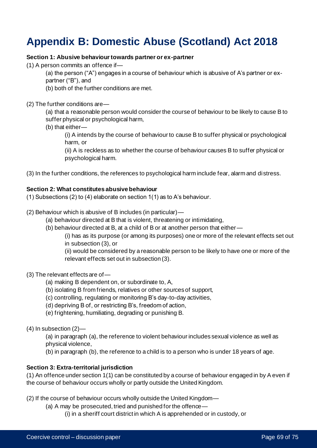# **Appendix B: Domestic Abuse (Scotland) Act 2018**

### **Section 1: Abusive behaviour towards partner or ex-partner**

- (1) A person commits an offence if—
	- (a) the person ("A") engages in a course of behaviour which is abusive of A's partner or expartner ("B"), and
	- (b) both of the further conditions are met.
- (2) The further conditions are—
	- (a) that a reasonable person would consider the course of behaviour to be likely to cause B to suffer physical or psychological harm,
	- (b) that either—
		- (i) A intends by the course of behaviour to cause B to suffer physical or psychological harm, or

(ii) A is reckless as to whether the course of behaviour causes B to suffer physical or psychological harm.

(3) In the further conditions, the references to psychological harm include fear, alarm and distress.

#### **Section 2: What constitutes abusive behaviour**

(1) Subsections (2) to (4) elaborate on section 1(1) as to A's behaviour.

- (2) Behaviour which is abusive of B includes (in particular)—
	- (a) behaviour directed at B that is violent, threatening or intimidating,
	- (b) behaviour directed at B, at a child of B or at another person that either—

(i) has as its purpose (or among its purposes) one or more of the relevant effects set out in subsection (3), or

(ii) would be considered by a reasonable person to be likely to have one or more of the relevant effects set out in subsection (3).

- (3) The relevant effects are of—
	- (a) making B dependent on, or subordinate to, A,
	- (b) isolating B from friends, relatives or other sources of support,
	- (c) controlling, regulating or monitoring B's day-to-day activities,
	- (d) depriving B of, or restricting B's, freedom of action,
	- (e) frightening, humiliating, degrading or punishing B.

(4) In subsection (2)—

(a) in paragraph (a), the reference to violent behaviour includes sexual violence as well as physical violence,

(b) in paragraph (b), the reference to a child is to a person who is under 18 years of age.

#### **Section 3: Extra-territorial jurisdiction**

(1) An offence under section 1(1) can be constituted by a course of behaviour engaged in by A even if the course of behaviour occurs wholly or partly outside the United Kingdom.

(2) If the course of behaviour occurs wholly outside the United Kingdom—

- (a) A may be prosecuted, tried and punished for the offence—
	- (i) in a sheriff court district in which A is apprehended or in custody, or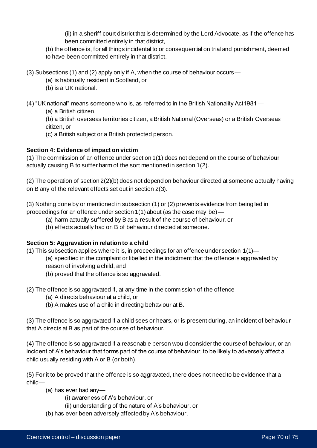(ii) in a sheriff court district that is determined by the Lord Advocate, as if the offence has been committed entirely in that district,

(b) the offence is, for all things incidental to or consequential on trial and punishment, deemed to have been committed entirely in that district.

(3) Subsections (1) and (2) apply only if A, when the course of behaviour occurs—

(a) is habitually resident in Scotland, or

(b) is a UK national.

(4) "UK national" means someone who is, as referred to in the British Nationality Act1981—

(a) a British citizen,

(b) a British overseas territories citizen, a British National (Overseas) or a British Overseas citizen, or

(c) a British subject or a British protected person.

## **Section 4: Evidence of impact on victim**

(1) The commission of an offence under section 1(1) does not depend on the course of behaviour actually causing B to suffer harm of the sort mentioned in section 1(2).

(2) The operation of section 2(2)(b) does not depend on behaviour directed at someone actually having on B any of the relevant effects set out in section 2(3).

(3) Nothing done by or mentioned in subsection (1) or (2) prevents evidence from being led in proceedings for an offence under section 1(1) about (as the case may be)—

- (a) harm actually suffered by B as a result of the course of behaviour, or
- (b) effects actually had on B of behaviour directed at someone.

### **Section 5: Aggravation in relation to a child**

(1) This subsection applies where it is, in proceedings for an offence under section 1(1)—

- (a) specified in the complaint or libelled in the indictment that the offence is aggravated by reason of involving a child, and
	- (b) proved that the offence is so aggravated.
- (2) The offence is so aggravated if, at any time in the commission of the offence—
	- (a) A directs behaviour at a child, or
	- (b) A makes use of a child in directing behaviour at B.

(3) The offence is so aggravated if a child sees or hears, or is present during, an incident of behaviour that A directs at B as part of the course of behaviour.

(4) The offence is so aggravated if a reasonable person would consider the course of behaviour, or an incident of A's behaviour that forms part of the course of behaviour, to be likely to adversely affect a child usually residing with A or B (or both).

(5) For it to be proved that the offence is so aggravated, there does not need to be evidence that a child—

- (a) has ever had any—
	- (i) awareness of A's behaviour, or
	- (ii) understanding of the nature of A's behaviour, or
- (b) has ever been adversely affected by A's behaviour.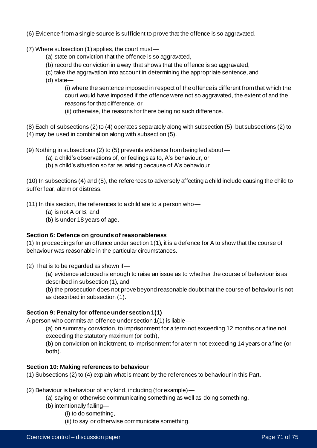- (6) Evidence from a single source is sufficient to prove that the offence is so aggravated.
- (7) Where subsection (1) applies, the court must—
	- (a) state on conviction that the offence is so aggravated,
	- (b) record the conviction in a way that shows that the offence is so aggravated,
	- (c) take the aggravation into account in determining the appropriate sentence, and
	- (d) state—

(i) where the sentence imposed in respect of the offence is different from that which the court would have imposed if the offence were not so aggravated, the extent of and the reasons for that difference, or

(ii) otherwise, the reasons for there being no such difference.

(8) Each of subsections (2) to (4) operates separately along with subsection (5), but subsections (2) to (4) may be used in combination along with subsection (5).

(9) Nothing in subsections (2) to (5) prevents evidence from being led about—

- (a) a child's observations of, or feelings as to, A's behaviour, or
- (b) a child's situation so far as arising because of A's behaviour.

(10) In subsections (4) and (5), the references to adversely affecting a child include causing the child to suffer fear, alarm or distress.

(11) In this section, the references to a child are to a person who—

- (a) is not A or B, and
- (b) is under 18 years of age.

#### **Section 6: Defence on grounds of reasonableness**

(1) In proceedings for an offence under section 1(1), it is a defence for A to show that the course of behaviour was reasonable in the particular circumstances.

(2) That is to be regarded as shown if—

(a) evidence adduced is enough to raise an issue as to whether the course of behaviour is as described in subsection (1), and

(b) the prosecution does not prove beyond reasonable doubt that the course of behaviour is not as described in subsection (1).

### **Section 9: Penalty for offence under section 1(1)**

A person who commits an offence under section 1(1) is liable—

(a) on summary conviction, to imprisonment for a term not exceeding 12 months or a fine not exceeding the statutory maximum (or both),

(b) on conviction on indictment, to imprisonment for a term not exceeding 14 years or a fine (or both).

### **Section 10: Making references to behaviour**

(1) Subsections (2) to (4) explain what is meant by the references to behaviour in this Part.

(2) Behaviour is behaviour of any kind, including (for example)—

(a) saying or otherwise communicating something as well as doing something,

- (b) intentionally failing—
	- (i) to do something,
	- (ii) to say or otherwise communicate something.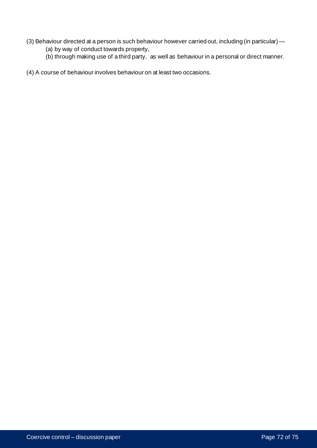- (3) Behaviour directed at a person is such behaviour however carried out, including (in particular) -
	- (a) by way of conduct towards property,
	- (b) through making use of a third party, as well as behaviour in a personal or direct manner.

(4) A course of behaviour involves behaviour on at least two occasions.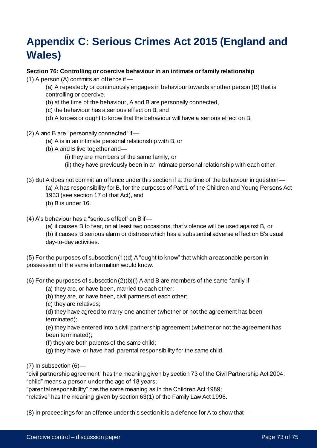## **Appendix C: Serious Crimes Act 2015 (England and Wales)**

## **Section 76: Controlling or coercive behaviour in an intimate or family relationship**

(1) A person (A) commits an offence if—

(a) A repeatedly or continuously engages in behaviour towards another person (B) that is controlling or coercive,

- (b) at the time of the behaviour, A and B are personally connected,
- (c) the behaviour has a serious effect on B, and
- (d) A knows or ought to know that the behaviour will have a serious effect on B.
- (2) A and B are "personally connected" if—
	- (a) A is in an intimate personal relationship with B, or
	- (b) A and B live together and—

(i) they are members of the same family, or

- (ii) they have previously been in an intimate personal relationship with each other.
- (3) But A does not commit an offence under this section if at the time of the behaviour in question—
	- (a) A has responsibility for B, for the purposes of Part 1 of the Children and Young Persons Act
	- 1933 (see section 17 of that Act), and
	- (b) B is under 16.
- (4) A's behaviour has a "serious effect" on B if—

(a) it causes B to fear, on at least two occasions, that violence will be used against B, or (b) it causes B serious alarm or distress which has a substantial adverse effect on B's usual day-to-day activities.

(5) For the purposes of subsection (1)(d) A "ought to know" that which a reasonable person in possession of the same information would know.

(6) For the purposes of subsection  $(2)(b)(i)$  A and B are members of the same family if —

- (a) they are, or have been, married to each other;
- (b) they are, or have been, civil partners of each other;

(c) they are relatives;

(d) they have agreed to marry one another (whether or not the agreement has been terminated);

(e) they have entered into a civil partnership agreement (whether or not the agreement has been terminated);

(f) they are both parents of the same child;

(g) they have, or have had, parental responsibility for the same child.

 $(7)$  In subsection  $(6)$ —

"civil partnership agreement" has the meaning given by section 73 of the Civil Partnership Act 2004; "child" means a person under the age of 18 years;

"parental responsibility" has the same meaning as in the Children Act 1989;

"relative" has the meaning given by section 63(1) of the Family Law Act 1996.

(8) In proceedings for an offence under this section it is a defence for A to show that—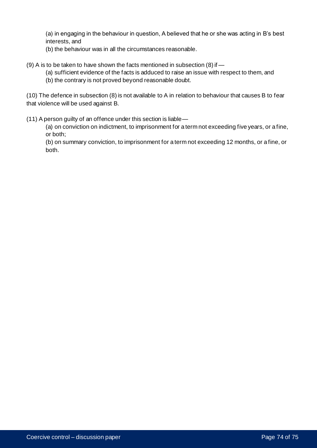(a) in engaging in the behaviour in question, A believed that he or she was acting in B's best interests, and

- (b) the behaviour was in all the circumstances reasonable.
- (9) A is to be taken to have shown the facts mentioned in subsection (8) if
	- (a) sufficient evidence of the facts is adduced to raise an issue with respect to them, and
	- (b) the contrary is not proved beyond reasonable doubt.

(10) The defence in subsection (8) is not available to A in relation to behaviour that causes B to fear that violence will be used against B.

(11) A person guilty of an offence under this section is liable—

(a) on conviction on indictment, to imprisonment for a term not exceeding five years, or a fine, or both;

(b) on summary conviction, to imprisonment for a term not exceeding 12 months, or a fine, or both.